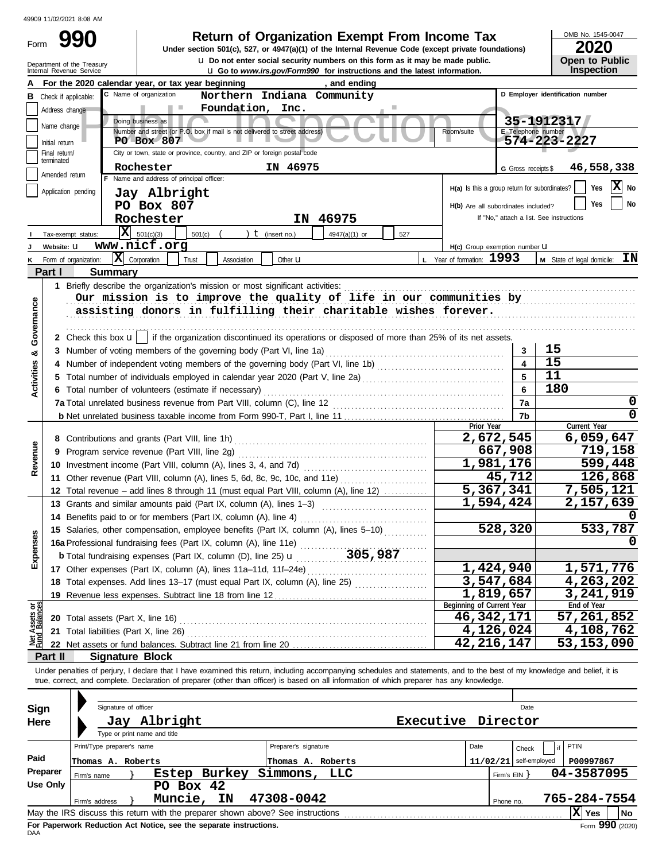| Form |                                                        |  |
|------|--------------------------------------------------------|--|
|      | Department of the Treasury<br>Internal Revenue Service |  |

# **990 a** Return of Organization Exempt From Income Tax **Promed Super Section 501(c)**, 527, or 4947(a)(1) of the Internal Revenue Code (except private foundations) **2020**

**Levenue Co to** *www.irs.gov/Form990* **for instructions and the latest information. u** Do not enter social security numbers on this form as it may be made public. **Under section 501(c), 527, or 4947(a)(1) of the Internal Revenue Code (except private foundations)** OMB No. 1545-0047

| . |                       |
|---|-----------------------|
|   | <b>Open to Public</b> |
|   | Inspection            |

|                           |                             | For the 2020 calendar year, or tax year beginning                                                                                                                          | , and ending                      |                                                                                                                        |                                               |                     |                                          |
|---------------------------|-----------------------------|----------------------------------------------------------------------------------------------------------------------------------------------------------------------------|-----------------------------------|------------------------------------------------------------------------------------------------------------------------|-----------------------------------------------|---------------------|------------------------------------------|
| в                         | Check if applicable:        | C Name of organization                                                                                                                                                     | Northern Indiana Community        |                                                                                                                        |                                               |                     | D Employer identification number         |
|                           | Address change              | Foundation, Inc.<br>n in                                                                                                                                                   |                                   |                                                                                                                        |                                               |                     |                                          |
|                           | Name change                 | Doing business as                                                                                                                                                          |                                   |                                                                                                                        |                                               |                     | 35-1912317                               |
|                           |                             | Number and street (or P.O. box if mail is not delivered to street address)                                                                                                 |                                   |                                                                                                                        | Room/suite                                    | E Telephone number  |                                          |
|                           | Initial return              | PO Box 807                                                                                                                                                                 |                                   |                                                                                                                        |                                               |                     | 574-223-2227                             |
|                           | Final return/<br>terminated | City or town, state or province, country, and ZIP or foreign postal code                                                                                                   |                                   |                                                                                                                        |                                               |                     |                                          |
|                           | Amended return              | Rochester                                                                                                                                                                  | IN 46975                          |                                                                                                                        |                                               | G Gross receipts \$ | 46,558,338                               |
|                           |                             | F Name and address of principal officer:                                                                                                                                   |                                   |                                                                                                                        | H(a) Is this a group return for subordinates? |                     | X No<br>Yes                              |
|                           | Application pending         | Jay Albright                                                                                                                                                               |                                   |                                                                                                                        |                                               |                     |                                          |
|                           |                             | PO Box 807                                                                                                                                                                 |                                   |                                                                                                                        | H(b) Are all subordinates included?           |                     | No<br>Yes                                |
|                           |                             | Rochester                                                                                                                                                                  | IN 46975                          |                                                                                                                        |                                               |                     | If "No," attach a list. See instructions |
|                           | Tax-exempt status:          | $X = 501(c)(3)$<br>501(c)                                                                                                                                                  | $t$ (insert no.)<br>4947(a)(1) or | 527                                                                                                                    |                                               |                     |                                          |
|                           | Website: U                  | www.nicf.org                                                                                                                                                               |                                   |                                                                                                                        | H(c) Group exemption number U                 |                     |                                          |
|                           | K Form of organization:     | $ \mathbf{X} $ Corporation<br>Trust<br>Association                                                                                                                         | Other $\mathbf u$                 |                                                                                                                        | L Year of formation: 1993                     |                     | ΙN<br>M State of legal domicile:         |
|                           | Part I                      | <b>Summary</b>                                                                                                                                                             |                                   |                                                                                                                        |                                               |                     |                                          |
|                           |                             | 1 Briefly describe the organization's mission or most significant activities:                                                                                              |                                   |                                                                                                                        |                                               |                     |                                          |
|                           |                             | Our mission is to improve the quality of life in our communities by                                                                                                        |                                   |                                                                                                                        |                                               |                     |                                          |
|                           |                             | assisting donors in fulfilling their charitable wishes forever.                                                                                                            |                                   |                                                                                                                        |                                               |                     |                                          |
| Governance                |                             |                                                                                                                                                                            |                                   |                                                                                                                        |                                               |                     |                                          |
|                           |                             | 2 Check this box $\mathbf{u}$   if the organization discontinued its operations or disposed of more than 25% of its net assets.                                            |                                   |                                                                                                                        |                                               |                     |                                          |
|                           |                             | 3 Number of voting members of the governing body (Part VI, line 1a)                                                                                                        |                                   |                                                                                                                        |                                               | 3                   | 15                                       |
| ಳ                         |                             |                                                                                                                                                                            |                                   |                                                                                                                        |                                               |                     | 15                                       |
| Activities                |                             |                                                                                                                                                                            |                                   |                                                                                                                        |                                               |                     | 11                                       |
|                           |                             |                                                                                                                                                                            |                                   |                                                                                                                        |                                               | 5                   |                                          |
|                           |                             | 6 Total number of volunteers (estimate if necessary)                                                                                                                       |                                   |                                                                                                                        |                                               | 6                   | 180                                      |
|                           |                             |                                                                                                                                                                            |                                   | 7a                                                                                                                     |                                               |                     |                                          |
|                           |                             |                                                                                                                                                                            |                                   |                                                                                                                        |                                               | 7b                  |                                          |
|                           |                             |                                                                                                                                                                            |                                   |                                                                                                                        | Prior Year<br>2,672,545                       |                     | Current Year                             |
|                           |                             | 8 Contributions and grants (Part VIII, line 1h)                                                                                                                            |                                   |                                                                                                                        |                                               |                     | 6,059,647                                |
| Revenue                   |                             | 9 Program service revenue (Part VIII, line 2g)                                                                                                                             |                                   |                                                                                                                        | 667,908                                       |                     | 719,158                                  |
|                           |                             | 10 Investment income (Part VIII, column (A), lines 3, 4, and 7d)                                                                                                           |                                   |                                                                                                                        | 1,981,176                                     |                     | 599,448                                  |
|                           |                             | 11 Other revenue (Part VIII, column (A), lines 5, 6d, 8c, 9c, 10c, and 11e)                                                                                                |                                   |                                                                                                                        |                                               | 45,712              | 126,868                                  |
|                           |                             | 12 Total revenue - add lines 8 through 11 (must equal Part VIII, column (A), line 12)                                                                                      |                                   |                                                                                                                        | $\overline{5,367,341}$                        |                     | 7,505,121                                |
|                           |                             | 13 Grants and similar amounts paid (Part IX, column (A), lines 1-3)                                                                                                        |                                   | <u> 1986 - Johann Stoff, deutscher Stoff, der Stoff, deutscher Stoff, der Stoff, der Stoff, der Stoff, der Stoff, </u> | 1,594,424                                     |                     | 2,157,639                                |
|                           |                             | 14 Benefits paid to or for members (Part IX, column (A), line 4)                                                                                                           |                                   |                                                                                                                        |                                               |                     |                                          |
|                           |                             | 15 Salaries, other compensation, employee benefits (Part IX, column (A), lines 5-10)                                                                                       |                                   |                                                                                                                        | 528,320                                       |                     | 533,787                                  |
| penses                    |                             | 16a Professional fundraising fees (Part IX, column (A), line 11e)                                                                                                          |                                   |                                                                                                                        |                                               |                     |                                          |
|                           |                             | <b>b</b> Total fundraising expenses (Part IX, column (D), line 25) $\mathbf{u}$                                                                                            |                                   | 305,987                                                                                                                |                                               |                     |                                          |
| ш                         |                             | 17 Other expenses (Part IX, column (A), lines 11a-11d, 11f-24e)                                                                                                            |                                   |                                                                                                                        | 1,424,940                                     |                     | 1,571,776                                |
|                           |                             | 18 Total expenses. Add lines 13-17 (must equal Part IX, column (A), line 25) [                                                                                             |                                   |                                                                                                                        | 3,547,684                                     |                     | 4,263,202                                |
|                           |                             | 19 Revenue less expenses. Subtract line 18 from line 12                                                                                                                    |                                   |                                                                                                                        | 1,819,657                                     |                     | 3,241,919                                |
| t Assets or<br>d Balances |                             |                                                                                                                                                                            |                                   |                                                                                                                        | Beginning of Current Year                     |                     | End of Year                              |
|                           |                             | 20 Total assets (Part X, line 16)                                                                                                                                          |                                   |                                                                                                                        | 46,342,171                                    |                     | 57, 261, 852                             |
|                           |                             | 21 Total liabilities (Part X, line 26)                                                                                                                                     |                                   |                                                                                                                        | 4,126,024                                     |                     | 4,108,762                                |
| $rac{1}{2}$               |                             |                                                                                                                                                                            |                                   |                                                                                                                        | 42, 216, 147                                  |                     | 53, 153, 090                             |
|                           | Part II                     | <b>Signature Block</b>                                                                                                                                                     |                                   |                                                                                                                        |                                               |                     |                                          |
|                           |                             | Under penalties of perjury, I declare that I have examined this return, including accompanying schedules and statements, and to the best of my knowledge and belief, it is |                                   |                                                                                                                        |                                               |                     |                                          |
|                           |                             | true, correct, and complete. Declaration of preparer (other than officer) is based on all information of which preparer has any knowledge.                                 |                                   |                                                                                                                        |                                               |                     |                                          |
|                           |                             |                                                                                                                                                                            |                                   |                                                                                                                        |                                               |                     |                                          |
| Sign                      |                             | Signature of officer                                                                                                                                                       |                                   |                                                                                                                        |                                               | Date                |                                          |
| Here                      |                             | Jay Albright                                                                                                                                                               |                                   | Executive                                                                                                              | Director                                      |                     |                                          |
|                           |                             | Type or print name and title                                                                                                                                               |                                   |                                                                                                                        |                                               |                     |                                          |
|                           |                             | Print/Type preparer's name                                                                                                                                                 | Preparer's signature              |                                                                                                                        | Date                                          | Check               | PTIN<br>if                               |
| Paid                      |                             | Thomas A. Roberts                                                                                                                                                          | Thomas A. Roberts                 |                                                                                                                        | $11/02/21$ self-employed                      |                     | P00997867                                |
|                           | Preparer<br>Firm's name     | Estep Burkey                                                                                                                                                               | Simmons,<br>LLC                   |                                                                                                                        |                                               | Firm's EIN }        | 04-3587095                               |
|                           | <b>Use Only</b>             | PO Box 42                                                                                                                                                                  |                                   |                                                                                                                        |                                               |                     |                                          |
|                           | Firm's address              | Muncie, IN                                                                                                                                                                 | 47308-0042                        |                                                                                                                        | Phone no.                                     |                     | 765-284-7554                             |
|                           |                             | May the IRS discuss this return with the preparer shown above? See instructions                                                                                            |                                   |                                                                                                                        |                                               |                     | $ X $ Yes<br>No                          |
|                           |                             |                                                                                                                                                                            |                                   |                                                                                                                        |                                               |                     |                                          |

| Sign     | Signature of officer                                                            |                      |                          | Date  |              |             |
|----------|---------------------------------------------------------------------------------|----------------------|--------------------------|-------|--------------|-------------|
| Here     | Jay Albright<br>Type or print name and title                                    | Executive            | Director                 |       |              |             |
|          | Print/Type preparer's name                                                      | Preparer's signature | Date                     | Check | PTIN         |             |
| Paid     | Thomas A. Roberts                                                               | Thomas A. Roberts    | $11/02/21$ self-employed |       | P00997867    |             |
| Preparer | Burkey<br>Estep<br>Firm's name                                                  | Simmons,<br>LLC      | Firm's $EIN$             |       | 04-3587095   |             |
| Use Only | Box 42<br>PO.<br>Muncie, IN<br>Firm's address                                   | 47308-0042           | Phone no.                |       | 765-284-7554 |             |
|          | May the IRS discuss this return with the preparer shown above? See instructions |                      |                          |       | X  Yes       | No          |
|          | Fee Denomicals Deduction, Act Notice, one the concrete instructions             |                      |                          |       | $\sim$       | $000 \dots$ |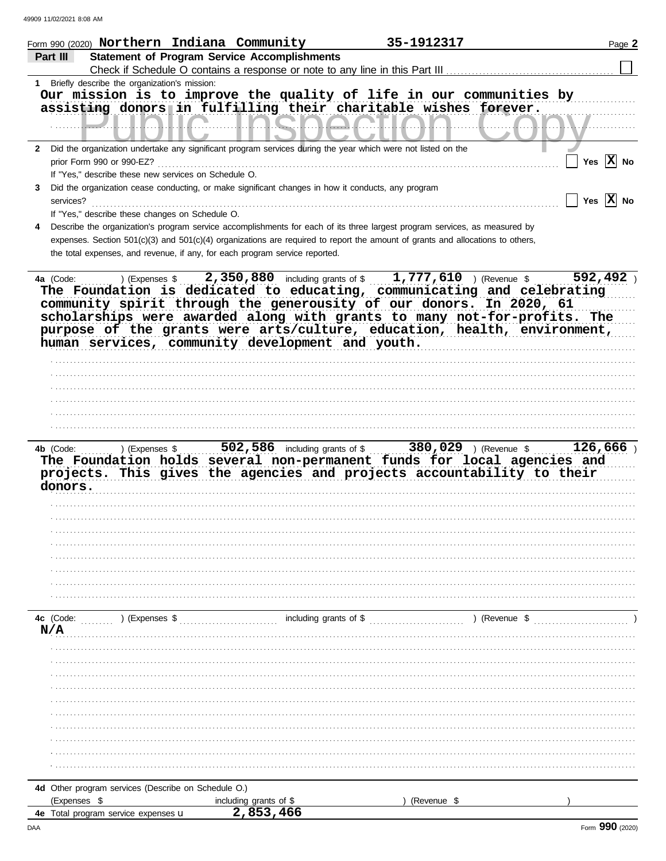| Form 990 (2020) Northern Indiana Community                                                                                   |                                                     | 35-1912317                                                                                                                                                                                                                                                                                             | Page 2                |
|------------------------------------------------------------------------------------------------------------------------------|-----------------------------------------------------|--------------------------------------------------------------------------------------------------------------------------------------------------------------------------------------------------------------------------------------------------------------------------------------------------------|-----------------------|
| Part III                                                                                                                     | <b>Statement of Program Service Accomplishments</b> |                                                                                                                                                                                                                                                                                                        |                       |
|                                                                                                                              |                                                     | Check if Schedule O contains a response or note to any line in this Part III                                                                                                                                                                                                                           |                       |
| Briefly describe the organization's mission:<br>1                                                                            |                                                     |                                                                                                                                                                                                                                                                                                        |                       |
|                                                                                                                              | 55. <b>.</b> .                                      | Our mission is to improve the quality of life in our communities by<br>assisting donors in fulfilling their charitable wishes forever.                                                                                                                                                                 |                       |
| Did the organization undertake any significant program services during the year which were not listed on the<br>$\mathbf{2}$ |                                                     |                                                                                                                                                                                                                                                                                                        |                       |
| prior Form 990 or 990-EZ?                                                                                                    |                                                     |                                                                                                                                                                                                                                                                                                        | Yes $\overline{X}$ No |
| If "Yes," describe these new services on Schedule O.                                                                         |                                                     |                                                                                                                                                                                                                                                                                                        |                       |
| Did the organization cease conducting, or make significant changes in how it conducts, any program<br>3<br>services?         |                                                     |                                                                                                                                                                                                                                                                                                        | Yes $ \mathbf{X} $ No |
| If "Yes," describe these changes on Schedule O.                                                                              |                                                     |                                                                                                                                                                                                                                                                                                        |                       |
| 4                                                                                                                            |                                                     | Describe the organization's program service accomplishments for each of its three largest program services, as measured by                                                                                                                                                                             |                       |
| the total expenses, and revenue, if any, for each program service reported.                                                  |                                                     | expenses. Section 501(c)(3) and 501(c)(4) organizations are required to report the amount of grants and allocations to others,                                                                                                                                                                         |                       |
| human services, community development and youth.                                                                             |                                                     | The Foundation is dedicated to educating, communicating and celebrating<br>community spirit through the generousity of our donors. In 2020, 61<br>scholarships were awarded along with grants to many not-for-profits. The<br>purpose of the grants were arts/culture, education, health, environment, |                       |
|                                                                                                                              |                                                     |                                                                                                                                                                                                                                                                                                        |                       |
|                                                                                                                              |                                                     |                                                                                                                                                                                                                                                                                                        |                       |
|                                                                                                                              |                                                     |                                                                                                                                                                                                                                                                                                        |                       |
|                                                                                                                              |                                                     |                                                                                                                                                                                                                                                                                                        |                       |
| ) (Expenses \$<br>4b (Code:<br>donors.                                                                                       |                                                     | 502,586 including grants of \$ 380,029 ) (Revenue \$<br>The Foundation holds several non-permanent funds for local agencies and<br>projects. This gives the agencies and projects accountability to their                                                                                              | 126,666               |
| 4c (Code:<br>) (Expenses \$<br>N/A                                                                                           | including grants of \$                              | ) (Revenue \$                                                                                                                                                                                                                                                                                          |                       |
|                                                                                                                              |                                                     |                                                                                                                                                                                                                                                                                                        |                       |
|                                                                                                                              |                                                     |                                                                                                                                                                                                                                                                                                        |                       |
|                                                                                                                              |                                                     |                                                                                                                                                                                                                                                                                                        |                       |
|                                                                                                                              |                                                     |                                                                                                                                                                                                                                                                                                        |                       |
|                                                                                                                              |                                                     |                                                                                                                                                                                                                                                                                                        |                       |
|                                                                                                                              |                                                     |                                                                                                                                                                                                                                                                                                        |                       |
|                                                                                                                              |                                                     |                                                                                                                                                                                                                                                                                                        |                       |
|                                                                                                                              |                                                     |                                                                                                                                                                                                                                                                                                        |                       |
|                                                                                                                              |                                                     |                                                                                                                                                                                                                                                                                                        |                       |
|                                                                                                                              |                                                     |                                                                                                                                                                                                                                                                                                        |                       |
| 4d Other program services (Describe on Schedule O.)                                                                          |                                                     |                                                                                                                                                                                                                                                                                                        |                       |
| (Expenses \$                                                                                                                 | including grants of \$                              | (Revenue \$                                                                                                                                                                                                                                                                                            |                       |
| 4e Total program service expenses u                                                                                          | 2,853,466                                           |                                                                                                                                                                                                                                                                                                        |                       |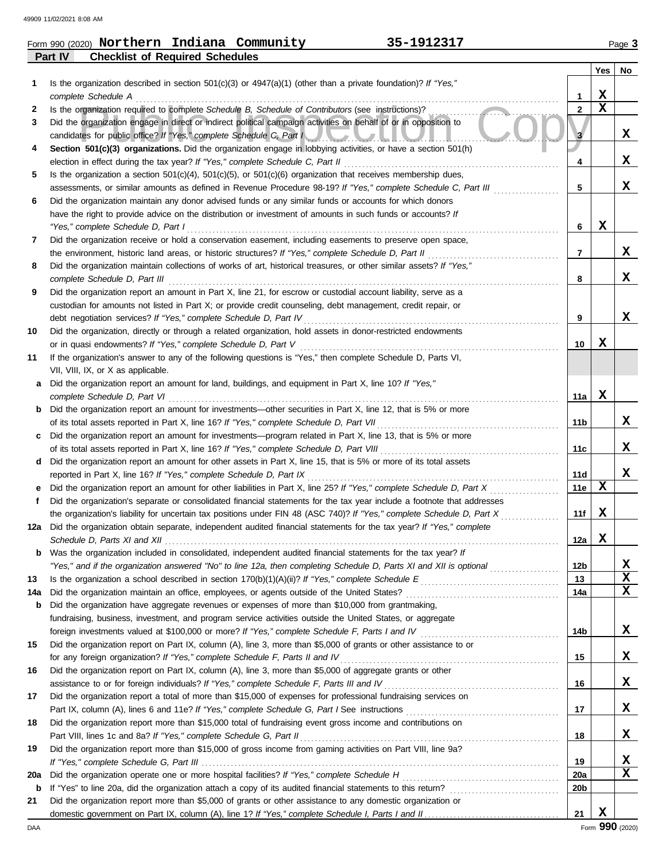|                | Form 990 (2020) Northern               | Indiana | Community | 1912317<br>--- | Page J |
|----------------|----------------------------------------|---------|-----------|----------------|--------|
| <b>Part IV</b> | <b>Checklist of Required Schedules</b> |         |           |                |        |

|     |                                                                                                                                               |             | Yes         | No     |
|-----|-----------------------------------------------------------------------------------------------------------------------------------------------|-------------|-------------|--------|
| 1   | Is the organization described in section $501(c)(3)$ or $4947(a)(1)$ (other than a private foundation)? If "Yes,"                             |             |             |        |
|     | complete Schedule A                                                                                                                           | 1           | х           |        |
| 2   | Is the organization required to complete Schedule B, Schedule of Contributors (see instructions)?                                             | $\mathbf 2$ | $\mathbf x$ |        |
| 3   | Did the organization engage in direct or indirect political campaign activities on behalf of or in opposition to                              |             |             |        |
|     | candidates for public office? If "Yes," complete Schedule C, Part I                                                                           | 3           |             | x      |
| 4   | Section 501(c)(3) organizations. Did the organization engage in lobbying activities, or have a section 501(h)                                 |             |             |        |
|     | election in effect during the tax year? If "Yes," complete Schedule C, Part II                                                                | 4           |             | x      |
| 5   | Is the organization a section $501(c)(4)$ , $501(c)(5)$ , or $501(c)(6)$ organization that receives membership dues,                          |             |             |        |
|     | assessments, or similar amounts as defined in Revenue Procedure 98-19? If "Yes," complete Schedule C, Part III                                | 5           |             | x      |
| 6   | Did the organization maintain any donor advised funds or any similar funds or accounts for which donors                                       |             |             |        |
|     | have the right to provide advice on the distribution or investment of amounts in such funds or accounts? If                                   |             |             |        |
|     | "Yes," complete Schedule D, Part I                                                                                                            | 6           | х           |        |
| 7   | Did the organization receive or hold a conservation easement, including easements to preserve open space,                                     |             |             |        |
|     | the environment, historic land areas, or historic structures? If "Yes," complete Schedule D, Part II                                          | 7           |             | x      |
| 8   | Did the organization maintain collections of works of art, historical treasures, or other similar assets? If "Yes,"                           |             |             |        |
|     | complete Schedule D, Part III                                                                                                                 | 8           |             | x      |
| 9   | Did the organization report an amount in Part X, line 21, for escrow or custodial account liability, serve as a                               |             |             |        |
|     | custodian for amounts not listed in Part X; or provide credit counseling, debt management, credit repair, or                                  |             |             |        |
|     | debt negotiation services? If "Yes," complete Schedule D, Part IV                                                                             | 9           |             | x      |
| 10  | Did the organization, directly or through a related organization, hold assets in donor-restricted endowments                                  |             |             |        |
|     | or in quasi endowments? If "Yes," complete Schedule D, Part V                                                                                 | 10          | x           |        |
| 11  | If the organization's answer to any of the following questions is "Yes," then complete Schedule D, Parts VI,                                  |             |             |        |
|     | VII, VIII, IX, or X as applicable.                                                                                                            |             |             |        |
| a   | Did the organization report an amount for land, buildings, and equipment in Part X, line 10? If "Yes,"                                        | 11a         | х           |        |
| b   | complete Schedule D, Part VI<br>Did the organization report an amount for investments-other securities in Part X, line 12, that is 5% or more |             |             |        |
|     | of its total assets reported in Part X, line 16? If "Yes," complete Schedule D, Part VII                                                      | 11b         |             | x      |
| c   | Did the organization report an amount for investments—program related in Part X, line 13, that is 5% or more                                  |             |             |        |
|     | of its total assets reported in Part X, line 16? If "Yes," complete Schedule D, Part VIII [[[[[[[[[[[[[[[[[[[[                                | 11c         |             | x      |
| d   | Did the organization report an amount for other assets in Part X, line 15, that is 5% or more of its total assets                             |             |             |        |
|     | reported in Part X, line 16? If "Yes," complete Schedule D, Part IX                                                                           | 11d         |             | x      |
| е   | Did the organization report an amount for other liabilities in Part X, line 25? If "Yes," complete Schedule D, Part X                         | 11e         | х           |        |
| f.  | Did the organization's separate or consolidated financial statements for the tax year include a footnote that addresses                       |             |             |        |
|     | the organization's liability for uncertain tax positions under FIN 48 (ASC 740)? If "Yes," complete Schedule D, Part X                        | 11f         | х           |        |
| 12a | Did the organization obtain separate, independent audited financial statements for the tax year? If "Yes," complete                           |             |             |        |
|     |                                                                                                                                               | 12a         | x           |        |
| b   | Was the organization included in consolidated, independent audited financial statements for the tax year? If                                  |             |             |        |
|     | "Yes," and if the organization answered "No" to line 12a, then completing Schedule D, Parts XI and XII is optional <i>manimining</i>          | 12b         |             | X      |
| 13  |                                                                                                                                               | 13          |             | X      |
| 14a |                                                                                                                                               | 14a         |             | X      |
| b   | Did the organization have aggregate revenues or expenses of more than \$10,000 from grantmaking,                                              |             |             |        |
|     | fundraising, business, investment, and program service activities outside the United States, or aggregate                                     |             |             |        |
|     |                                                                                                                                               | 14b         |             | X      |
| 15  | Did the organization report on Part IX, column (A), line 3, more than \$5,000 of grants or other assistance to or                             |             |             |        |
|     | for any foreign organization? If "Yes," complete Schedule F, Parts II and IV                                                                  | 15          |             | X      |
| 16  | Did the organization report on Part IX, column (A), line 3, more than \$5,000 of aggregate grants or other                                    |             |             |        |
|     |                                                                                                                                               | 16          |             | X      |
| 17  | Did the organization report a total of more than \$15,000 of expenses for professional fundraising services on                                |             |             |        |
|     |                                                                                                                                               | 17          |             | X      |
| 18  | Did the organization report more than \$15,000 total of fundraising event gross income and contributions on                                   |             |             |        |
|     | Part VIII, lines 1c and 8a? If "Yes," complete Schedule G, Part II                                                                            | 18          |             | X      |
| 19  | Did the organization report more than \$15,000 of gross income from gaming activities on Part VIII, line 9a?                                  |             |             |        |
|     |                                                                                                                                               | 19          |             | x<br>X |
| 20a |                                                                                                                                               | <b>20a</b>  |             |        |
| b   |                                                                                                                                               | 20b         |             |        |
| 21  | Did the organization report more than \$5,000 of grants or other assistance to any domestic organization or                                   | 21          | X           |        |
|     |                                                                                                                                               |             |             |        |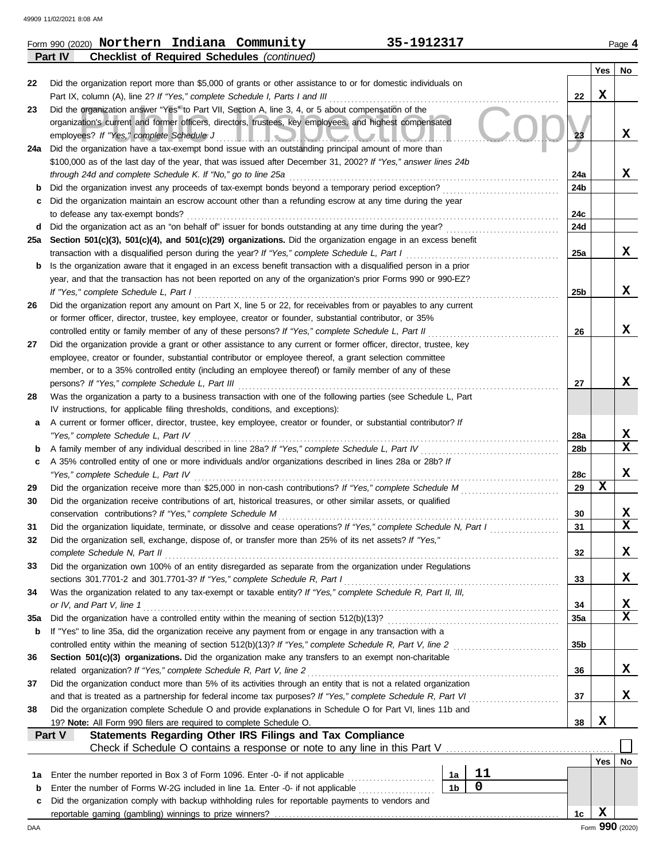|     | <b>Checklist of Required Schedules (continued)</b><br>Part IV                                                      |                |             |                 |     |                 |
|-----|--------------------------------------------------------------------------------------------------------------------|----------------|-------------|-----------------|-----|-----------------|
|     |                                                                                                                    |                |             |                 | Yes | No              |
| 22  | Did the organization report more than \$5,000 of grants or other assistance to or for domestic individuals on      |                |             |                 |     |                 |
|     | Part IX, column (A), line 2? If "Yes," complete Schedule I, Parts I and III                                        |                |             | 22              | X   |                 |
| 23  | Did the organization answer "Yes" to Part VII, Section A, line 3, 4, or 5 about compensation of the                |                |             |                 |     |                 |
|     | organization's current and former officers, directors, trustees, key employees, and highest compensated            |                |             |                 |     |                 |
|     | employees? If "Yes," complete Schedule J<br><u>LIQMUA</u>                                                          |                |             | 23              |     | х               |
| 24a | Did the organization have a tax-exempt bond issue with an outstanding principal amount of more than                |                |             |                 |     |                 |
|     | \$100,000 as of the last day of the year, that was issued after December 31, 2002? If "Yes," answer lines 24b      |                |             |                 |     |                 |
|     | through 24d and complete Schedule K. If "No," go to line 25a                                                       |                |             | 24a             |     | X               |
| b   | Did the organization invest any proceeds of tax-exempt bonds beyond a temporary period exception?                  |                |             | 24b             |     |                 |
| c   | Did the organization maintain an escrow account other than a refunding escrow at any time during the year          |                |             |                 |     |                 |
|     | to defease any tax-exempt bonds?                                                                                   |                |             | 24c             |     |                 |
| d   | Did the organization act as an "on behalf of" issuer for bonds outstanding at any time during the year?            |                |             | 24d             |     |                 |
| 25а | Section 501(c)(3), 501(c)(4), and 501(c)(29) organizations. Did the organization engage in an excess benefit       |                |             |                 |     |                 |
|     | transaction with a disqualified person during the year? If "Yes," complete Schedule L, Part I                      |                |             | 25a             |     | X               |
| b   | Is the organization aware that it engaged in an excess benefit transaction with a disqualified person in a prior   |                |             |                 |     |                 |
|     | year, and that the transaction has not been reported on any of the organization's prior Forms 990 or 990-EZ?       |                |             |                 |     |                 |
|     | If "Yes," complete Schedule L, Part I                                                                              |                |             | 25 <sub>b</sub> |     | X               |
|     |                                                                                                                    |                |             |                 |     |                 |
| 26  | Did the organization report any amount on Part X, line 5 or 22, for receivables from or payables to any current    |                |             |                 |     |                 |
|     | or former officer, director, trustee, key employee, creator or founder, substantial contributor, or 35%            |                |             |                 |     | X               |
|     | controlled entity or family member of any of these persons? If "Yes," complete Schedule L, Part II                 |                |             | 26              |     |                 |
| 27  | Did the organization provide a grant or other assistance to any current or former officer, director, trustee, key  |                |             |                 |     |                 |
|     | employee, creator or founder, substantial contributor or employee thereof, a grant selection committee             |                |             |                 |     |                 |
|     | member, or to a 35% controlled entity (including an employee thereof) or family member of any of these             |                |             |                 |     | х               |
|     | persons? If "Yes," complete Schedule L, Part III                                                                   |                |             | 27              |     |                 |
| 28  | Was the organization a party to a business transaction with one of the following parties (see Schedule L, Part     |                |             |                 |     |                 |
|     | IV instructions, for applicable filing thresholds, conditions, and exceptions):                                    |                |             |                 |     |                 |
| а   | A current or former officer, director, trustee, key employee, creator or founder, or substantial contributor? If   |                |             |                 |     |                 |
|     | "Yes," complete Schedule L, Part IV                                                                                |                |             | 28a             |     | x               |
| b   |                                                                                                                    |                |             | 28b             |     | X               |
| c   | A 35% controlled entity of one or more individuals and/or organizations described in lines 28a or 28b? If          |                |             |                 |     |                 |
|     | "Yes," complete Schedule L, Part IV                                                                                |                |             | 28c             |     | х               |
| 29  | Did the organization receive more than \$25,000 in non-cash contributions? If "Yes," complete Schedule M           |                |             | 29              | X   |                 |
| 30  | Did the organization receive contributions of art, historical treasures, or other similar assets, or qualified     |                |             |                 |     |                 |
|     | conservation contributions? If "Yes," complete Schedule M                                                          |                |             | 30              |     | x               |
| 31  | Did the organization liquidate, terminate, or dissolve and cease operations? If "Yes," complete Schedule N, Part I |                |             | 31              |     | X               |
|     | Did the organization sell, exchange, dispose of, or transfer more than 25% of its net assets? If "Yes,"            |                |             |                 |     |                 |
|     | complete Schedule N, Part II                                                                                       |                |             | 32              |     | X               |
| 33  | Did the organization own 100% of an entity disregarded as separate from the organization under Regulations         |                |             |                 |     |                 |
|     | sections 301.7701-2 and 301.7701-3? If "Yes," complete Schedule R, Part I                                          |                |             | 33              |     | x               |
| 34  | Was the organization related to any tax-exempt or taxable entity? If "Yes," complete Schedule R, Part II, III,     |                |             |                 |     |                 |
|     | or IV, and Part V, line 1                                                                                          |                |             | 34              |     | X               |
| 35a | Did the organization have a controlled entity within the meaning of section 512(b)(13)?                            |                |             | 35a             |     | X               |
| b   | If "Yes" to line 35a, did the organization receive any payment from or engage in any transaction with a            |                |             |                 |     |                 |
|     | controlled entity within the meaning of section 512(b)(13)? If "Yes," complete Schedule R, Part V, line 2          |                |             | 35b             |     |                 |
| 36  | Section 501(c)(3) organizations. Did the organization make any transfers to an exempt non-charitable               |                |             |                 |     |                 |
|     | related organization? If "Yes," complete Schedule R, Part V, line 2                                                |                |             | 36              |     | X               |
| 37  | Did the organization conduct more than 5% of its activities through an entity that is not a related organization   |                |             |                 |     |                 |
|     | and that is treated as a partnership for federal income tax purposes? If "Yes," complete Schedule R, Part VI       |                |             | 37              |     | х               |
| 38  | Did the organization complete Schedule O and provide explanations in Schedule O for Part VI, lines 11b and         |                |             |                 |     |                 |
|     | 19? Note: All Form 990 filers are required to complete Schedule O.                                                 |                |             | 38              | X   |                 |
|     | Part V<br>Statements Regarding Other IRS Filings and Tax Compliance                                                |                |             |                 |     |                 |
|     |                                                                                                                    |                |             |                 |     |                 |
|     |                                                                                                                    |                |             |                 | Yes | No              |
| 1a  | Enter the number reported in Box 3 of Form 1096. Enter -0- if not applicable                                       | 1a             | 11          |                 |     |                 |
| b   | Enter the number of Forms W-2G included in line 1a. Enter -0- if not applicable                                    | 1 <sub>b</sub> | $\mathbf 0$ |                 |     |                 |
| c   | Did the organization comply with backup withholding rules for reportable payments to vendors and                   |                |             |                 |     |                 |
|     |                                                                                                                    |                |             | 1c              | X   |                 |
| DAA |                                                                                                                    |                |             |                 |     | Form 990 (2020) |

|         |  | Form 990 (2020) Northern Indiana Community         | 35-1912317 | Page 4 |
|---------|--|----------------------------------------------------|------------|--------|
| Part IV |  | <b>Checklist of Required Schedules (continued)</b> |            |        |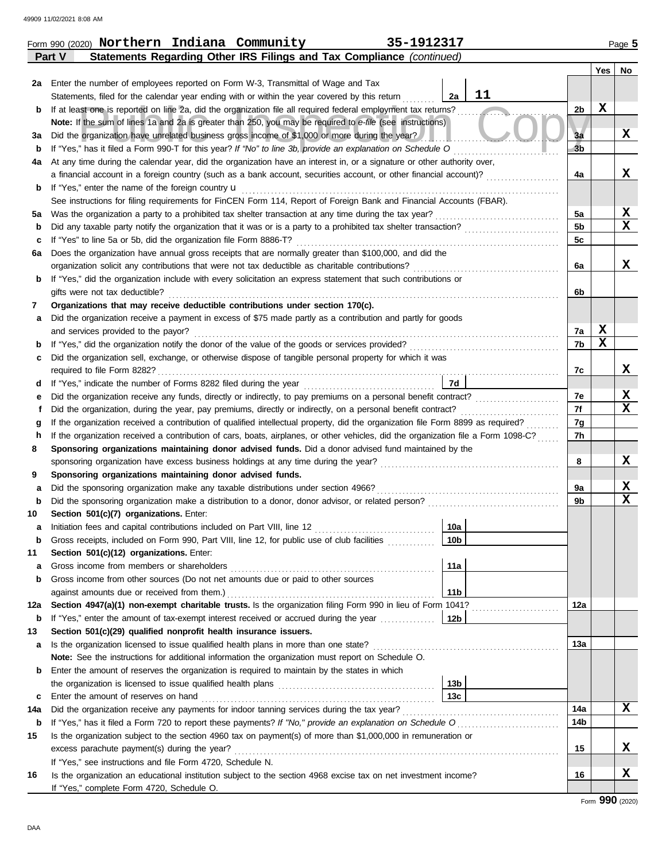|     | 35-1912317<br>Form 990 (2020) Northern Indiana Community                                                                                                                                                                                      |                 |                |             |                  |  |  |  |
|-----|-----------------------------------------------------------------------------------------------------------------------------------------------------------------------------------------------------------------------------------------------|-----------------|----------------|-------------|------------------|--|--|--|
|     | Statements Regarding Other IRS Filings and Tax Compliance (continued)<br>Part V                                                                                                                                                               |                 |                |             |                  |  |  |  |
|     |                                                                                                                                                                                                                                               |                 |                | Yes         | No               |  |  |  |
|     | 2a Enter the number of employees reported on Form W-3, Transmittal of Wage and Tax                                                                                                                                                            |                 |                |             |                  |  |  |  |
|     | Statements, filed for the calendar year ending with or within the year covered by this return                                                                                                                                                 | 11<br>2a        |                |             |                  |  |  |  |
| b   | If at least one is reported on line 2a, did the organization file all required federal employment tax returns?                                                                                                                                |                 | 2 <sub>b</sub> | $\mathbf x$ |                  |  |  |  |
|     | Note: If the sum of lines 1a and 2a is greater than 250, you may be required to e-file (see instructions)                                                                                                                                     |                 |                |             |                  |  |  |  |
| За  | Did the organization have unrelated business gross income of \$1,000 or more during the year?                                                                                                                                                 |                 | 3a             |             | X                |  |  |  |
| b   | If "Yes," has it filed a Form 990-T for this year? If "No" to line 3b, provide an explanation on Schedule O                                                                                                                                   |                 | 3 <sub>b</sub> |             |                  |  |  |  |
| 4a  | At any time during the calendar year, did the organization have an interest in, or a signature or other authority over,<br>a financial account in a foreign country (such as a bank account, securities account, or other financial account)? |                 | 4a             |             | x                |  |  |  |
| b   | If "Yes," enter the name of the foreign country <b>u</b>                                                                                                                                                                                      |                 |                |             |                  |  |  |  |
|     | See instructions for filing requirements for FinCEN Form 114, Report of Foreign Bank and Financial Accounts (FBAR).                                                                                                                           |                 |                |             |                  |  |  |  |
| 5a  | Was the organization a party to a prohibited tax shelter transaction at any time during the tax year?                                                                                                                                         |                 | 5a             |             | X                |  |  |  |
| b   | Did any taxable party notify the organization that it was or is a party to a prohibited tax shelter transaction?                                                                                                                              |                 | 5 <sub>b</sub> |             | $\mathbf x$      |  |  |  |
| c   | If "Yes" to line 5a or 5b, did the organization file Form 8886-T?                                                                                                                                                                             |                 | 5c             |             |                  |  |  |  |
| 6а  | Does the organization have annual gross receipts that are normally greater than \$100,000, and did the                                                                                                                                        |                 |                |             |                  |  |  |  |
|     | organization solicit any contributions that were not tax deductible as charitable contributions?                                                                                                                                              |                 | 6a             |             | x                |  |  |  |
| b   | If "Yes," did the organization include with every solicitation an express statement that such contributions or                                                                                                                                |                 |                |             |                  |  |  |  |
|     | gifts were not tax deductible?                                                                                                                                                                                                                |                 | 6b             |             |                  |  |  |  |
| 7   | Organizations that may receive deductible contributions under section 170(c).                                                                                                                                                                 |                 |                |             |                  |  |  |  |
| а   | Did the organization receive a payment in excess of \$75 made partly as a contribution and partly for goods                                                                                                                                   |                 |                |             |                  |  |  |  |
|     | and services provided to the payor?                                                                                                                                                                                                           |                 | 7a             | X           |                  |  |  |  |
| b   | If "Yes," did the organization notify the donor of the value of the goods or services provided?<br>If "Yes," did the organization notify the donor of the value of the goods or services provided?                                            |                 | 7b             | $\mathbf x$ |                  |  |  |  |
| c   | Did the organization sell, exchange, or otherwise dispose of tangible personal property for which it was                                                                                                                                      |                 |                |             |                  |  |  |  |
|     | required to file Form 8282?                                                                                                                                                                                                                   |                 | 7c             |             | X                |  |  |  |
| d   |                                                                                                                                                                                                                                               | 7d              |                |             |                  |  |  |  |
| е   | Did the organization receive any funds, directly or indirectly, to pay premiums on a personal benefit contract?                                                                                                                               |                 | 7e             |             | X                |  |  |  |
|     | Did the organization, during the year, pay premiums, directly or indirectly, on a personal benefit contract?                                                                                                                                  |                 | 7f             |             | X                |  |  |  |
| g   | If the organization received a contribution of qualified intellectual property, did the organization file Form 8899 as required?                                                                                                              |                 | 7g             |             |                  |  |  |  |
| h   | If the organization received a contribution of cars, boats, airplanes, or other vehicles, did the organization file a Form 1098-C?                                                                                                            |                 | 7h             |             |                  |  |  |  |
| 8   | Sponsoring organizations maintaining donor advised funds. Did a donor advised fund maintained by the                                                                                                                                          |                 |                |             |                  |  |  |  |
|     | sponsoring organization have excess business holdings at any time during the year?                                                                                                                                                            |                 | 8              |             | X                |  |  |  |
| 9   | Sponsoring organizations maintaining donor advised funds.                                                                                                                                                                                     |                 |                |             |                  |  |  |  |
| а   | Did the sponsoring organization make any taxable distributions under section 4966?                                                                                                                                                            |                 | 9a<br>9b       |             | X<br>$\mathbf x$ |  |  |  |
| b   | Section 501(c)(7) organizations. Enter:                                                                                                                                                                                                       |                 |                |             |                  |  |  |  |
| 10  |                                                                                                                                                                                                                                               | 10a             |                |             |                  |  |  |  |
| b   | Gross receipts, included on Form 990, Part VIII, line 12, for public use of club facilities                                                                                                                                                   | 10 <sub>b</sub> |                |             |                  |  |  |  |
| 11  | Section 501(c)(12) organizations. Enter:                                                                                                                                                                                                      |                 |                |             |                  |  |  |  |
| а   | Gross income from members or shareholders                                                                                                                                                                                                     | 11a             |                |             |                  |  |  |  |
| b   | Gross income from other sources (Do not net amounts due or paid to other sources                                                                                                                                                              |                 |                |             |                  |  |  |  |
|     | against amounts due or received from them.)                                                                                                                                                                                                   | 11 <sub>b</sub> |                |             |                  |  |  |  |
| 12a | Section 4947(a)(1) non-exempt charitable trusts. Is the organization filing Form 990 in lieu of Form 1041?                                                                                                                                    |                 | 12a            |             |                  |  |  |  |
| b   | If "Yes," enter the amount of tax-exempt interest received or accrued during the year <i>minimizion</i> .                                                                                                                                     | 12b             |                |             |                  |  |  |  |
| 13  | Section 501(c)(29) qualified nonprofit health insurance issuers.                                                                                                                                                                              |                 |                |             |                  |  |  |  |
| a   | Is the organization licensed to issue qualified health plans in more than one state?                                                                                                                                                          |                 | 13a            |             |                  |  |  |  |
|     | Note: See the instructions for additional information the organization must report on Schedule O.                                                                                                                                             |                 |                |             |                  |  |  |  |
| b   | Enter the amount of reserves the organization is required to maintain by the states in which                                                                                                                                                  |                 |                |             |                  |  |  |  |
|     |                                                                                                                                                                                                                                               | 13 <sub>b</sub> |                |             |                  |  |  |  |
| c   | Enter the amount of reserves on hand                                                                                                                                                                                                          | 13 <sub>c</sub> |                |             |                  |  |  |  |
| 14a | Did the organization receive any payments for indoor tanning services during the tax year?                                                                                                                                                    |                 | 14a            |             | X                |  |  |  |
| b   | If "Yes," has it filed a Form 720 to report these payments? If "No," provide an explanation on Schedule O                                                                                                                                     |                 | 14b            |             |                  |  |  |  |
| 15  | Is the organization subject to the section 4960 tax on payment(s) of more than \$1,000,000 in remuneration or                                                                                                                                 |                 |                |             |                  |  |  |  |
|     | excess parachute payment(s) during the year?                                                                                                                                                                                                  |                 | 15             |             | X                |  |  |  |
|     | If "Yes," see instructions and file Form 4720, Schedule N.                                                                                                                                                                                    |                 |                |             |                  |  |  |  |
| 16  | Is the organization an educational institution subject to the section 4968 excise tax on net investment income?                                                                                                                               |                 | 16             |             | X                |  |  |  |
|     | If "Yes," complete Form 4720, Schedule O.                                                                                                                                                                                                     |                 |                |             |                  |  |  |  |

Form **990** (2020)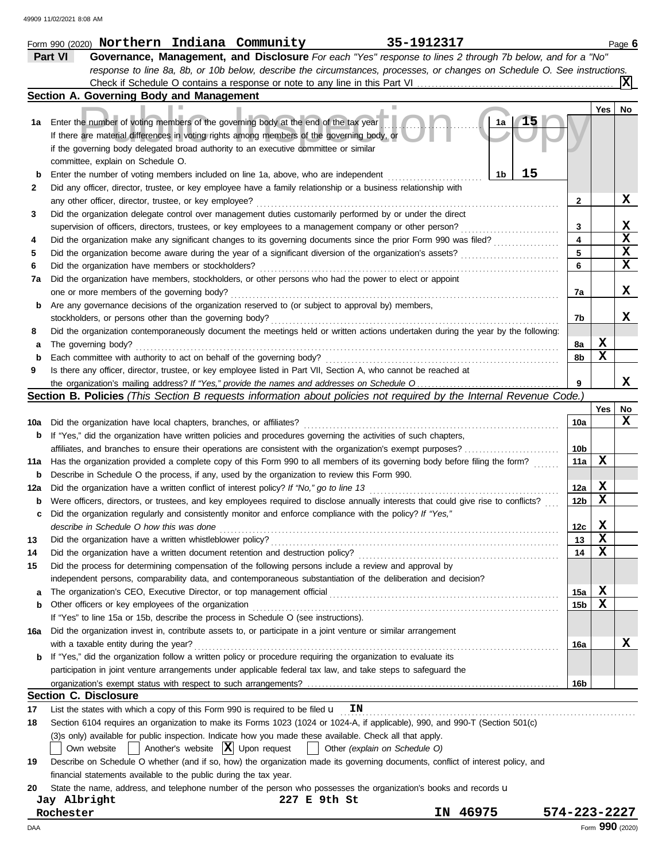|     | 35-1912317<br>Form 990 (2020) Northern Indiana Community                                                                            |                 |     | Page 6          |
|-----|-------------------------------------------------------------------------------------------------------------------------------------|-----------------|-----|-----------------|
|     | Part VI<br>Governance, Management, and Disclosure For each "Yes" response to lines 2 through 7b below, and for a "No"               |                 |     |                 |
|     | response to line 8a, 8b, or 10b below, describe the circumstances, processes, or changes on Schedule O. See instructions.           |                 |     |                 |
|     |                                                                                                                                     |                 |     |                 |
|     | Section A. Governing Body and Management                                                                                            |                 |     |                 |
|     |                                                                                                                                     |                 | Yes | No              |
| 1а  | 1a<br>Enter the number of voting members of the governing body at the end of the tax year                                           |                 |     |                 |
|     | If there are material differences in voting rights among members of the governing body, or                                          |                 |     |                 |
|     | if the governing body delegated broad authority to an executive committee or similar                                                |                 |     |                 |
|     | committee, explain on Schedule O.                                                                                                   |                 |     |                 |
| b   | 15<br>1 <sub>b</sub><br>Enter the number of voting members included on line 1a, above, who are independent                          |                 |     |                 |
| 2   | Did any officer, director, trustee, or key employee have a family relationship or a business relationship with                      |                 |     |                 |
|     | any other officer, director, trustee, or key employee?                                                                              | 2               |     | X               |
| 3   | Did the organization delegate control over management duties customarily performed by or under the direct                           |                 |     |                 |
|     | supervision of officers, directors, trustees, or key employees to a management company or other person?                             | 3               |     | x               |
| 4   | Did the organization make any significant changes to its governing documents since the prior Form 990 was filed?                    | 4               |     | $\mathbf x$     |
| 5   | Did the organization become aware during the year of a significant diversion of the organization's assets?                          | 5               |     | $\mathbf x$     |
| 6   | Did the organization have members or stockholders?                                                                                  | 6               |     | $\mathbf x$     |
| 7a  | Did the organization have members, stockholders, or other persons who had the power to elect or appoint                             |                 |     |                 |
|     | one or more members of the governing body?                                                                                          | 7a              |     | X               |
| b   | Are any governance decisions of the organization reserved to (or subject to approval by) members,                                   |                 |     |                 |
|     | stockholders, or persons other than the governing body?                                                                             | 7b              |     | x               |
| 8   | Did the organization contemporaneously document the meetings held or written actions undertaken during the year by the following:   |                 |     |                 |
| а   | The governing body?                                                                                                                 | 8a              | X   |                 |
| b   | Each committee with authority to act on behalf of the governing body?                                                               | 8b              | X   |                 |
| 9   | Is there any officer, director, trustee, or key employee listed in Part VII, Section A, who cannot be reached at                    |                 |     |                 |
|     |                                                                                                                                     | 9               |     | x               |
|     | <b>Section B. Policies</b> (This Section B requests information about policies not required by the Internal Revenue Code.)          |                 |     |                 |
|     |                                                                                                                                     |                 | Yes | No              |
|     |                                                                                                                                     |                 |     | X               |
| 10a | Did the organization have local chapters, branches, or affiliates?                                                                  | 10a             |     |                 |
| b   | If "Yes," did the organization have written policies and procedures governing the activities of such chapters,                      |                 |     |                 |
|     | affiliates, and branches to ensure their operations are consistent with the organization's exempt purposes?                         | 10b             | X   |                 |
| 11a | Has the organization provided a complete copy of this Form 990 to all members of its governing body before filing the form?         | 11a             |     |                 |
| b   | Describe in Schedule O the process, if any, used by the organization to review this Form 990.                                       |                 |     |                 |
| 12a | Did the organization have a written conflict of interest policy? If "No," go to line 13                                             | 12a             | X   |                 |
| b   | Were officers, directors, or trustees, and key employees required to disclose annually interests that could give rise to conflicts? | 12 <sub>b</sub> | X   |                 |
| c   | Did the organization regularly and consistently monitor and enforce compliance with the policy? If "Yes,"                           |                 |     |                 |
|     | describe in Schedule O how this was done                                                                                            | 12 <sub>c</sub> | X   |                 |
| 13  | Did the organization have a written whistleblower policy?                                                                           | 13              | X   |                 |
| 14  | Did the organization have a written document retention and destruction policy?                                                      | 14              | x   |                 |
| 15  | Did the process for determining compensation of the following persons include a review and approval by                              |                 |     |                 |
|     | independent persons, comparability data, and contemporaneous substantiation of the deliberation and decision?                       |                 |     |                 |
| a   | The organization's CEO, Executive Director, or top management official                                                              | 15a             | X   |                 |
| b   | Other officers or key employees of the organization                                                                                 | 15 <sub>b</sub> | X   |                 |
|     | If "Yes" to line 15a or 15b, describe the process in Schedule O (see instructions).                                                 |                 |     |                 |
| 16a | Did the organization invest in, contribute assets to, or participate in a joint venture or similar arrangement                      |                 |     |                 |
|     | with a taxable entity during the year?                                                                                              | 16a             |     | х               |
|     | If "Yes," did the organization follow a written policy or procedure requiring the organization to evaluate its                      |                 |     |                 |
|     | participation in joint venture arrangements under applicable federal tax law, and take steps to safeguard the                       |                 |     |                 |
|     |                                                                                                                                     | 16b             |     |                 |
|     | <b>Section C. Disclosure</b>                                                                                                        |                 |     |                 |
| 17  | List the states with which a copy of this Form 990 is required to be filed u<br>ΙN                                                  |                 |     |                 |
| 18  | Section 6104 requires an organization to make its Forms 1023 (1024 or 1024-A, if applicable), 990, and 990-T (Section 501(c)        |                 |     |                 |
|     | (3)s only) available for public inspection. Indicate how you made these available. Check all that apply.                            |                 |     |                 |
|     | $\vert$ Another's website $\vert X \vert$ Upon request<br>Own website<br>Other (explain on Schedule O)                              |                 |     |                 |
| 19  | Describe on Schedule O whether (and if so, how) the organization made its governing documents, conflict of interest policy, and     |                 |     |                 |
|     | financial statements available to the public during the tax year.                                                                   |                 |     |                 |
| 20  | State the name, address, and telephone number of the person who possesses the organization's books and records u                    |                 |     |                 |
|     | Jay Albright<br>227 E 9th St                                                                                                        |                 |     |                 |
|     | 46975<br>Rochester<br>IΝ                                                                                                            | 574-223-2227    |     |                 |
| DAA |                                                                                                                                     |                 |     | Form 990 (2020) |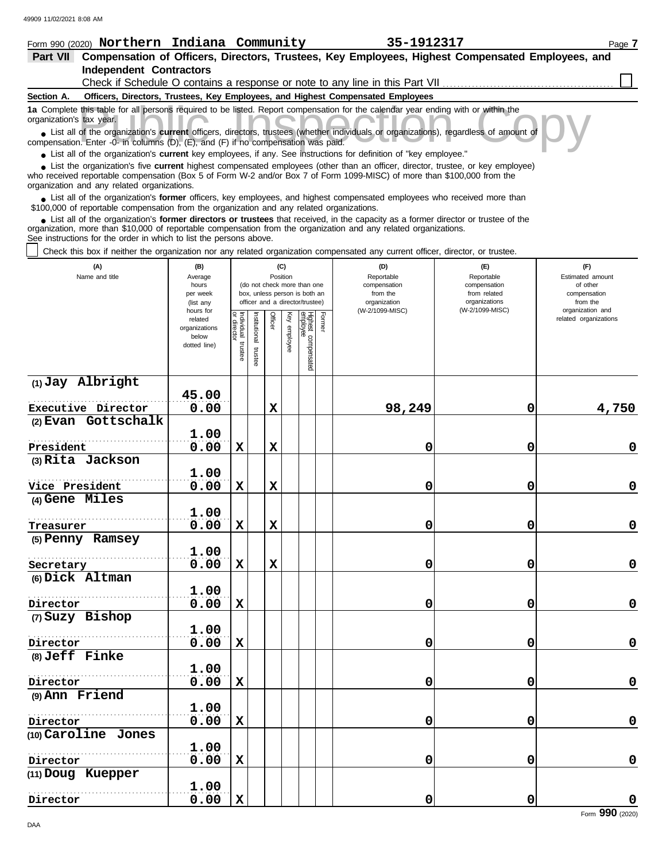#### Form 990 (2020) Page **7 Northern Indiana Community 35-1912317 Part VII Compensation of Officers, Directors, Trustees, Key Employees, Highest Compensated Employees, and Independent Contractors** Check if Schedule O contains a response or note to any line in this Part VII **Officers, Directors, Trustees, Key Employees, and Highest Compensated Employees Section A.** this table for all persons required to be listed. Report compensation for the calendar year ending with or within the tax year.<br>
of the organization's **current** officers, directors, trustees (whether individuals or organiz **1a** Complete this table for all persons required to be listed. Report compensation for the calendar year ending with or within the organization's tax year. ■ List all of the organization's **current** officers, directors, trustees (whether individuals or organizations), regardless of amount of compensation. Enter -0- in columns (D), (E), and (F) if no compensation was paid. ● List all of the organization's **current** key employees, if any. See instructions for definition of "key employee." ■ List the organization's five **current** highest compensated employees (other than an officer, director, trustee, or key employee)<br> **•** Preceived reportable compensation (Box 5 of Form W.2 and/or Box 7 of Form 1000 MISC) who received reportable compensation (Box 5 of Form W-2 and/or Box 7 of Form 1099-MISC) of more than \$100,000 from the organization and any related organizations. ■ List all of the organization's **former** officers, key employees, and highest compensated employees who received more than<br> **•** 00,000 of reportable compensation from the ergonization and any related ergonizations \$100,000 of reportable compensation from the organization and any related organizations. ■ List all of the organization's **former directors or trustees** that received, in the capacity as a former director or trustee of the<br>paization, more than \$10,000 of reportable compensation from the organization and any r organization, more than \$10,000 of reportable compensation from the organization and any related organizations. See instructions for the order in which to list the persons above. Check this box if neither the organization nor any related organization compensated any current officer, director, or trustee. **(A) (B) (C) (D) (E) (F)** Name and title **Name and title Rosition** Average Reportable Reportable Estimated amount (do not check more than one compensation compensation of other<br>compensation hours box, unless person is both an per week from the state of the from related and the compensation officer and a director/trustee) organization organizations from the (list any (W-2/1099-MISC) (W-2/1099-MISC) organization and hours for Former or director Individual trustee Institutional trustee Officer Key employee related Highest compensatec<br><sup>employee</sup> related organizations dividual stitutional director organizations enployee below dotted line) trustee trustee **(1) Jay Albright 45.00** . . . . . . . . . . . . . . . . . . . . . . . . . . . . . . . . . . . . . . . . . . . . . . . . . . . . . . . **Executive Director 0.00 X 98,249 0 4,750 (2) Evan Gottschalk 1.00** . . . . . . . . . . . . . . . . . . . . . . . . . . . . . . . . . . . . . . . . . . . . . . . . . . . . . . . **President 0.00 X X 0 0 0 (3) Rita Jackson 1.00** . . . . . . . . . . . . . . . . . . . . . . . . . . . . . . . . . . . . . . . . . . . . . . . . . . . . . . . **0.00 X X 0 0 0 Vice President (4) Gene Miles 1.00** . . . . . . . . . . . . . . . . . . . . . . . . . . . . . . . . . . . . . . . . . . . . . . . . . . . . . . . **Treasurer 0.00 X X 0 0 0 (5) Penny Ramsey 1.00** . . . . . . . . . . . . . . . . . . . . . . . . . . . . . . . . . . . . . . . . . . . . . . . . . . . . . . . **Secretary 0.00 X X 0 0 0 (6) Dick Altman 1.00** . . . . . . . . . . . . . . . . . . . . . . . . . . . . . . . . . . . . . . . . . . . . . . . . . . . . . . . **Director 0.00 X 0 0 0 (7) Suzy Bishop 1.00** . . . . . . . . . . . . . . . . . . . . . . . . . . . . . . . . . . . . . . . . . . . . . . . . . . . . . . . **0.00 X 0 0 0 Director (8) Jeff Finke**

**0.00 X 0 0 0**

**0.00 X 0 0 0**

**0.00 X 0 0 0**

**(9) Ann Friend**

**Director**

**Director**

**Director**

**Director**

**(10) Caroline Jones**

. . . . . . . . . . . . . . . . . . . . . . . . . . . . . . . . . . . . . . . . . . . . . . . . . . . . . . .

**1.00**

**1.00**

**1.00**

**1.00**

. . . . . . . . . . . . . . . . . . . . . . . . . . . . . . . . . . . . . . . . . . . . . . . . . . . . . . .

. . . . . . . . . . . . . . . . . . . . . . . . . . . . . . . . . . . . . . . . . . . . . . . . . . . . . . .

. . . . . . . . . . . . . . . . . . . . . . . . . . . . . . . . . . . . . . . . . . . . . . . . . . . . . . .

**(11) Doug Kuepper**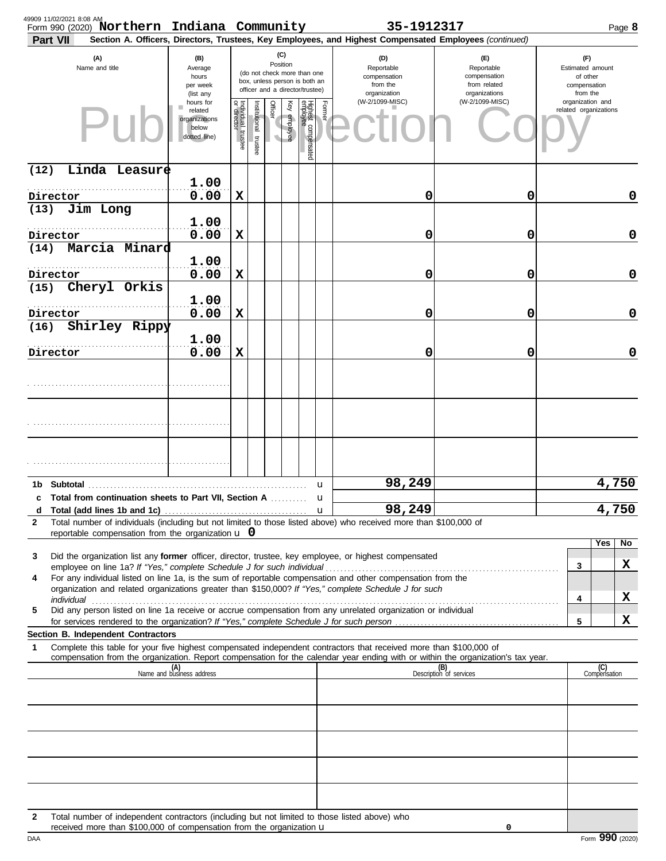| 49909 11/02/2021 8:08 AM<br>Form 990 (2020) Northern Indiana Community<br>Part VII                                                                                                                                                                                                                                                                |                                                                |                                      |                       |         |                 |                                                                                                 |             | 35-1912317<br>Section A. Officers, Directors, Trustees, Key Employees, and Highest Compensated Employees (continued) |                                                                    |                                                                 | Page 8              |
|---------------------------------------------------------------------------------------------------------------------------------------------------------------------------------------------------------------------------------------------------------------------------------------------------------------------------------------------------|----------------------------------------------------------------|--------------------------------------|-----------------------|---------|-----------------|-------------------------------------------------------------------------------------------------|-------------|----------------------------------------------------------------------------------------------------------------------|--------------------------------------------------------------------|-----------------------------------------------------------------|---------------------|
| (A)<br>Name and title                                                                                                                                                                                                                                                                                                                             | (B)<br>Average<br>hours<br>per week<br>(list any               |                                      |                       |         | (C)<br>Position | (do not check more than one<br>box, unless person is both an<br>officer and a director/trustee) |             | (D)<br>Reportable<br>compensation<br>from the<br>organization                                                        | (F)<br>Reportable<br>compensation<br>from related<br>organizations | (F)<br>Estimated amount<br>of other<br>compensation<br>from the |                     |
|                                                                                                                                                                                                                                                                                                                                                   | hours for<br>related<br>organizations<br>below<br>dotted line) | Individual<br>or director<br>trustee | Institutional trustee | Officer | Key employee    | Highest compensated<br>employee                                                                 | Former      | (W-2/1099-MISC)                                                                                                      | (W-2/1099-MISC)                                                    | organization and<br>related organizations                       |                     |
| Linda Leasure<br>(12)                                                                                                                                                                                                                                                                                                                             |                                                                |                                      |                       |         |                 |                                                                                                 |             |                                                                                                                      |                                                                    |                                                                 |                     |
| Director                                                                                                                                                                                                                                                                                                                                          | 1.00<br>0.00                                                   | X                                    |                       |         |                 |                                                                                                 |             | 0                                                                                                                    | 0                                                                  |                                                                 | 0                   |
| Jim Long<br>(13)                                                                                                                                                                                                                                                                                                                                  |                                                                |                                      |                       |         |                 |                                                                                                 |             |                                                                                                                      |                                                                    |                                                                 |                     |
| Director                                                                                                                                                                                                                                                                                                                                          | 1.00<br>0.00                                                   | X                                    |                       |         |                 |                                                                                                 |             | 0                                                                                                                    | 0                                                                  |                                                                 | 0                   |
| Marcia Minard<br>(14)                                                                                                                                                                                                                                                                                                                             | 1.00                                                           |                                      |                       |         |                 |                                                                                                 |             |                                                                                                                      |                                                                    |                                                                 |                     |
| Director<br>Cheryl Orkis<br>(15)                                                                                                                                                                                                                                                                                                                  | 0.00                                                           | X                                    |                       |         |                 |                                                                                                 |             | 0                                                                                                                    | 0                                                                  |                                                                 | 0                   |
|                                                                                                                                                                                                                                                                                                                                                   | 1.00                                                           |                                      |                       |         |                 |                                                                                                 |             |                                                                                                                      |                                                                    |                                                                 | $\mathbf 0$         |
| Director<br>Shirley Rippy<br>(16)                                                                                                                                                                                                                                                                                                                 | 0.00                                                           | X                                    |                       |         |                 |                                                                                                 |             | 0                                                                                                                    | 0                                                                  |                                                                 |                     |
| Director                                                                                                                                                                                                                                                                                                                                          | 1.00<br>0.00                                                   | X                                    |                       |         |                 |                                                                                                 |             | 0                                                                                                                    | 0                                                                  |                                                                 | $\mathbf 0$         |
|                                                                                                                                                                                                                                                                                                                                                   |                                                                |                                      |                       |         |                 |                                                                                                 |             |                                                                                                                      |                                                                    |                                                                 |                     |
|                                                                                                                                                                                                                                                                                                                                                   |                                                                |                                      |                       |         |                 |                                                                                                 |             |                                                                                                                      |                                                                    |                                                                 |                     |
|                                                                                                                                                                                                                                                                                                                                                   |                                                                |                                      |                       |         |                 |                                                                                                 |             |                                                                                                                      |                                                                    |                                                                 |                     |
|                                                                                                                                                                                                                                                                                                                                                   |                                                                |                                      |                       |         |                 |                                                                                                 |             |                                                                                                                      |                                                                    |                                                                 |                     |
| c Total from continuation sheets to Part VII. Section A                                                                                                                                                                                                                                                                                           |                                                                |                                      |                       |         |                 |                                                                                                 | u<br>u      | 98,249                                                                                                               |                                                                    |                                                                 | 4,750               |
|                                                                                                                                                                                                                                                                                                                                                   |                                                                |                                      |                       |         |                 |                                                                                                 | $\mathbf u$ | 98,249                                                                                                               |                                                                    |                                                                 | 4,750               |
| Total number of individuals (including but not limited to those listed above) who received more than \$100,000 of<br>$\mathbf{2}$<br>reportable compensation from the organization $\bf{u}$ 0                                                                                                                                                     |                                                                |                                      |                       |         |                 |                                                                                                 |             |                                                                                                                      |                                                                    |                                                                 |                     |
| Did the organization list any former officer, director, trustee, key employee, or highest compensated<br>3                                                                                                                                                                                                                                        |                                                                |                                      |                       |         |                 |                                                                                                 |             |                                                                                                                      |                                                                    |                                                                 | Yes<br>No           |
| employee on line 1a? If "Yes," complete Schedule J for such individual [11][11] content to the set on line 1a? If "Yes," complete Schedule J for such individual [11][11] content to the set of the set of the set of the set<br>For any individual listed on line 1a, is the sum of reportable compensation and other compensation from the<br>4 |                                                                |                                      |                       |         |                 |                                                                                                 |             |                                                                                                                      |                                                                    | 3                                                               | X                   |
| organization and related organizations greater than \$150,000? If "Yes," complete Schedule J for such                                                                                                                                                                                                                                             |                                                                |                                      |                       |         |                 |                                                                                                 |             |                                                                                                                      |                                                                    | 4                                                               | X                   |
| Did any person listed on line 1a receive or accrue compensation from any unrelated organization or individual<br>5                                                                                                                                                                                                                                |                                                                |                                      |                       |         |                 |                                                                                                 |             |                                                                                                                      |                                                                    |                                                                 |                     |
| for services rendered to the organization? If "Yes," complete Schedule J for such person<br>Section B. Independent Contractors                                                                                                                                                                                                                    |                                                                |                                      |                       |         |                 |                                                                                                 |             |                                                                                                                      |                                                                    | 5                                                               | x                   |
| Complete this table for your five highest compensated independent contractors that received more than \$100,000 of<br>1<br>compensation from the organization. Report compensation for the calendar year ending with or within the organization's tax year.                                                                                       |                                                                |                                      |                       |         |                 |                                                                                                 |             |                                                                                                                      |                                                                    |                                                                 |                     |
|                                                                                                                                                                                                                                                                                                                                                   | (A)<br>Name and business address                               |                                      |                       |         |                 |                                                                                                 |             |                                                                                                                      | (B)<br>Description of services                                     |                                                                 | (C)<br>Compensation |
|                                                                                                                                                                                                                                                                                                                                                   |                                                                |                                      |                       |         |                 |                                                                                                 |             |                                                                                                                      |                                                                    |                                                                 |                     |
|                                                                                                                                                                                                                                                                                                                                                   |                                                                |                                      |                       |         |                 |                                                                                                 |             |                                                                                                                      |                                                                    |                                                                 |                     |
|                                                                                                                                                                                                                                                                                                                                                   |                                                                |                                      |                       |         |                 |                                                                                                 |             |                                                                                                                      |                                                                    |                                                                 |                     |
|                                                                                                                                                                                                                                                                                                                                                   |                                                                |                                      |                       |         |                 |                                                                                                 |             |                                                                                                                      |                                                                    |                                                                 |                     |
|                                                                                                                                                                                                                                                                                                                                                   |                                                                |                                      |                       |         |                 |                                                                                                 |             |                                                                                                                      |                                                                    |                                                                 |                     |
| $\mathbf{2}$<br>Total number of independent contractors (including but not limited to those listed above) who<br>received more than \$100,000 of compensation from the organization u                                                                                                                                                             |                                                                |                                      |                       |         |                 |                                                                                                 |             |                                                                                                                      | 0                                                                  |                                                                 |                     |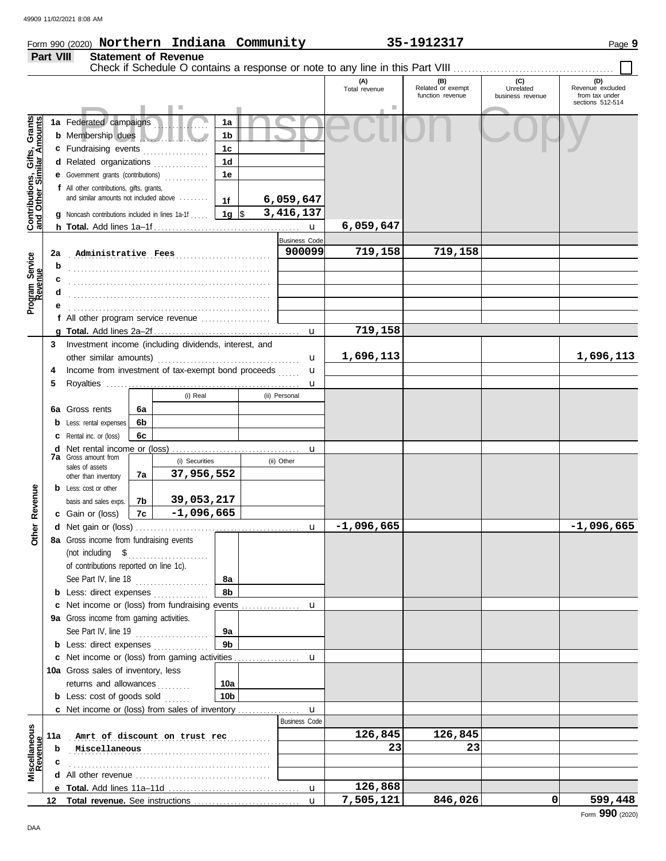#### Form 990 (2020) Page **9 Northern Indiana Community 35-1912317 Part VIII Statement of Revenue** Check if Schedule O contains a response or note to any line in this Part VIII ....... **(A) (B) (C) (D)** Total revenue Related or exempt Unrelated Revenue excluded function revenue business revenue from tax under sections 512-514 Public Inspection Copy <u>ិទី</u> **Contributions, Gifts, Grants and Other Similar Amounts 1a** Federated campaigns **. . . . . . . . . . . . 1a** Contributions, Gifts, Gran<br>and Other Similar Amount **1b b** Membership dues . . . . . . . . . . . . . . . . . . . **1c c** Fundraising events **. . . . . . . . . . . . . .** . . **1d d** Related organizations . . . . . . . . . . . . . **1e e** Government grants (contributions) . . . . . . . . . . . . **f** All other contributions, gifts, grants, and similar amounts not included above ........ **6,059,647 1f 1g** \$ . . . . . . . . . . . . . . . . . . . . . **3,416,137 g** Noncash contributions included in lines 1a-1f . . . . . **6,059,647 h Total.** Add lines 1a–1f . . . . . . . . . . . . . . . . . . . . . . . . . . . . . . . . . . . . . . . . u Business Code . . . . . . . . . . . . . . . . . . . . . . . . . . . . . . . . . . . . . . . . . . . . . . . . . . . . . . . **2a Administrative Fees 900099 719,158 719,158** Program Service<br>Revenue **Program Service b** . . . . . . . . . . . . . . . . . . . . . . . . . . . . . . . . . . . . . . . . . . . . . . . . . . . . . . . **c** . . . . . . . . . . . . . . . . . . . . . . . . . . . . . . . . . . . . . . . . . . . . . . . . . . . . . . . **d** . . . . . . . . . . . . . . . . . . . . . . . . . . . . . . . . . . . . . . . . . . . . . . . . . . . . . . . **e** . . . . . . . . . . . . . . . . . . . . . . . . . . . . . . . . . . . . . . . . . . . . . . . . . . . . . . . **f** All other program service revenue . . . . . . . . . . . . . . . . . . . **719,158 g Total.** Add lines 2a–2f . . . . . . . . . . . . . . . . . . . . . . . . . . . . . . . . . . . . . . . . u **3** Investment income (including dividends, interest, and **1,696,113 1,696,113** other similar amounts) . . . . . . . . . . . . . . . . . . . . . . . . . . . . . . . . . . . . . . . u u **4** Income from investment of tax-exempt bond proceeds ...... **5** Royalties . . . . . . . . . . . . . . . . . . . . . . . . . . . . . . . . . . . . . . . . . . . . . . . . . . . . . u (i) Real (ii) Personal **6a 6a** Gross rents **6b b** Less: rental expenses **6c c** Rental inc. or (loss) **d** Net rental income or (loss) . . . . . . . . . . . . . . . . . . . . . . . . . . . . . . . . . . . u **7a** Gross amount from (i) Securities (ii) Other sales of assets **37,956,552 7a** other than inventory Revenue **b** Less: cost or other **Other Revenue 7b 39,053,217** basis and sales exps. **-1,096,665 7c c** Gain or (loss) Other I **-1,096,665 -1,096,665 d** u Net gain or (loss) . . . . . . . . . . . . . . . . . . . . . . . . . . . . . . . . . . . . . . . . . . . . . **8a** Gross income from fundraising events (not including \$ . . . . . . . . . . . . . . . . . . . . . . of contributions reported on line 1c). See Part IV, line 18 . . . . . . . . . . . . . . . . . . . . **8a 8b b** Less: direct expenses . . . . . . . . . . . . . u **c** Net income or (loss) from fundraising events ............... **9a** Gross income from gaming activities. See Part IV, line 19 . . . . . . . . . . . . . . . . . . . . **9a 9b b** Less: direct expenses ............... u Net income or (loss) from gaming activities . . . . . . . . . . . . . . . . . . **c** 10a Gross sales of inventory, less returns and allowances .......... **10a 10b b** Less: cost of goods sold  $\ldots$ Net income or (loss) from sales of inventory . . . . . . . . . . . . . . . . . **c** u Business Code **Revenue Miscellaneous 11a** . . . . . . . . . . . . . . . . . . . . . . . . . . . . . . . . . . . . . . . . . . . . . . . . . . . . . . . **Amrt of discount on trust rec 126,845 126,845** . . . . . . . . . . . . . . . . . . . . . . . . . . . . . . . . . . . . . . . . . . . . . . . . . . . . . . . **Miscellaneous 23 23 b c** . . . . . . . . . . . . . . . . . . . . . . . . . . . . . . . . . . . . . . . . . . . . . . . . . . . . . . . **d** All other revenue . . . . . . . . . . . . . . . . . . . . . . . . . . . . . . . . . . . . . **126,868** u **e Total.** Add lines 11a–11d . . . . . . . . . . . . . . . . . . . . . . . . . . . . . . . . . . . .

u

**7,505,121 846,026 0 599,448**

**12 Total revenue.** See instructions ................................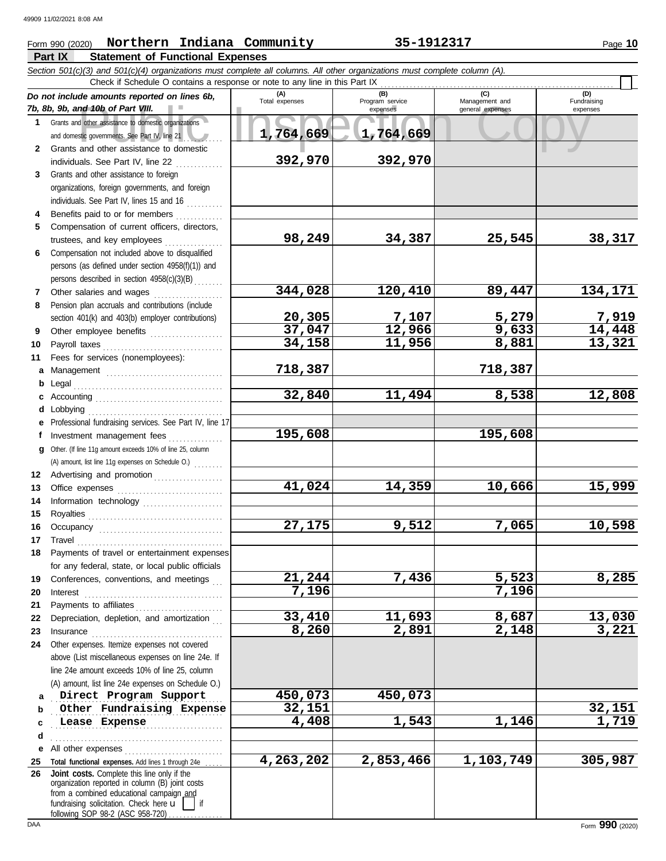### **Part IX Statement of Functional Expenses** Form 990 (2020) Page **10 Northern Indiana Community 35-1912317**

|              | Section 501(c)(3) and 501(c)(4) organizations must complete all columns. All other organizations must complete column (A). |                       |                        |                    |                    |
|--------------|----------------------------------------------------------------------------------------------------------------------------|-----------------------|------------------------|--------------------|--------------------|
|              | Check if Schedule O contains a response or note to any line in this Part IX                                                |                       |                        |                    |                    |
|              | Do not include amounts reported on lines 6b,                                                                               | (A)<br>Total expenses | (B)<br>Program service | Management and     | (D)<br>Fundraising |
|              | 7b, 8b, 9b, and 10b of Part VIII.                                                                                          |                       | expenses               | general expenses   | expenses           |
|              | 1 Grants and other assistance to domestic organizations                                                                    |                       |                        |                    |                    |
|              | and domestic governments. See Part IV, line 21                                                                             | 1,764,669             | 1,764,669              |                    |                    |
| $\mathbf{2}$ | Grants and other assistance to domestic                                                                                    |                       |                        |                    |                    |
|              | individuals. See Part IV, line 22                                                                                          | 392,970               | 392,970                |                    |                    |
| 3            | Grants and other assistance to foreign                                                                                     |                       |                        |                    |                    |
|              | organizations, foreign governments, and foreign<br>individuals. See Part IV, lines 15 and 16                               |                       |                        |                    |                    |
| 4            | Benefits paid to or for members                                                                                            |                       |                        |                    |                    |
| 5            | Compensation of current officers, directors,                                                                               |                       |                        |                    |                    |
|              | trustees, and key employees                                                                                                | 98,249                | 34,387                 | 25,545             | 38,317             |
| 6            | Compensation not included above to disqualified                                                                            |                       |                        |                    |                    |
|              | persons (as defined under section 4958(f)(1)) and                                                                          |                       |                        |                    |                    |
|              | persons described in section 4958(c)(3)(B)                                                                                 |                       |                        |                    |                    |
| 7            | Other salaries and wages                                                                                                   | 344,028               | 120,410                | 89,447             | 134,171            |
| 8            | Pension plan accruals and contributions (include                                                                           |                       |                        |                    |                    |
|              | section 401(k) and 403(b) employer contributions)                                                                          | 20,305                |                        | 5,279              |                    |
| 9            | Other employee benefits                                                                                                    | 37,047                | $\frac{7,107}{12,966}$ | 9,633              | 7,919<br>14,448    |
| 10           |                                                                                                                            | 34,158                | 11,956                 | 8,881              | 13,321             |
| 11           | Fees for services (nonemployees):                                                                                          |                       |                        |                    |                    |
| a            |                                                                                                                            | 718,387               |                        | 718,387            |                    |
| b            |                                                                                                                            |                       |                        |                    |                    |
| c            |                                                                                                                            | 32,840                | 11,494                 | 8,538              | 12,808             |
| d            | Lobbying                                                                                                                   |                       |                        |                    |                    |
|              | Professional fundraising services. See Part IV, line 17                                                                    |                       |                        |                    |                    |
| f            | Investment management fees                                                                                                 | 195,608               |                        | 195,608            |                    |
| a            | Other. (If line 11g amount exceeds 10% of line 25, column                                                                  |                       |                        |                    |                    |
|              | (A) amount, list line 11g expenses on Schedule O.)                                                                         |                       |                        |                    |                    |
|              | 12 Advertising and promotion [11] [11] Advertising and promotion                                                           | 41,024                | 14,359                 | 10,666             | 15,999             |
| 13           |                                                                                                                            |                       |                        |                    |                    |
| 14<br>15     | Information technology                                                                                                     |                       |                        |                    |                    |
| 16           |                                                                                                                            | 27,175                | 9,512                  | 7,065              | 10,598             |
| 17           |                                                                                                                            |                       |                        |                    |                    |
| 18           | Payments of travel or entertainment expenses                                                                               |                       |                        |                    |                    |
|              | for any federal, state, or local public officials                                                                          |                       |                        |                    |                    |
| 19           | Conferences, conventions, and meetings                                                                                     | 21,244                | 7,436                  | 5,523              | 8,285              |
| 20           | Interest                                                                                                                   | 7,196                 |                        | 7,196              |                    |
| 21           | Payments to affiliates                                                                                                     |                       |                        |                    |                    |
| 22           | Depreciation, depletion, and amortization                                                                                  | 33,410                | 11,693                 | 8,687              | 13,030             |
| 23           | Insurance <b>continuous</b>                                                                                                | 8,260                 | 2,891                  | $\overline{2,}148$ | 3,221              |
| 24           | Other expenses. Itemize expenses not covered                                                                               |                       |                        |                    |                    |
|              | above (List miscellaneous expenses on line 24e. If                                                                         |                       |                        |                    |                    |
|              | line 24e amount exceeds 10% of line 25, column                                                                             |                       |                        |                    |                    |
|              | (A) amount, list line 24e expenses on Schedule O.)                                                                         |                       |                        |                    |                    |
| a            | Direct Program Support                                                                                                     | 450,073               | 450,073                |                    |                    |
| b            | Other Fundraising Expense                                                                                                  | 32,151                |                        |                    | <u>32,151</u>      |
| c            | Lease Expense                                                                                                              | 4,408                 | 1,543                  | 1,146              | 1,719              |
| d            |                                                                                                                            |                       |                        |                    |                    |
| е            | All other expenses<br>Total functional expenses. Add lines 1 through 24e                                                   | 4,263,202             | 2,853,466              | 1,103,749          | 305,987            |
| 25<br>26     | Joint costs. Complete this line only if the                                                                                |                       |                        |                    |                    |
|              | organization reported in column (B) joint costs                                                                            |                       |                        |                    |                    |
|              | from a combined educational campaign and<br>fundraising solicitation. Check here $\mathbf{u}$<br>if                        |                       |                        |                    |                    |
|              | $f$ ollowing $S$ OP 98.2 ( $\Delta$ SC 958.720)                                                                            |                       |                        |                    |                    |

following SOP 98-2 (ASC 958-720) . . . . . . . . . . . . .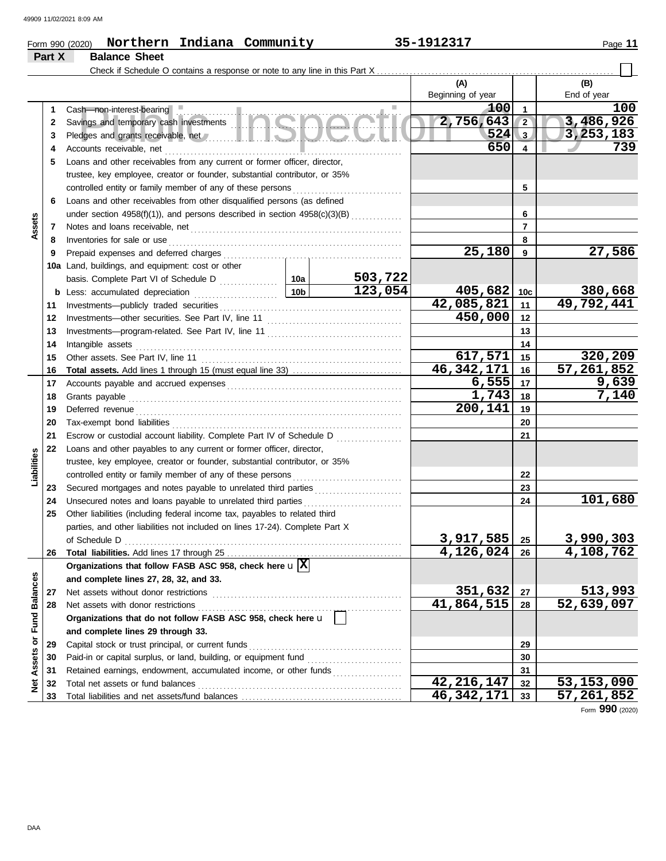## Form 990 (2020) Page **11 Northern Indiana Community 35-1912317 Part X Balance Sheet** Check if Schedule O contains a response or note to any line in this Part X . . . . . . . . . . . . . . . . . . . . . . . . . . . . . . . . . . . . . . . . . . . . . . . . . . . . . . . . . . . . . . . . .

|                      |    |                                                                                                                                                                                                                                      |                 |         | (A)               |                 | (B)          |
|----------------------|----|--------------------------------------------------------------------------------------------------------------------------------------------------------------------------------------------------------------------------------------|-----------------|---------|-------------------|-----------------|--------------|
|                      |    |                                                                                                                                                                                                                                      |                 |         | Beginning of year |                 | End of year  |
|                      | 1  | Cash-non-interest-bearing                                                                                                                                                                                                            |                 |         | 100               | 1               | 100          |
|                      | 2  |                                                                                                                                                                                                                                      |                 |         | 2,756,643         | $2^{\circ}$     | 3,486,926    |
|                      | 3  | Pledges and grants receivable, net <b>All and School and School and School and School and School and School and School and School and School and School and School and School and School and School and School and School and Sc</b> |                 |         | 524               | 3 <sub>l</sub>  | 3, 253, 183  |
|                      | 4  | Accounts receivable, net                                                                                                                                                                                                             |                 | .       | 650               | 4               | 739          |
|                      | 5  | Loans and other receivables from any current or former officer, director,                                                                                                                                                            |                 |         |                   |                 |              |
|                      |    | trustee, key employee, creator or founder, substantial contributor, or 35%                                                                                                                                                           |                 |         |                   |                 |              |
|                      |    | controlled entity or family member of any of these persons                                                                                                                                                                           |                 |         |                   | 5               |              |
|                      | 6  | Loans and other receivables from other disqualified persons (as defined                                                                                                                                                              |                 |         |                   |                 |              |
|                      |    | under section 4958(f)(1)), and persons described in section 4958(c)(3)(B)                                                                                                                                                            |                 |         |                   | 6               |              |
| Assets               | 7  |                                                                                                                                                                                                                                      |                 |         |                   | $\overline{7}$  |              |
|                      | 8  | Inventories for sale or use                                                                                                                                                                                                          |                 |         |                   | 8               |              |
|                      | 9  |                                                                                                                                                                                                                                      |                 |         | 25,180            | 9               | 27,586       |
|                      |    | 10a Land, buildings, and equipment: cost or other                                                                                                                                                                                    |                 |         |                   |                 |              |
|                      |    |                                                                                                                                                                                                                                      |                 | 503,722 |                   |                 |              |
|                      |    | <b>b</b> Less: accumulated depreciation                                                                                                                                                                                              | 10 <sub>b</sub> | 123,054 | 405,682           | 10 <sub>c</sub> | 380,668      |
|                      | 11 | Investments-publicly traded securities                                                                                                                                                                                               |                 |         | 42,085,821        | 11              | 49,792,441   |
|                      | 12 |                                                                                                                                                                                                                                      |                 |         | 450,000           | 12              |              |
|                      | 13 |                                                                                                                                                                                                                                      |                 |         |                   | 13              |              |
|                      | 14 | Intangible assets                                                                                                                                                                                                                    |                 | 14      |                   |                 |              |
|                      | 15 | Other assets. See Part IV, line 11                                                                                                                                                                                                   |                 |         | 617,571           | 15              | 320,209      |
|                      | 16 |                                                                                                                                                                                                                                      |                 |         | 46, 342, 171      | 16              | 57, 261, 852 |
|                      | 17 |                                                                                                                                                                                                                                      |                 |         | 6,555             | 17              | 9,639        |
|                      | 18 | Grants payable <i>communication</i> and all the contract of the contract of the contract of the contract of the contract of the contract of the contract of the contract of the contract of the contract of the contract of the con  |                 |         | 1,743             | 18              | 7,140        |
|                      | 19 | Deferred revenue                                                                                                                                                                                                                     |                 | 200,141 | 19                |                 |              |
|                      | 20 |                                                                                                                                                                                                                                      |                 | 20      |                   |                 |              |
|                      | 21 | Escrow or custodial account liability. Complete Part IV of Schedule D                                                                                                                                                                |                 |         | 21                |                 |              |
|                      | 22 | Loans and other payables to any current or former officer, director,                                                                                                                                                                 |                 |         |                   |                 |              |
| Liabilities          |    | trustee, key employee, creator or founder, substantial contributor, or 35%                                                                                                                                                           |                 |         |                   |                 |              |
|                      |    | controlled entity or family member of any of these persons                                                                                                                                                                           |                 |         |                   | 22              |              |
|                      | 23 |                                                                                                                                                                                                                                      |                 |         |                   | 23              |              |
|                      | 24 | Unsecured notes and loans payable to unrelated third parties                                                                                                                                                                         |                 |         |                   | 24              | 101,680      |
|                      | 25 | Other liabilities (including federal income tax, payables to related third                                                                                                                                                           |                 |         |                   |                 |              |
|                      |    | parties, and other liabilities not included on lines 17-24). Complete Part X                                                                                                                                                         |                 |         |                   |                 |              |
|                      |    | of Schedule D                                                                                                                                                                                                                        |                 |         | 3,917,585         | 25              | 3,990,303    |
|                      | 26 |                                                                                                                                                                                                                                      |                 |         | 4,126,024         | 26              | 4,108,762    |
|                      |    | Organizations that follow FASB ASC 958, check here $\mathbf{u} \mathbf{X}$                                                                                                                                                           |                 |         |                   |                 |              |
| <b>Fund Balances</b> |    | and complete lines 27, 28, 32, and 33.                                                                                                                                                                                               |                 |         |                   |                 |              |
|                      | 27 | Net assets without donor restrictions                                                                                                                                                                                                |                 |         | 351,632           | 27              | 513,993      |
|                      | 28 | Net assets with donor restrictions                                                                                                                                                                                                   |                 |         | 41,864,515        | 28              | 52,639,097   |
|                      |    | Organizations that do not follow FASB ASC 958, check here u                                                                                                                                                                          |                 |         |                   |                 |              |
|                      |    | and complete lines 29 through 33.                                                                                                                                                                                                    |                 |         |                   |                 |              |
|                      | 29 | Capital stock or trust principal, or current funds                                                                                                                                                                                   |                 |         |                   | 29              |              |
| Assets or            | 30 | Paid-in or capital surplus, or land, building, or equipment fund                                                                                                                                                                     |                 |         |                   | 30              |              |
|                      | 31 | Retained earnings, endowment, accumulated income, or other funds                                                                                                                                                                     |                 |         |                   | 31              |              |
| Net                  | 32 | Total net assets or fund balances                                                                                                                                                                                                    |                 |         | 42, 216, 147      | 32              | 53, 153, 090 |
|                      | 33 |                                                                                                                                                                                                                                      |                 |         | 46, 342, 171      | 33              | 57, 261, 852 |

Form **990** (2020)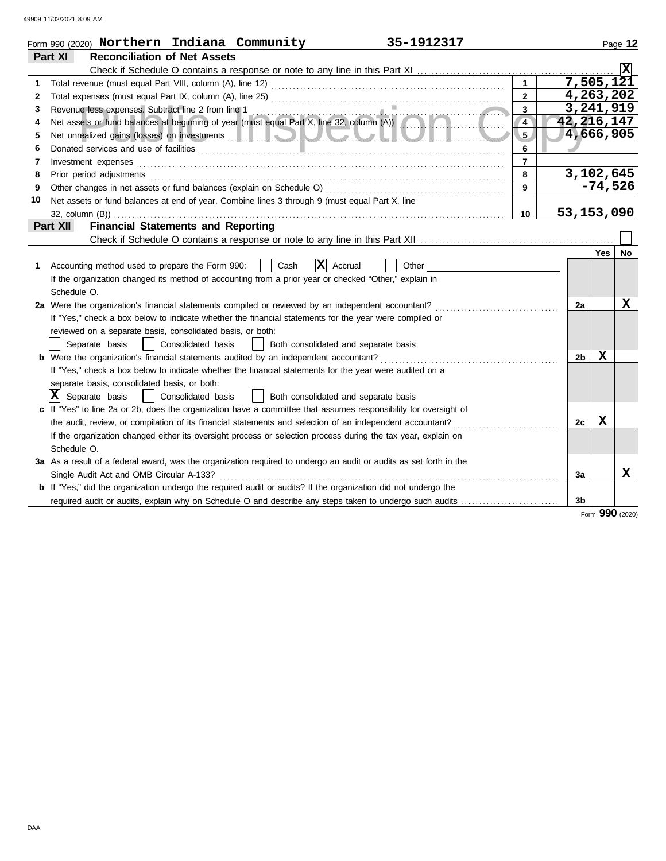|    | 35-1912317<br>Form 990 (2020) Northern Indiana Community                                                                                        |                         |              |             | Page 12         |
|----|-------------------------------------------------------------------------------------------------------------------------------------------------|-------------------------|--------------|-------------|-----------------|
|    | <b>Reconciliation of Net Assets</b><br>Part XI                                                                                                  |                         |              |             |                 |
|    | Check if Schedule O contains a response or note to any line in this Part XI                                                                     |                         |              |             |                 |
|    |                                                                                                                                                 |                         | 7,505,121    |             |                 |
| 2  |                                                                                                                                                 | $\overline{2}$          | 4,263,202    |             |                 |
| 3  | Revenue less expenses. Subtract line 2 from line 1                                                                                              | $\overline{\mathbf{3}}$ | 3,241,919    |             |                 |
| 4  | Revenue less expenses. Subtract line 2 from line 1<br>Net assets or fund balances at beginning of year (must equal Part X, line 32, column (A)) | $\overline{4}$          | 42, 216, 147 |             |                 |
| 5  |                                                                                                                                                 | 5.                      | 4,666,905    |             |                 |
| 6  | Donated services and use of facilities <b>constructs</b> and the service of the service of the service of facilities                            | 6                       |              |             |                 |
| 7  | Investment expenses                                                                                                                             | $\overline{7}$          |              |             |                 |
| 8  | Prior period adjustments                                                                                                                        | 8                       | 3,102,645    |             |                 |
| 9  |                                                                                                                                                 | 9                       |              | $-74,526$   |                 |
| 10 | Net assets or fund balances at end of year. Combine lines 3 through 9 (must equal Part X, line                                                  |                         |              |             |                 |
|    | 32, column (B))                                                                                                                                 | 10                      | 53, 153, 090 |             |                 |
|    | <b>Financial Statements and Reporting</b><br>Part XII                                                                                           |                         |              |             |                 |
|    |                                                                                                                                                 |                         |              |             |                 |
|    |                                                                                                                                                 |                         |              | Yes         | No              |
| 1  | X <br>Accounting method used to prepare the Form 990:<br>Cash<br>Accrual<br>Other                                                               |                         |              |             |                 |
|    | If the organization changed its method of accounting from a prior year or checked "Other," explain in                                           |                         |              |             |                 |
|    | Schedule O.                                                                                                                                     |                         |              |             |                 |
|    | 2a Were the organization's financial statements compiled or reviewed by an independent accountant?                                              |                         | 2a           |             | х               |
|    | If "Yes," check a box below to indicate whether the financial statements for the year were compiled or                                          |                         |              |             |                 |
|    | reviewed on a separate basis, consolidated basis, or both:                                                                                      |                         |              |             |                 |
|    | Consolidated basis<br>Separate basis<br>Both consolidated and separate basis                                                                    |                         |              |             |                 |
|    | <b>b</b> Were the organization's financial statements audited by an independent accountant?                                                     |                         | 2b           | X           |                 |
|    | If "Yes," check a box below to indicate whether the financial statements for the year were audited on a                                         |                         |              |             |                 |
|    | separate basis, consolidated basis, or both:                                                                                                    |                         |              |             |                 |
|    | $ \mathbf{X} $ Separate basis<br>Consolidated basis<br>Both consolidated and separate basis                                                     |                         |              |             |                 |
|    | c If "Yes" to line 2a or 2b, does the organization have a committee that assumes responsibility for oversight of                                |                         |              |             |                 |
|    | the audit, review, or compilation of its financial statements and selection of an independent accountant?                                       |                         | 2c           | $\mathbf x$ |                 |
|    | If the organization changed either its oversight process or selection process during the tax year, explain on                                   |                         |              |             |                 |
|    | Schedule O.                                                                                                                                     |                         |              |             |                 |
|    | 3a As a result of a federal award, was the organization required to undergo an audit or audits as set forth in the                              |                         |              |             |                 |
|    | Single Audit Act and OMB Circular A-133?                                                                                                        |                         | 3a           |             | x               |
|    | <b>b</b> If "Yes," did the organization undergo the required audit or audits? If the organization did not undergo the                           |                         |              |             |                 |
|    | required audit or audits, explain why on Schedule O and describe any steps taken to undergo such audits                                         |                         | 3b           |             |                 |
|    |                                                                                                                                                 |                         |              |             | Form 990 (2020) |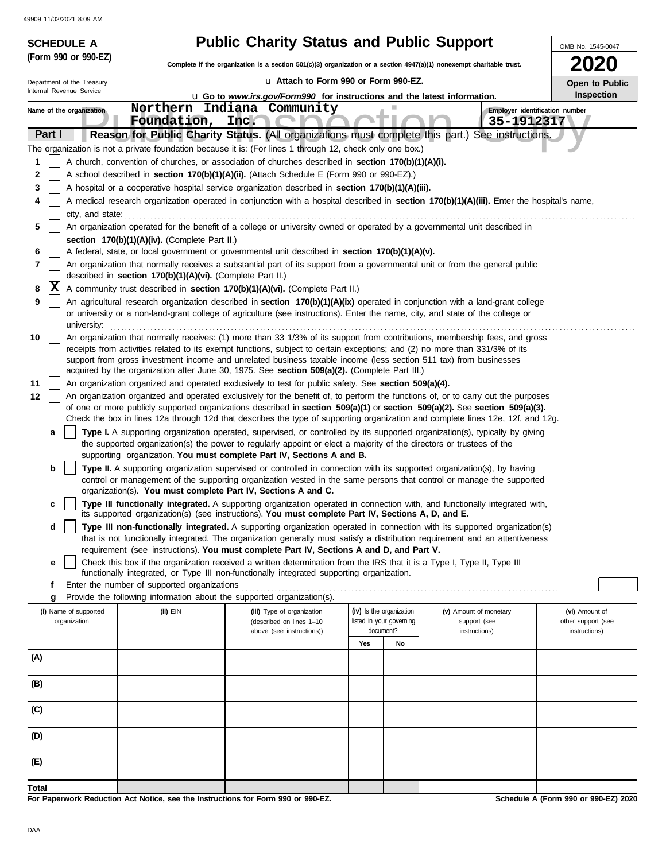|        | <b>SCHEDULE A</b>                                                                                                                                                                                                  |                                                            | <b>Public Charity Status and Public Support</b>                                                                                                                                                                                                                |     |                          |                        | OMB No. 1545-0047                    |  |  |  |
|--------|--------------------------------------------------------------------------------------------------------------------------------------------------------------------------------------------------------------------|------------------------------------------------------------|----------------------------------------------------------------------------------------------------------------------------------------------------------------------------------------------------------------------------------------------------------------|-----|--------------------------|------------------------|--------------------------------------|--|--|--|
|        | (Form 990 or 990-EZ)                                                                                                                                                                                               |                                                            | Complete if the organization is a section 501(c)(3) organization or a section 4947(a)(1) nonexempt charitable trust.                                                                                                                                           |     |                          |                        | <b>2020</b>                          |  |  |  |
|        | Department of the Treasury                                                                                                                                                                                         |                                                            | La Attach to Form 990 or Form 990-EZ.                                                                                                                                                                                                                          |     |                          |                        | Open to Public                       |  |  |  |
|        | Internal Revenue Service                                                                                                                                                                                           |                                                            | Inspection<br><b>u</b> Go to www.irs.gov/Form990 for instructions and the latest information.                                                                                                                                                                  |     |                          |                        |                                      |  |  |  |
|        | Name of the organization                                                                                                                                                                                           |                                                            | Northern Indiana Community                                                                                                                                                                                                                                     |     |                          |                        | Employer identification number       |  |  |  |
| Part I |                                                                                                                                                                                                                    | Foundation,                                                | Inc.<br>Reason for Public Charity Status. (All organizations must complete this part.) See instructions.                                                                                                                                                       |     |                          | 35-1912317             |                                      |  |  |  |
|        |                                                                                                                                                                                                                    |                                                            | The organization is not a private foundation because it is: (For lines 1 through 12, check only one box.)                                                                                                                                                      |     |                          |                        |                                      |  |  |  |
| 1      |                                                                                                                                                                                                                    |                                                            | A church, convention of churches, or association of churches described in section 170(b)(1)(A)(i).                                                                                                                                                             |     |                          |                        |                                      |  |  |  |
| 2      |                                                                                                                                                                                                                    |                                                            | A school described in section 170(b)(1)(A)(ii). (Attach Schedule E (Form 990 or 990-EZ).)                                                                                                                                                                      |     |                          |                        |                                      |  |  |  |
| 3      |                                                                                                                                                                                                                    |                                                            | A hospital or a cooperative hospital service organization described in section 170(b)(1)(A)(iii).                                                                                                                                                              |     |                          |                        |                                      |  |  |  |
|        | A medical research organization operated in conjunction with a hospital described in section 170(b)(1)(A)(iii). Enter the hospital's name,                                                                         |                                                            |                                                                                                                                                                                                                                                                |     |                          |                        |                                      |  |  |  |
| 5      | city, and state:                                                                                                                                                                                                   |                                                            | An organization operated for the benefit of a college or university owned or operated by a governmental unit described in                                                                                                                                      |     |                          |                        |                                      |  |  |  |
|        |                                                                                                                                                                                                                    | section 170(b)(1)(A)(iv). (Complete Part II.)              |                                                                                                                                                                                                                                                                |     |                          |                        |                                      |  |  |  |
| 6      |                                                                                                                                                                                                                    |                                                            | A federal, state, or local government or governmental unit described in section 170(b)(1)(A)(v).                                                                                                                                                               |     |                          |                        |                                      |  |  |  |
| 7      |                                                                                                                                                                                                                    | described in section 170(b)(1)(A)(vi). (Complete Part II.) | An organization that normally receives a substantial part of its support from a governmental unit or from the general public                                                                                                                                   |     |                          |                        |                                      |  |  |  |
| 8      | X                                                                                                                                                                                                                  |                                                            | A community trust described in section 170(b)(1)(A)(vi). (Complete Part II.)                                                                                                                                                                                   |     |                          |                        |                                      |  |  |  |
| 9      |                                                                                                                                                                                                                    |                                                            | An agricultural research organization described in section 170(b)(1)(A)(ix) operated in conjunction with a land-grant college                                                                                                                                  |     |                          |                        |                                      |  |  |  |
|        | university:                                                                                                                                                                                                        |                                                            | or university or a non-land-grant college of agriculture (see instructions). Enter the name, city, and state of the college or                                                                                                                                 |     |                          |                        |                                      |  |  |  |
| 10     |                                                                                                                                                                                                                    |                                                            | An organization that normally receives: (1) more than 33 1/3% of its support from contributions, membership fees, and gross                                                                                                                                    |     |                          |                        |                                      |  |  |  |
|        | receipts from activities related to its exempt functions, subject to certain exceptions; and (2) no more than 331/3% of its                                                                                        |                                                            |                                                                                                                                                                                                                                                                |     |                          |                        |                                      |  |  |  |
|        | support from gross investment income and unrelated business taxable income (less section 511 tax) from businesses<br>acquired by the organization after June 30, 1975. See section 509(a)(2). (Complete Part III.) |                                                            |                                                                                                                                                                                                                                                                |     |                          |                        |                                      |  |  |  |
| 11     | An organization organized and operated exclusively to test for public safety. See section 509(a)(4).                                                                                                               |                                                            |                                                                                                                                                                                                                                                                |     |                          |                        |                                      |  |  |  |
| 12     |                                                                                                                                                                                                                    |                                                            | An organization organized and operated exclusively for the benefit of, to perform the functions of, or to carry out the purposes                                                                                                                               |     |                          |                        |                                      |  |  |  |
|        |                                                                                                                                                                                                                    |                                                            | of one or more publicly supported organizations described in section 509(a)(1) or section 509(a)(2). See section 509(a)(3).                                                                                                                                    |     |                          |                        |                                      |  |  |  |
| a      |                                                                                                                                                                                                                    |                                                            | Check the box in lines 12a through 12d that describes the type of supporting organization and complete lines 12e, 12f, and 12g.<br>Type I. A supporting organization operated, supervised, or controlled by its supported organization(s), typically by giving |     |                          |                        |                                      |  |  |  |
|        |                                                                                                                                                                                                                    |                                                            | the supported organization(s) the power to regularly appoint or elect a majority of the directors or trustees of the                                                                                                                                           |     |                          |                        |                                      |  |  |  |
|        |                                                                                                                                                                                                                    |                                                            | supporting organization. You must complete Part IV, Sections A and B.                                                                                                                                                                                          |     |                          |                        |                                      |  |  |  |
| b      |                                                                                                                                                                                                                    |                                                            | Type II. A supporting organization supervised or controlled in connection with its supported organization(s), by having<br>control or management of the supporting organization vested in the same persons that control or manage the supported                |     |                          |                        |                                      |  |  |  |
|        |                                                                                                                                                                                                                    |                                                            | organization(s). You must complete Part IV, Sections A and C.                                                                                                                                                                                                  |     |                          |                        |                                      |  |  |  |
| c      |                                                                                                                                                                                                                    |                                                            | Type III functionally integrated. A supporting organization operated in connection with, and functionally integrated with,<br>its supported organization(s) (see instructions). You must complete Part IV, Sections A, D, and E.                               |     |                          |                        |                                      |  |  |  |
| d      |                                                                                                                                                                                                                    |                                                            | Type III non-functionally integrated. A supporting organization operated in connection with its supported organization(s)                                                                                                                                      |     |                          |                        |                                      |  |  |  |
|        |                                                                                                                                                                                                                    |                                                            | that is not functionally integrated. The organization generally must satisfy a distribution requirement and an attentiveness<br>requirement (see instructions). You must complete Part IV, Sections A and D, and Part V.                                       |     |                          |                        |                                      |  |  |  |
| e      |                                                                                                                                                                                                                    |                                                            | Check this box if the organization received a written determination from the IRS that it is a Type I, Type II, Type III                                                                                                                                        |     |                          |                        |                                      |  |  |  |
| f      |                                                                                                                                                                                                                    | Enter the number of supported organizations                | functionally integrated, or Type III non-functionally integrated supporting organization.                                                                                                                                                                      |     |                          |                        |                                      |  |  |  |
| g      |                                                                                                                                                                                                                    |                                                            | Provide the following information about the supported organization(s).                                                                                                                                                                                         |     |                          |                        |                                      |  |  |  |
|        | (i) Name of supported                                                                                                                                                                                              | $(ii)$ EIN                                                 | (iii) Type of organization                                                                                                                                                                                                                                     |     | (iv) Is the organization | (v) Amount of monetary | (vi) Amount of                       |  |  |  |
|        | organization                                                                                                                                                                                                       |                                                            | (described on lines 1-10                                                                                                                                                                                                                                       |     | listed in your governing | support (see           | other support (see                   |  |  |  |
|        |                                                                                                                                                                                                                    |                                                            | above (see instructions))                                                                                                                                                                                                                                      | Yes | document?<br>No          | instructions)          | instructions)                        |  |  |  |
| (A)    |                                                                                                                                                                                                                    |                                                            |                                                                                                                                                                                                                                                                |     |                          |                        |                                      |  |  |  |
|        |                                                                                                                                                                                                                    |                                                            |                                                                                                                                                                                                                                                                |     |                          |                        |                                      |  |  |  |
| (B)    |                                                                                                                                                                                                                    |                                                            |                                                                                                                                                                                                                                                                |     |                          |                        |                                      |  |  |  |
| (C)    |                                                                                                                                                                                                                    |                                                            |                                                                                                                                                                                                                                                                |     |                          |                        |                                      |  |  |  |
|        |                                                                                                                                                                                                                    |                                                            |                                                                                                                                                                                                                                                                |     |                          |                        |                                      |  |  |  |
| (D)    |                                                                                                                                                                                                                    |                                                            |                                                                                                                                                                                                                                                                |     |                          |                        |                                      |  |  |  |
| (E)    |                                                                                                                                                                                                                    |                                                            |                                                                                                                                                                                                                                                                |     |                          |                        |                                      |  |  |  |
|        |                                                                                                                                                                                                                    |                                                            |                                                                                                                                                                                                                                                                |     |                          |                        |                                      |  |  |  |
| Total  |                                                                                                                                                                                                                    |                                                            | For Paperwork Reduction Act Notice, see the Instructions for Form 990 or 990-EZ.                                                                                                                                                                               |     |                          |                        | Schedule A (Form 990 or 990-EZ) 2020 |  |  |  |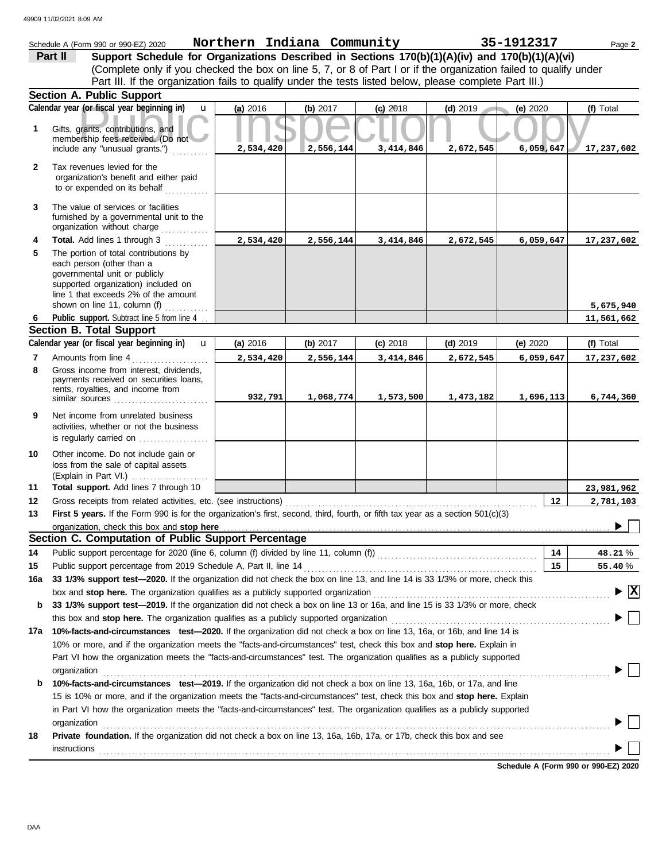|              | Schedule A (Form 990 or 990-EZ) 2020                                                                                                                                                                               | Northern Indiana Community |            |            |            | 35-1912317 | Page 2                                        |  |  |  |
|--------------|--------------------------------------------------------------------------------------------------------------------------------------------------------------------------------------------------------------------|----------------------------|------------|------------|------------|------------|-----------------------------------------------|--|--|--|
|              | Support Schedule for Organizations Described in Sections 170(b)(1)(A)(iv) and 170(b)(1)(A)(vi)<br>Part II                                                                                                          |                            |            |            |            |            |                                               |  |  |  |
|              | (Complete only if you checked the box on line 5, 7, or 8 of Part I or if the organization failed to qualify under                                                                                                  |                            |            |            |            |            |                                               |  |  |  |
|              | Part III. If the organization fails to qualify under the tests listed below, please complete Part III.)                                                                                                            |                            |            |            |            |            |                                               |  |  |  |
|              | Section A. Public Support                                                                                                                                                                                          |                            |            |            |            |            |                                               |  |  |  |
|              | Calendar year (or fiscal year beginning in)<br>$\mathbf{u}$                                                                                                                                                        | (a) 2016                   | (b) $2017$ | $(c)$ 2018 | $(d)$ 2019 | (e) 2020   | (f) Total                                     |  |  |  |
| 1            | Gifts, grants, contributions, and<br>membership fees received. (Do not<br>include any "unusual grants.")                                                                                                           | 2,534,420                  | 2,556,144  | 3,414,846  | 2,672,545  | 6,059,647  | 17,237,602                                    |  |  |  |
| $\mathbf{2}$ | Tax revenues levied for the<br>organization's benefit and either paid<br>to or expended on its behalf                                                                                                              |                            |            |            |            |            |                                               |  |  |  |
| 3            | The value of services or facilities<br>furnished by a governmental unit to the<br>organization without charge                                                                                                      |                            |            |            |            |            |                                               |  |  |  |
| 4            | Total. Add lines 1 through 3                                                                                                                                                                                       | 2,534,420                  | 2,556,144  | 3,414,846  | 2,672,545  | 6,059,647  | 17,237,602                                    |  |  |  |
| 5            | The portion of total contributions by<br>each person (other than a<br>governmental unit or publicly<br>supported organization) included on<br>line 1 that exceeds 2% of the amount<br>shown on line 11, column (f) |                            |            |            |            |            | 5,675,940                                     |  |  |  |
| 6            | Public support. Subtract line 5 from line 4                                                                                                                                                                        |                            |            |            |            |            | 11,561,662                                    |  |  |  |
|              | <b>Section B. Total Support</b>                                                                                                                                                                                    |                            |            |            |            |            |                                               |  |  |  |
|              | Calendar year (or fiscal year beginning in)<br>$\mathbf{u}$                                                                                                                                                        | (a) 2016                   | (b) $2017$ | $(c)$ 2018 | $(d)$ 2019 | (e) 2020   | (f) Total                                     |  |  |  |
| 7            | Amounts from line 4                                                                                                                                                                                                | 2,534,420                  | 2,556,144  | 3,414,846  | 2,672,545  | 6,059,647  | 17,237,602                                    |  |  |  |
| 8            | Gross income from interest, dividends,<br>payments received on securities loans,<br>rents, royalties, and income from                                                                                              | 932,791                    | 1,068,774  | 1,573,500  | 1,473,182  | 1,696,113  | 6,744,360                                     |  |  |  |
| 9            | Net income from unrelated business<br>activities, whether or not the business<br>is regularly carried on                                                                                                           |                            |            |            |            |            |                                               |  |  |  |
| 10           | Other income. Do not include gain or<br>loss from the sale of capital assets                                                                                                                                       |                            |            |            |            |            |                                               |  |  |  |
| 11           | Total support. Add lines 7 through 10                                                                                                                                                                              |                            |            |            |            |            | 23,981,962                                    |  |  |  |
| 12           | Gross receipts from related activities, etc. (see instructions)                                                                                                                                                    |                            |            |            |            | 12         | 2,781,103                                     |  |  |  |
| 13           | First 5 years. If the Form 990 is for the organization's first, second, third, fourth, or fifth tax year as a section 501(c)(3)                                                                                    |                            |            |            |            |            |                                               |  |  |  |
|              | organization, check this box and stop here<br>Section C. Computation of Public Support Percentage                                                                                                                  |                            |            |            |            |            |                                               |  |  |  |
|              |                                                                                                                                                                                                                    |                            |            |            |            |            |                                               |  |  |  |
| 14<br>15     | Public support percentage for 2020 (line 6, column (f) divided by line 11, column (f)) [[[[[[[[[[[[[[[[[[[[[[                                                                                                      |                            |            |            |            | 14<br>15   | 48.21%                                        |  |  |  |
| 16a          | Public support percentage from 2019 Schedule A, Part II, line 14<br>33 1/3% support test-2020. If the organization did not check the box on line 13, and line 14 is 33 1/3% or more, check this                    |                            |            |            |            |            | 55.40%                                        |  |  |  |
|              | box and stop here. The organization qualifies as a publicly supported organization                                                                                                                                 |                            |            |            |            |            | $\blacktriangleright$ $\overline{\mathtt{x}}$ |  |  |  |
| b            | 33 1/3% support test-2019. If the organization did not check a box on line 13 or 16a, and line 15 is 33 1/3% or more, check                                                                                        |                            |            |            |            |            |                                               |  |  |  |
|              | this box and stop here. The organization qualifies as a publicly supported organization                                                                                                                            |                            |            |            |            |            |                                               |  |  |  |
|              | 17a 10%-facts-and-circumstances test-2020. If the organization did not check a box on line 13, 16a, or 16b, and line 14 is                                                                                         |                            |            |            |            |            |                                               |  |  |  |
|              | 10% or more, and if the organization meets the "facts-and-circumstances" test, check this box and stop here. Explain in                                                                                            |                            |            |            |            |            |                                               |  |  |  |
|              | Part VI how the organization meets the "facts-and-circumstances" test. The organization qualifies as a publicly supported                                                                                          |                            |            |            |            |            |                                               |  |  |  |
|              | organization                                                                                                                                                                                                       |                            |            |            |            |            |                                               |  |  |  |
| b            | 10%-facts-and-circumstances test-2019. If the organization did not check a box on line 13, 16a, 16b, or 17a, and line                                                                                              |                            |            |            |            |            |                                               |  |  |  |
|              | 15 is 10% or more, and if the organization meets the "facts-and-circumstances" test, check this box and stop here. Explain                                                                                         |                            |            |            |            |            |                                               |  |  |  |
|              | in Part VI how the organization meets the "facts-and-circumstances" test. The organization qualifies as a publicly supported                                                                                       |                            |            |            |            |            |                                               |  |  |  |
|              | organization<br>Private foundation. If the organization did not check a box on line 13, 16a, 16b, 17a, or 17b, check this box and see                                                                              |                            |            |            |            |            |                                               |  |  |  |
| 18           | instructions                                                                                                                                                                                                       |                            |            |            |            |            |                                               |  |  |  |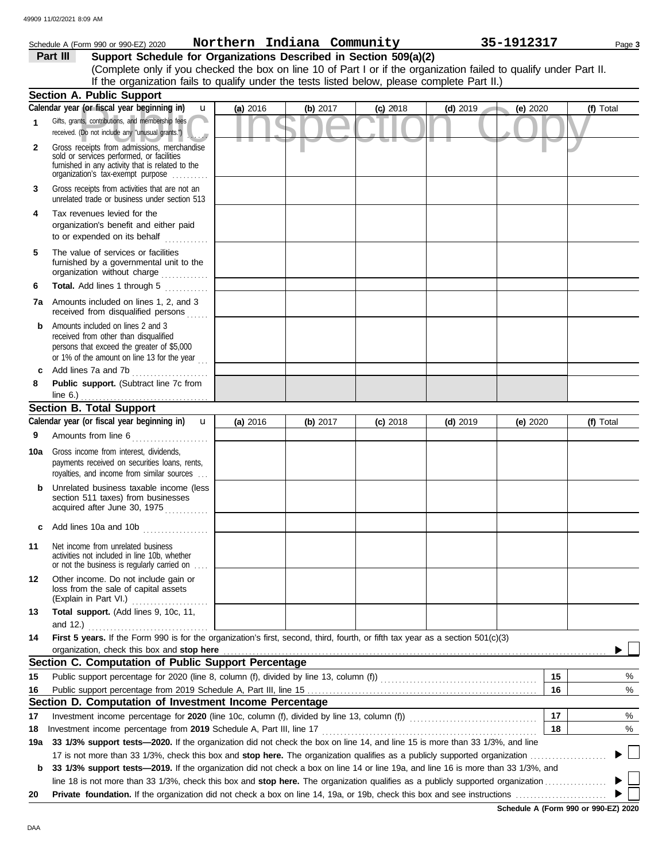|              | Schedule A (Form 990 or 990-EZ) 2020                                                                                                                                              | Northern Indiana Community |            |            |            | 35-1912317 | Page 3    |  |  |
|--------------|-----------------------------------------------------------------------------------------------------------------------------------------------------------------------------------|----------------------------|------------|------------|------------|------------|-----------|--|--|
|              | Support Schedule for Organizations Described in Section 509(a)(2)<br>Part III                                                                                                     |                            |            |            |            |            |           |  |  |
|              | (Complete only if you checked the box on line 10 of Part I or if the organization failed to qualify under Part II.                                                                |                            |            |            |            |            |           |  |  |
|              | If the organization fails to qualify under the tests listed below, please complete Part II.)                                                                                      |                            |            |            |            |            |           |  |  |
|              | <b>Section A. Public Support</b>                                                                                                                                                  |                            |            |            |            |            |           |  |  |
|              | Calendar year (or fiscal year beginning in)<br>$\mathbf{u}$                                                                                                                       | (a) 2016                   | (b) $2017$ | $(c)$ 2018 | $(d)$ 2019 | (e) 2020   | (f) Total |  |  |
| 1            | Gifts, grants, contributions, and membership fees<br>received. (Do not include any "unusual grants.")                                                                             |                            |            |            |            |            |           |  |  |
| $\mathbf{2}$ | Gross receipts from admissions, merchandise<br>sold or services performed, or facilities<br>furnished in any activity that is related to the<br>organization's tax-exempt purpose |                            |            |            |            |            |           |  |  |
| 3            | Gross receipts from activities that are not an<br>unrelated trade or business under section 513                                                                                   |                            |            |            |            |            |           |  |  |
| 4            | Tax revenues levied for the<br>organization's benefit and either paid<br>to or expended on its behalf                                                                             |                            |            |            |            |            |           |  |  |
| 5            | The value of services or facilities<br>furnished by a governmental unit to the<br>organization without charge                                                                     |                            |            |            |            |            |           |  |  |
| 6            | Total. Add lines 1 through 5                                                                                                                                                      |                            |            |            |            |            |           |  |  |
|              | <b>7a</b> Amounts included on lines 1, 2, and 3<br>received from disqualified persons                                                                                             |                            |            |            |            |            |           |  |  |
| b            | Amounts included on lines 2 and 3<br>received from other than disqualified<br>persons that exceed the greater of \$5,000<br>or 1% of the amount on line 13 for the year $\ldots$  |                            |            |            |            |            |           |  |  |
| c            | Add lines 7a and 7b                                                                                                                                                               |                            |            |            |            |            |           |  |  |
| 8            | Public support. (Subtract line 7c from                                                                                                                                            |                            |            |            |            |            |           |  |  |
|              | line $6.$ )                                                                                                                                                                       |                            |            |            |            |            |           |  |  |
|              | <b>Section B. Total Support</b>                                                                                                                                                   |                            |            |            |            |            |           |  |  |
|              | Calendar year (or fiscal year beginning in) <b>u</b>                                                                                                                              | (a) 2016                   | (b) 2017   | $(c)$ 2018 | $(d)$ 2019 | (e) $2020$ | (f) Total |  |  |
| 9            | Amounts from line 6                                                                                                                                                               |                            |            |            |            |            |           |  |  |
| 10a          | Gross income from interest, dividends,<br>payments received on securities loans, rents,<br>royalties, and income from similar sources                                             |                            |            |            |            |            |           |  |  |
| b            | Unrelated business taxable income (less<br>section 511 taxes) from businesses<br>acquired after June 30, 1975                                                                     |                            |            |            |            |            |           |  |  |
| c            | Add lines 10a and 10b                                                                                                                                                             |                            |            |            |            |            |           |  |  |
| 11           | Net income from unrelated business<br>activities not included in line 10b, whether<br>or not the business is regularly carried on                                                 |                            |            |            |            |            |           |  |  |
| 12           | Other income. Do not include gain or<br>loss from the sale of capital assets                                                                                                      |                            |            |            |            |            |           |  |  |
| 13           | Total support. (Add lines 9, 10c, 11,                                                                                                                                             |                            |            |            |            |            |           |  |  |
|              | and $12.$ )                                                                                                                                                                       |                            |            |            |            |            |           |  |  |
| 14           | First 5 years. If the Form 990 is for the organization's first, second, third, fourth, or fifth tax year as a section 501(c)(3)                                                   |                            |            |            |            |            |           |  |  |
|              | organization, check this box and stop here                                                                                                                                        |                            |            |            |            |            |           |  |  |
|              | Section C. Computation of Public Support Percentage                                                                                                                               |                            |            |            |            |            |           |  |  |
| 15           |                                                                                                                                                                                   |                            |            |            |            | 15         | %         |  |  |
| 16           | Section D. Computation of Investment Income Percentage                                                                                                                            |                            |            |            |            | 16         | %         |  |  |
|              |                                                                                                                                                                                   |                            |            |            |            | 17         |           |  |  |
| 17<br>18     | Investment income percentage for 2020 (line 10c, column (f), divided by line 13, column (f)) contain the percentage of the 10c, column (f)                                        |                            |            |            |            | 18         | %<br>%    |  |  |
| 19a          | 33 1/3% support tests-2020. If the organization did not check the box on line 14, and line 15 is more than 33 1/3%, and line                                                      |                            |            |            |            |            |           |  |  |
|              |                                                                                                                                                                                   |                            |            |            |            |            |           |  |  |
| b            | 33 1/3% support tests-2019. If the organization did not check a box on line 14 or line 19a, and line 16 is more than 33 1/3%, and                                                 |                            |            |            |            |            |           |  |  |
|              |                                                                                                                                                                                   |                            |            |            |            |            |           |  |  |
| 20           |                                                                                                                                                                                   |                            |            |            |            |            |           |  |  |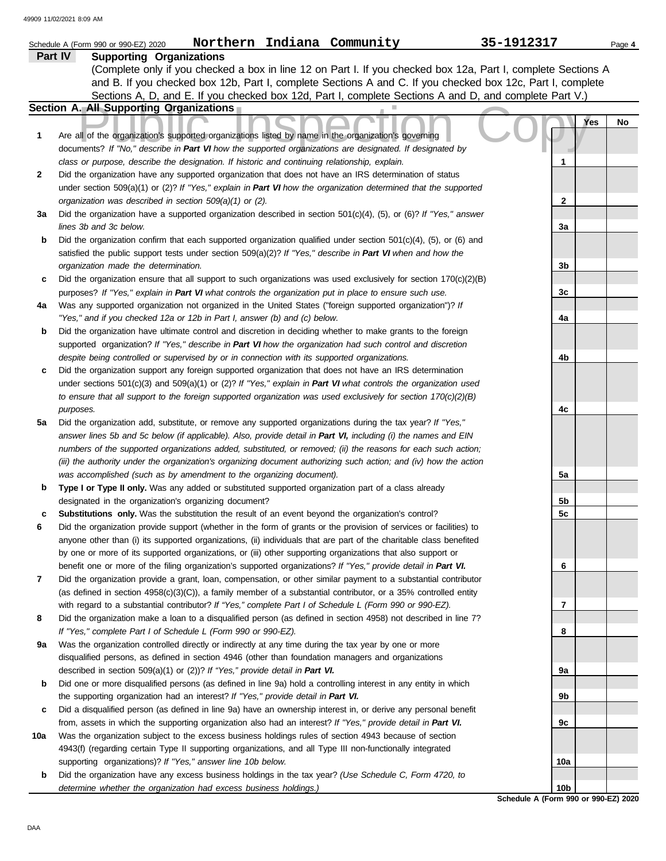|                | Northern Indiana Community<br>Schedule A (Form 990 or 990-EZ) 2020                                                                                                                                                           | 35-1912317     |            | Page 4 |
|----------------|------------------------------------------------------------------------------------------------------------------------------------------------------------------------------------------------------------------------------|----------------|------------|--------|
| <b>Part IV</b> | <b>Supporting Organizations</b>                                                                                                                                                                                              |                |            |        |
|                | (Complete only if you checked a box in line 12 on Part I. If you checked box 12a, Part I, complete Sections A                                                                                                                |                |            |        |
|                | and B. If you checked box 12b, Part I, complete Sections A and C. If you checked box 12c, Part I, complete                                                                                                                   |                |            |        |
|                | Sections A, D, and E. If you checked box 12d, Part I, complete Sections A and D, and complete Part V.)                                                                                                                       |                |            |        |
|                | Section A. All Supporting Organizations                                                                                                                                                                                      |                |            |        |
|                |                                                                                                                                                                                                                              |                | <b>Yes</b> | No     |
| 1              | Are all of the organization's supported organizations listed by name in the organization's governing                                                                                                                         |                |            |        |
|                | documents? If "No," describe in Part VI how the supported organizations are designated. If designated by                                                                                                                     |                |            |        |
|                | class or purpose, describe the designation. If historic and continuing relationship, explain.                                                                                                                                | 1              |            |        |
| 2              | Did the organization have any supported organization that does not have an IRS determination of status                                                                                                                       |                |            |        |
|                | under section 509(a)(1) or (2)? If "Yes," explain in Part VI how the organization determined that the supported                                                                                                              |                |            |        |
|                | organization was described in section 509(a)(1) or (2).                                                                                                                                                                      | $\mathbf{2}$   |            |        |
| За             | Did the organization have a supported organization described in section $501(c)(4)$ , (5), or (6)? If "Yes," answer                                                                                                          |                |            |        |
|                | lines 3b and 3c below.                                                                                                                                                                                                       | 3a             |            |        |
| b              | Did the organization confirm that each supported organization qualified under section $501(c)(4)$ , $(5)$ , or $(6)$ and                                                                                                     |                |            |        |
|                | satisfied the public support tests under section 509(a)(2)? If "Yes," describe in Part VI when and how the                                                                                                                   |                |            |        |
|                | organization made the determination.                                                                                                                                                                                         | 3 <sub>b</sub> |            |        |
| c              | Did the organization ensure that all support to such organizations was used exclusively for section $170(c)(2)(B)$<br>purposes? If "Yes," explain in Part VI what controls the organization put in place to ensure such use. | 3c             |            |        |
| 4a             | Was any supported organization not organized in the United States ("foreign supported organization")? If                                                                                                                     |                |            |        |
|                | "Yes," and if you checked 12a or 12b in Part I, answer (b) and (c) below.                                                                                                                                                    | 4a             |            |        |
| b              | Did the organization have ultimate control and discretion in deciding whether to make grants to the foreign                                                                                                                  |                |            |        |
|                | supported organization? If "Yes," describe in Part VI how the organization had such control and discretion                                                                                                                   |                |            |        |
|                | despite being controlled or supervised by or in connection with its supported organizations.                                                                                                                                 | 4b             |            |        |
| c              | Did the organization support any foreign supported organization that does not have an IRS determination                                                                                                                      |                |            |        |
|                | under sections $501(c)(3)$ and $509(a)(1)$ or (2)? If "Yes," explain in Part VI what controls the organization used                                                                                                          |                |            |        |
|                | to ensure that all support to the foreign supported organization was used exclusively for section $170(c)(2)(B)$                                                                                                             |                |            |        |
|                | purposes.                                                                                                                                                                                                                    | 4c             |            |        |
| 5a             | Did the organization add, substitute, or remove any supported organizations during the tax year? If "Yes,"                                                                                                                   |                |            |        |
|                | answer lines 5b and 5c below (if applicable). Also, provide detail in Part VI, including (i) the names and EIN                                                                                                               |                |            |        |
|                | numbers of the supported organizations added, substituted, or removed; (ii) the reasons for each such action;                                                                                                                |                |            |        |
|                | (iii) the authority under the organization's organizing document authorizing such action; and (iv) how the action                                                                                                            |                |            |        |
|                | was accomplished (such as by amendment to the organizing document).                                                                                                                                                          | 5a             |            |        |
| b              | Type I or Type II only. Was any added or substituted supported organization part of a class already                                                                                                                          |                |            |        |
|                | designated in the organization's organizing document?                                                                                                                                                                        | 5b<br>5c       |            |        |
| c              | Substitutions only. Was the substitution the result of an event beyond the organization's control?<br>Did the organization provide support (whether in the form of grants or the provision of services or facilities) to     |                |            |        |
|                | anyone other than (i) its supported organizations, (ii) individuals that are part of the charitable class benefited                                                                                                          |                |            |        |
|                | by one or more of its supported organizations, or (iii) other supporting organizations that also support or                                                                                                                  |                |            |        |
|                | benefit one or more of the filing organization's supported organizations? If "Yes," provide detail in Part VI.                                                                                                               | 6              |            |        |
| 7              | Did the organization provide a grant, loan, compensation, or other similar payment to a substantial contributor                                                                                                              |                |            |        |
|                | (as defined in section $4958(c)(3)(C)$ ), a family member of a substantial contributor, or a 35% controlled entity                                                                                                           |                |            |        |
|                | with regard to a substantial contributor? If "Yes," complete Part I of Schedule L (Form 990 or 990-EZ).                                                                                                                      | 7              |            |        |
| 8              | Did the organization make a loan to a disqualified person (as defined in section 4958) not described in line 7?                                                                                                              |                |            |        |
|                | If "Yes," complete Part I of Schedule L (Form 990 or 990-EZ).                                                                                                                                                                | 8              |            |        |
| 9a             | Was the organization controlled directly or indirectly at any time during the tax year by one or more                                                                                                                        |                |            |        |
|                | disqualified persons, as defined in section 4946 (other than foundation managers and organizations                                                                                                                           |                |            |        |
|                | described in section 509(a)(1) or (2))? If "Yes," provide detail in Part VI.                                                                                                                                                 | 9а             |            |        |
| b              | Did one or more disqualified persons (as defined in line 9a) hold a controlling interest in any entity in which                                                                                                              |                |            |        |
|                | the supporting organization had an interest? If "Yes," provide detail in Part VI.                                                                                                                                            | 9b             |            |        |
| c              | Did a disqualified person (as defined in line 9a) have an ownership interest in, or derive any personal benefit                                                                                                              |                |            |        |
|                | from, assets in which the supporting organization also had an interest? If "Yes," provide detail in Part VI.                                                                                                                 | 9c             |            |        |
| 10a            | Was the organization subject to the excess business holdings rules of section 4943 because of section                                                                                                                        |                |            |        |
|                | 4943(f) (regarding certain Type II supporting organizations, and all Type III non-functionally integrated                                                                                                                    |                |            |        |
|                | supporting organizations)? If "Yes," answer line 10b below.                                                                                                                                                                  | 10a            |            |        |
| b              | Did the organization have any excess business holdings in the tax year? (Use Schedule C, Form 4720, to<br>determine whether the organization had excess business holdings.)                                                  | 10b            |            |        |
|                |                                                                                                                                                                                                                              |                |            |        |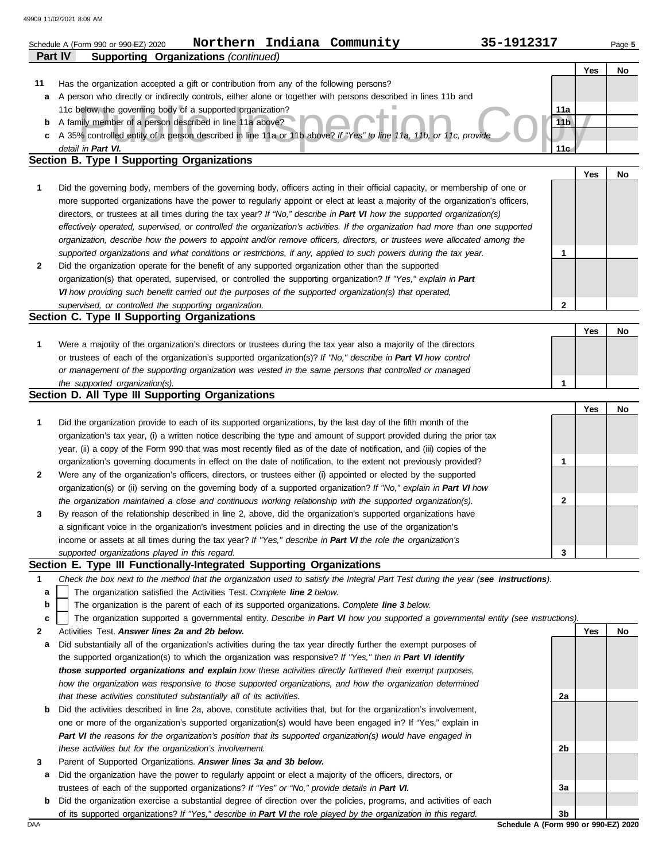|                           | Northern Indiana Community<br>35-1912317<br>Schedule A (Form 990 or 990-EZ) 2020                                                                                                                                                                          |                        |            | Page 5 |  |  |  |  |  |  |
|---------------------------|-----------------------------------------------------------------------------------------------------------------------------------------------------------------------------------------------------------------------------------------------------------|------------------------|------------|--------|--|--|--|--|--|--|
| <b>Part IV</b>            | <b>Supporting Organizations (continued)</b>                                                                                                                                                                                                               |                        |            |        |  |  |  |  |  |  |
|                           |                                                                                                                                                                                                                                                           |                        | Yes        | No     |  |  |  |  |  |  |
| 11                        | Has the organization accepted a gift or contribution from any of the following persons?                                                                                                                                                                   |                        |            |        |  |  |  |  |  |  |
| a                         | A person who directly or indirectly controls, either alone or together with persons described in lines 11b and                                                                                                                                            |                        |            |        |  |  |  |  |  |  |
| b                         | 11c below, the governing body of a supported organization?<br>A family member of a person described in line 11a above?                                                                                                                                    | 11a<br>11 <sub>b</sub> |            |        |  |  |  |  |  |  |
|                           | c A 35% controlled entity of a person described in line 11a or 11b above? If "Yes" to line 11a, 11b, or 11c, provide                                                                                                                                      |                        |            |        |  |  |  |  |  |  |
| detail in Part VI.<br>11c |                                                                                                                                                                                                                                                           |                        |            |        |  |  |  |  |  |  |
|                           | Section B. Type I Supporting Organizations                                                                                                                                                                                                                |                        |            |        |  |  |  |  |  |  |
|                           |                                                                                                                                                                                                                                                           |                        | Yes        | No     |  |  |  |  |  |  |
| 1                         | Did the governing body, members of the governing body, officers acting in their official capacity, or membership of one or                                                                                                                                |                        |            |        |  |  |  |  |  |  |
|                           | more supported organizations have the power to regularly appoint or elect at least a majority of the organization's officers,                                                                                                                             |                        |            |        |  |  |  |  |  |  |
|                           | directors, or trustees at all times during the tax year? If "No," describe in Part VI how the supported organization(s)<br>effectively operated, supervised, or controlled the organization's activities. If the organization had more than one supported |                        |            |        |  |  |  |  |  |  |
|                           | organization, describe how the powers to appoint and/or remove officers, directors, or trustees were allocated among the                                                                                                                                  |                        |            |        |  |  |  |  |  |  |
|                           | supported organizations and what conditions or restrictions, if any, applied to such powers during the tax year.                                                                                                                                          | 1                      |            |        |  |  |  |  |  |  |
| 2                         | Did the organization operate for the benefit of any supported organization other than the supported                                                                                                                                                       |                        |            |        |  |  |  |  |  |  |
|                           | organization(s) that operated, supervised, or controlled the supporting organization? If "Yes," explain in Part                                                                                                                                           |                        |            |        |  |  |  |  |  |  |
|                           | VI how providing such benefit carried out the purposes of the supported organization(s) that operated,                                                                                                                                                    |                        |            |        |  |  |  |  |  |  |
|                           | supervised, or controlled the supporting organization.                                                                                                                                                                                                    | $\mathbf{2}$           |            |        |  |  |  |  |  |  |
|                           | Section C. Type II Supporting Organizations                                                                                                                                                                                                               |                        |            |        |  |  |  |  |  |  |
|                           |                                                                                                                                                                                                                                                           |                        | Yes        | No     |  |  |  |  |  |  |
| 1                         | Were a majority of the organization's directors or trustees during the tax year also a majority of the directors                                                                                                                                          |                        |            |        |  |  |  |  |  |  |
|                           | or trustees of each of the organization's supported organization(s)? If "No," describe in Part VI how control                                                                                                                                             |                        |            |        |  |  |  |  |  |  |
|                           | or management of the supporting organization was vested in the same persons that controlled or managed<br>the supported organization(s).                                                                                                                  | $\mathbf 1$            |            |        |  |  |  |  |  |  |
|                           | Section D. All Type III Supporting Organizations                                                                                                                                                                                                          |                        |            |        |  |  |  |  |  |  |
|                           |                                                                                                                                                                                                                                                           |                        | <b>Yes</b> | No     |  |  |  |  |  |  |
| 1                         | Did the organization provide to each of its supported organizations, by the last day of the fifth month of the                                                                                                                                            |                        |            |        |  |  |  |  |  |  |
|                           | organization's tax year, (i) a written notice describing the type and amount of support provided during the prior tax                                                                                                                                     |                        |            |        |  |  |  |  |  |  |
|                           | year, (ii) a copy of the Form 990 that was most recently filed as of the date of notification, and (iii) copies of the                                                                                                                                    |                        |            |        |  |  |  |  |  |  |
|                           | organization's governing documents in effect on the date of notification, to the extent not previously provided?                                                                                                                                          | $\mathbf{1}$           |            |        |  |  |  |  |  |  |
| 2                         | Were any of the organization's officers, directors, or trustees either (i) appointed or elected by the supported                                                                                                                                          |                        |            |        |  |  |  |  |  |  |
|                           | organization(s) or (ii) serving on the governing body of a supported organization? If "No," explain in Part VI how                                                                                                                                        |                        |            |        |  |  |  |  |  |  |
|                           | the organization maintained a close and continuous working relationship with the supported organization(s).<br>By reason of the relationship described in line 2, above, did the organization's supported organizations have                              | 2                      |            |        |  |  |  |  |  |  |
| 3                         | a significant voice in the organization's investment policies and in directing the use of the organization's                                                                                                                                              |                        |            |        |  |  |  |  |  |  |
|                           | income or assets at all times during the tax year? If "Yes," describe in Part VI the role the organization's                                                                                                                                              |                        |            |        |  |  |  |  |  |  |
|                           | supported organizations played in this regard.                                                                                                                                                                                                            | 3                      |            |        |  |  |  |  |  |  |
|                           | Section E. Type III Functionally-Integrated Supporting Organizations                                                                                                                                                                                      |                        |            |        |  |  |  |  |  |  |
| 1                         | Check the box next to the method that the organization used to satisfy the Integral Part Test during the year (see instructions).                                                                                                                         |                        |            |        |  |  |  |  |  |  |
| а                         | The organization satisfied the Activities Test. Complete line 2 below.                                                                                                                                                                                    |                        |            |        |  |  |  |  |  |  |
| b                         | The organization is the parent of each of its supported organizations. Complete line 3 below.                                                                                                                                                             |                        |            |        |  |  |  |  |  |  |
| c                         | The organization supported a governmental entity. Describe in Part VI how you supported a governmental entity (see instructions).                                                                                                                         |                        |            |        |  |  |  |  |  |  |
| 2                         | Activities Test. Answer lines 2a and 2b below.                                                                                                                                                                                                            |                        | Yes        | No     |  |  |  |  |  |  |
| а                         | Did substantially all of the organization's activities during the tax year directly further the exempt purposes of<br>the supported organization(s) to which the organization was responsive? If "Yes," then in Part VI identify                          |                        |            |        |  |  |  |  |  |  |
|                           | those supported organizations and explain how these activities directly furthered their exempt purposes,                                                                                                                                                  |                        |            |        |  |  |  |  |  |  |
|                           | how the organization was responsive to those supported organizations, and how the organization determined                                                                                                                                                 |                        |            |        |  |  |  |  |  |  |
|                           | that these activities constituted substantially all of its activities.                                                                                                                                                                                    | 2a                     |            |        |  |  |  |  |  |  |
| b                         | Did the activities described in line 2a, above, constitute activities that, but for the organization's involvement,                                                                                                                                       |                        |            |        |  |  |  |  |  |  |
|                           | one or more of the organization's supported organization(s) would have been engaged in? If "Yes," explain in                                                                                                                                              |                        |            |        |  |  |  |  |  |  |
|                           | Part VI the reasons for the organization's position that its supported organization(s) would have engaged in                                                                                                                                              |                        |            |        |  |  |  |  |  |  |
|                           | these activities but for the organization's involvement.                                                                                                                                                                                                  | 2b                     |            |        |  |  |  |  |  |  |
| 3                         | Parent of Supported Organizations. Answer lines 3a and 3b below.                                                                                                                                                                                          |                        |            |        |  |  |  |  |  |  |
| а                         | Did the organization have the power to regularly appoint or elect a majority of the officers, directors, or                                                                                                                                               |                        |            |        |  |  |  |  |  |  |
| b                         | trustees of each of the supported organizations? If "Yes" or "No," provide details in Part VI.<br>Did the organization exercise a substantial degree of direction over the policies, programs, and activities of each                                     | За                     |            |        |  |  |  |  |  |  |
|                           | of its supported organizations? If "Yes," describe in Part VI the role played by the organization in this regard.                                                                                                                                         | 3b                     |            |        |  |  |  |  |  |  |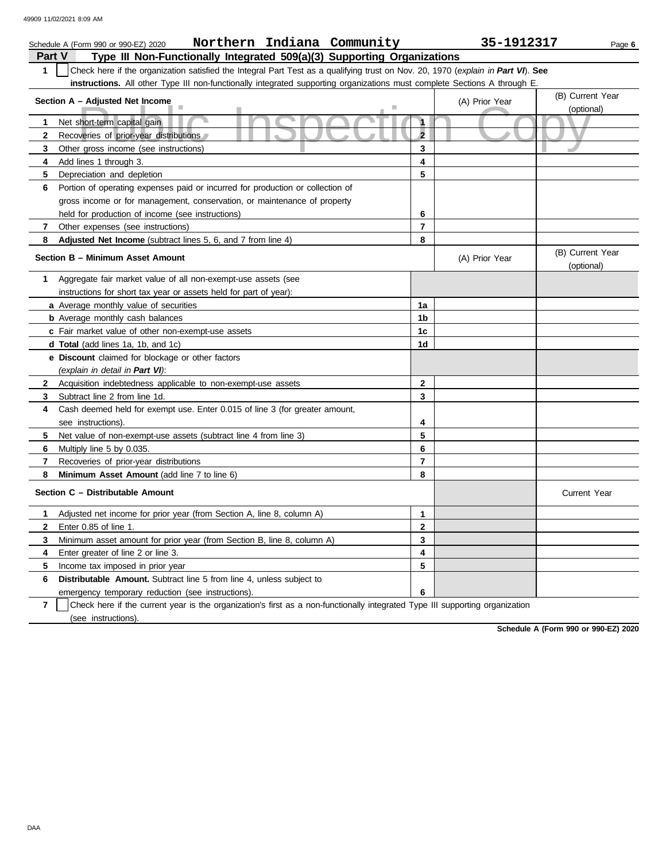|                | Northern Indiana Community<br>Schedule A (Form 990 or 990-EZ) 2020                                                               |                         | 35-1912317     | Page 6                         |
|----------------|----------------------------------------------------------------------------------------------------------------------------------|-------------------------|----------------|--------------------------------|
| Part V         | Type III Non-Functionally Integrated 509(a)(3) Supporting Organizations                                                          |                         |                |                                |
| 1              | Check here if the organization satisfied the Integral Part Test as a qualifying trust on Nov. 20, 1970 (explain in Part VI). See |                         |                |                                |
|                | instructions. All other Type III non-functionally integrated supporting organizations must complete Sections A through E         |                         |                |                                |
|                | Section A - Adjusted Net Income                                                                                                  |                         | (A) Prior Year | (B) Current Year               |
|                |                                                                                                                                  |                         |                | (optional)                     |
| 1              | Net short-term capital gain                                                                                                      |                         |                |                                |
| $\mathbf{2}$   | Recoveries of prior-year distributions                                                                                           | $\overline{2}$          |                |                                |
| 3              | Other gross income (see instructions)                                                                                            | 3                       |                |                                |
| 4              | Add lines 1 through 3.                                                                                                           | 4                       |                |                                |
| 5              | Depreciation and depletion                                                                                                       | 5                       |                |                                |
| 6              | Portion of operating expenses paid or incurred for production or collection of                                                   |                         |                |                                |
|                | gross income or for management, conservation, or maintenance of property                                                         |                         |                |                                |
|                | held for production of income (see instructions)                                                                                 | 6                       |                |                                |
| $\overline{7}$ | Other expenses (see instructions)                                                                                                | $\overline{7}$          |                |                                |
| 8              | Adjusted Net Income (subtract lines 5, 6, and 7 from line 4)                                                                     | 8                       |                |                                |
|                | Section B - Minimum Asset Amount                                                                                                 |                         | (A) Prior Year | (B) Current Year<br>(optional) |
| 1              | Aggregate fair market value of all non-exempt-use assets (see                                                                    |                         |                |                                |
|                | instructions for short tax year or assets held for part of year):                                                                |                         |                |                                |
|                | <b>a</b> Average monthly value of securities                                                                                     | 1a                      |                |                                |
|                | <b>b</b> Average monthly cash balances                                                                                           | 1b                      |                |                                |
|                | c Fair market value of other non-exempt-use assets                                                                               | 1 <sub>c</sub>          |                |                                |
|                | d Total (add lines 1a, 1b, and 1c)                                                                                               | 1d                      |                |                                |
|                | <b>e</b> Discount claimed for blockage or other factors                                                                          |                         |                |                                |
|                | (explain in detail in Part VI):                                                                                                  |                         |                |                                |
| $\mathbf{2}$   | Acquisition indebtedness applicable to non-exempt-use assets                                                                     | $\mathbf{2}$            |                |                                |
| 3              | Subtract line 2 from line 1d.                                                                                                    | 3                       |                |                                |
| 4              | Cash deemed held for exempt use. Enter 0.015 of line 3 (for greater amount,                                                      |                         |                |                                |
|                | see instructions).                                                                                                               | 4                       |                |                                |
| 5              | Net value of non-exempt-use assets (subtract line 4 from line 3)                                                                 | 5                       |                |                                |
| 6              | Multiply line 5 by 0.035.                                                                                                        | 6                       |                |                                |
| 7              | Recoveries of prior-year distributions                                                                                           | $\overline{7}$          |                |                                |
| 8              | Minimum Asset Amount (add line 7 to line 6)                                                                                      | 8                       |                |                                |
|                | Section C - Distributable Amount                                                                                                 |                         |                | <b>Current Year</b>            |
| 1              | Adjusted net income for prior year (from Section A, line 8, column A)                                                            | $\mathbf{1}$            |                |                                |
| $\mathbf{2}$   | Enter 0.85 of line 1.                                                                                                            | $\overline{\mathbf{2}}$ |                |                                |
| 3              | Minimum asset amount for prior year (from Section B, line 8, column A)                                                           | 3                       |                |                                |
| 4              | Enter greater of line 2 or line 3.                                                                                               | $\overline{\mathbf{4}}$ |                |                                |
| 5              | Income tax imposed in prior year                                                                                                 | 5                       |                |                                |
| 6              | <b>Distributable Amount.</b> Subtract line 5 from line 4, unless subject to                                                      |                         |                |                                |
|                | emergency temporary reduction (see instructions).                                                                                | 6                       |                |                                |

**7** | Check here if the current year is the organization's first as a non-functionally integrated Type III supporting organization (see instructions).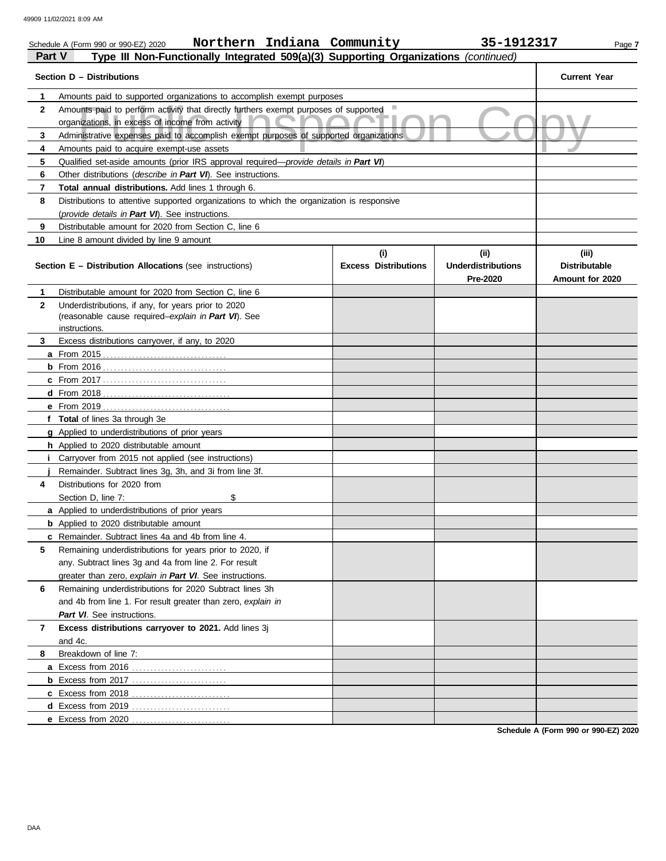| Northern Indiana Community<br>35-1912317<br>Schedule A (Form 990 or 990-EZ) 2020<br>Page 7<br>Part V<br>Type III Non-Functionally Integrated 509(a)(3) Supporting Organizations (continued) |                                    |                                                |                                                  |  |  |  |  |  |  |
|---------------------------------------------------------------------------------------------------------------------------------------------------------------------------------------------|------------------------------------|------------------------------------------------|--------------------------------------------------|--|--|--|--|--|--|
|                                                                                                                                                                                             |                                    |                                                |                                                  |  |  |  |  |  |  |
| Section D - Distributions                                                                                                                                                                   |                                    |                                                | <b>Current Year</b>                              |  |  |  |  |  |  |
| 1<br>Amounts paid to supported organizations to accomplish exempt purposes                                                                                                                  |                                    |                                                |                                                  |  |  |  |  |  |  |
| $\mathbf{2}$<br>Amounts paid to perform activity that directly furthers exempt purposes of supported                                                                                        |                                    |                                                |                                                  |  |  |  |  |  |  |
| organizations, in excess of income from activity                                                                                                                                            |                                    |                                                |                                                  |  |  |  |  |  |  |
| Administrative expenses paid to accomplish exempt purposes of supported organizations<br>3                                                                                                  |                                    |                                                |                                                  |  |  |  |  |  |  |
| 4<br>Amounts paid to acquire exempt-use assets                                                                                                                                              |                                    |                                                |                                                  |  |  |  |  |  |  |
| 5<br>Qualified set-aside amounts (prior IRS approval required—provide details in Part VI)                                                                                                   |                                    |                                                |                                                  |  |  |  |  |  |  |
| 6<br>Other distributions (describe in Part VI). See instructions.                                                                                                                           |                                    |                                                |                                                  |  |  |  |  |  |  |
| 7<br>Total annual distributions. Add lines 1 through 6.                                                                                                                                     |                                    |                                                |                                                  |  |  |  |  |  |  |
| 8<br>Distributions to attentive supported organizations to which the organization is responsive                                                                                             |                                    |                                                |                                                  |  |  |  |  |  |  |
| (provide details in Part VI). See instructions.                                                                                                                                             |                                    |                                                |                                                  |  |  |  |  |  |  |
| Distributable amount for 2020 from Section C, line 6<br>9                                                                                                                                   |                                    |                                                |                                                  |  |  |  |  |  |  |
| 10<br>Line 8 amount divided by line 9 amount                                                                                                                                                |                                    |                                                |                                                  |  |  |  |  |  |  |
| Section E - Distribution Allocations (see instructions)                                                                                                                                     | (i)<br><b>Excess Distributions</b> | (iii)<br><b>Underdistributions</b><br>Pre-2020 | (iii)<br><b>Distributable</b><br>Amount for 2020 |  |  |  |  |  |  |
| Distributable amount for 2020 from Section C, line 6<br>1                                                                                                                                   |                                    |                                                |                                                  |  |  |  |  |  |  |
| Underdistributions, if any, for years prior to 2020<br>$\mathbf{2}$                                                                                                                         |                                    |                                                |                                                  |  |  |  |  |  |  |
| (reasonable cause required-explain in Part VI). See                                                                                                                                         |                                    |                                                |                                                  |  |  |  |  |  |  |
| instructions.                                                                                                                                                                               |                                    |                                                |                                                  |  |  |  |  |  |  |
| Excess distributions carryover, if any, to 2020<br>3                                                                                                                                        |                                    |                                                |                                                  |  |  |  |  |  |  |
|                                                                                                                                                                                             |                                    |                                                |                                                  |  |  |  |  |  |  |
|                                                                                                                                                                                             |                                    |                                                |                                                  |  |  |  |  |  |  |
|                                                                                                                                                                                             |                                    |                                                |                                                  |  |  |  |  |  |  |
|                                                                                                                                                                                             |                                    |                                                |                                                  |  |  |  |  |  |  |
| f Total of lines 3a through 3e                                                                                                                                                              |                                    |                                                |                                                  |  |  |  |  |  |  |
| g Applied to underdistributions of prior years                                                                                                                                              |                                    |                                                |                                                  |  |  |  |  |  |  |
| h Applied to 2020 distributable amount                                                                                                                                                      |                                    |                                                |                                                  |  |  |  |  |  |  |
| Carryover from 2015 not applied (see instructions)                                                                                                                                          |                                    |                                                |                                                  |  |  |  |  |  |  |
| Remainder. Subtract lines 3g, 3h, and 3i from line 3f.                                                                                                                                      |                                    |                                                |                                                  |  |  |  |  |  |  |
| Distributions for 2020 from<br>4                                                                                                                                                            |                                    |                                                |                                                  |  |  |  |  |  |  |
| Section D, line 7:<br>\$                                                                                                                                                                    |                                    |                                                |                                                  |  |  |  |  |  |  |
| a Applied to underdistributions of prior years                                                                                                                                              |                                    |                                                |                                                  |  |  |  |  |  |  |
| <b>b</b> Applied to 2020 distributable amount                                                                                                                                               |                                    |                                                |                                                  |  |  |  |  |  |  |
| <b>c</b> Remainder. Subtract lines 4a and 4b from line 4.                                                                                                                                   |                                    |                                                |                                                  |  |  |  |  |  |  |
| Remaining underdistributions for years prior to 2020, if<br>5                                                                                                                               |                                    |                                                |                                                  |  |  |  |  |  |  |
| any. Subtract lines 3g and 4a from line 2. For result                                                                                                                                       |                                    |                                                |                                                  |  |  |  |  |  |  |
| greater than zero, explain in Part VI. See instructions.                                                                                                                                    |                                    |                                                |                                                  |  |  |  |  |  |  |
| Remaining underdistributions for 2020 Subtract lines 3h<br>6                                                                                                                                |                                    |                                                |                                                  |  |  |  |  |  |  |
| and 4b from line 1. For result greater than zero, explain in                                                                                                                                |                                    |                                                |                                                  |  |  |  |  |  |  |
| Part VI. See instructions.                                                                                                                                                                  |                                    |                                                |                                                  |  |  |  |  |  |  |
| Excess distributions carryover to 2021. Add lines 3j<br>7                                                                                                                                   |                                    |                                                |                                                  |  |  |  |  |  |  |
| and 4c.                                                                                                                                                                                     |                                    |                                                |                                                  |  |  |  |  |  |  |
| Breakdown of line 7:<br>8                                                                                                                                                                   |                                    |                                                |                                                  |  |  |  |  |  |  |
| a Excess from 2016                                                                                                                                                                          |                                    |                                                |                                                  |  |  |  |  |  |  |
| <b>b</b> Excess from 2017                                                                                                                                                                   |                                    |                                                |                                                  |  |  |  |  |  |  |
| c Excess from 2018                                                                                                                                                                          |                                    |                                                |                                                  |  |  |  |  |  |  |
| d Excess from 2019                                                                                                                                                                          |                                    |                                                |                                                  |  |  |  |  |  |  |
| e Excess from 2020                                                                                                                                                                          |                                    |                                                |                                                  |  |  |  |  |  |  |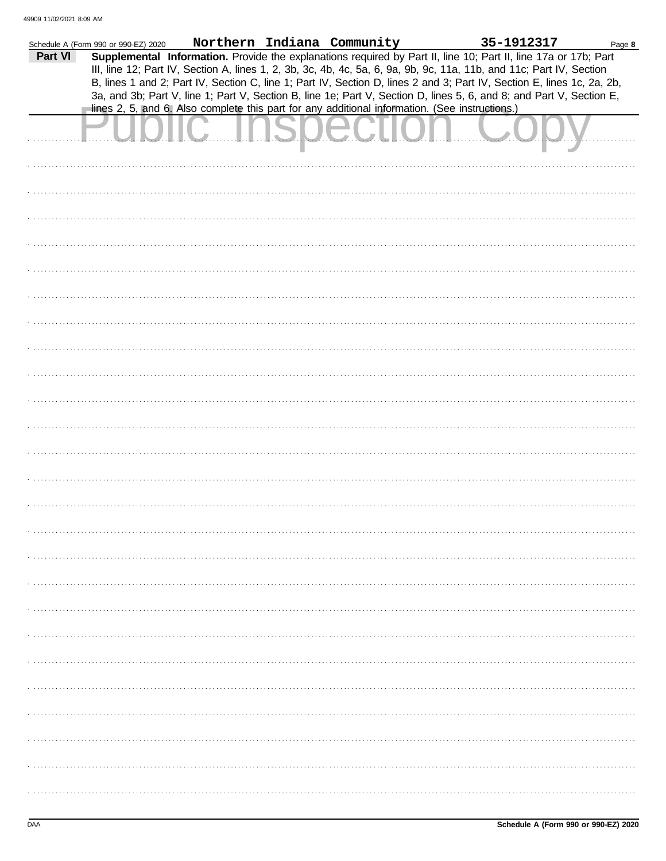|         | Schedule A (Form 990 or 990-EZ) 2020 |                                                                                                                                                                                                                                         | Northern Indiana Community | 35-1912317 | Page 8 |
|---------|--------------------------------------|-----------------------------------------------------------------------------------------------------------------------------------------------------------------------------------------------------------------------------------------|----------------------------|------------|--------|
| Part VI |                                      | Supplemental Information. Provide the explanations required by Part II, line 10; Part II, line 17a or 17b; Part<br>III, line 12; Part IV, Section A, lines 1, 2, 3b, 3c, 4b, 4c, 5a, 6, 9a, 9b, 9c, 11a, 11b, and 11c; Part IV, Section |                            |            |        |
|         |                                      | B, lines 1 and 2; Part IV, Section C, line 1; Part IV, Section D, lines 2 and 3; Part IV, Section E, lines 1c, 2a, 2b,                                                                                                                  |                            |            |        |
|         |                                      | 3a, and 3b; Part V, line 1; Part V, Section B, line 1e; Part V, Section D, lines 5, 6, and 8; and Part V, Section E,<br>lines 2, 5, and 6. Also complete this part for any additional information. (See instructions.)                  |                            |            |        |
|         |                                      |                                                                                                                                                                                                                                         |                            |            |        |
|         |                                      |                                                                                                                                                                                                                                         |                            |            |        |
|         |                                      |                                                                                                                                                                                                                                         |                            |            |        |
|         |                                      |                                                                                                                                                                                                                                         |                            |            |        |
|         |                                      |                                                                                                                                                                                                                                         |                            |            |        |
|         |                                      |                                                                                                                                                                                                                                         |                            |            |        |
|         |                                      |                                                                                                                                                                                                                                         |                            |            |        |
|         |                                      |                                                                                                                                                                                                                                         |                            |            |        |
|         |                                      |                                                                                                                                                                                                                                         |                            |            |        |
|         |                                      |                                                                                                                                                                                                                                         |                            |            |        |
|         |                                      |                                                                                                                                                                                                                                         |                            |            |        |
|         |                                      |                                                                                                                                                                                                                                         |                            |            |        |
|         |                                      |                                                                                                                                                                                                                                         |                            |            |        |
|         |                                      |                                                                                                                                                                                                                                         |                            |            |        |
|         |                                      |                                                                                                                                                                                                                                         |                            |            |        |
|         |                                      |                                                                                                                                                                                                                                         |                            |            |        |
|         |                                      |                                                                                                                                                                                                                                         |                            |            |        |
|         |                                      |                                                                                                                                                                                                                                         |                            |            |        |
|         |                                      |                                                                                                                                                                                                                                         |                            |            |        |
|         |                                      |                                                                                                                                                                                                                                         |                            |            |        |
|         |                                      |                                                                                                                                                                                                                                         |                            |            |        |
|         |                                      |                                                                                                                                                                                                                                         |                            |            |        |
|         |                                      |                                                                                                                                                                                                                                         |                            |            |        |
|         |                                      |                                                                                                                                                                                                                                         |                            |            |        |
|         |                                      |                                                                                                                                                                                                                                         |                            |            |        |
|         |                                      |                                                                                                                                                                                                                                         |                            |            |        |
|         |                                      |                                                                                                                                                                                                                                         |                            |            |        |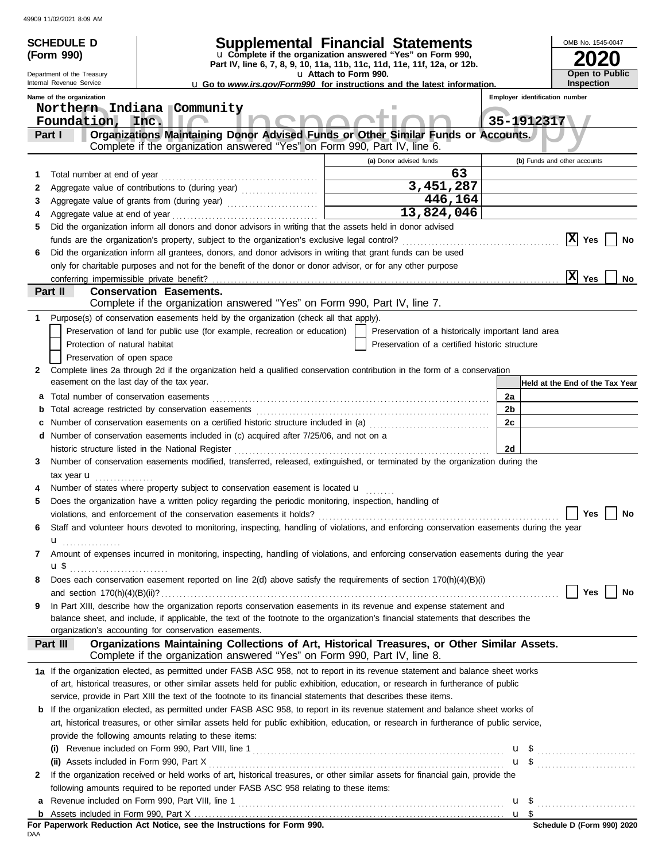|        | <b>SCHEDULE D</b>                                                                                                                                                                                                                                        |      |  |                                                                           |                       |                         | <b>Supplemental Financial Statements</b>                                                     |                |      | OMB No. 1545-0047               |           |
|--------|----------------------------------------------------------------------------------------------------------------------------------------------------------------------------------------------------------------------------------------------------------|------|--|---------------------------------------------------------------------------|-----------------------|-------------------------|----------------------------------------------------------------------------------------------|----------------|------|---------------------------------|-----------|
|        | (Form 990)                                                                                                                                                                                                                                               |      |  |                                                                           |                       |                         | u Complete if the organization answered "Yes" on Form 990,                                   |                |      |                                 |           |
|        | Department of the Treasury                                                                                                                                                                                                                               |      |  |                                                                           | u Attach to Form 990. |                         | Part IV, line 6, 7, 8, 9, 10, 11a, 11b, 11c, 11d, 11e, 11f, 12a, or 12b.                     |                |      | Open to Public                  |           |
|        | Internal Revenue Service                                                                                                                                                                                                                                 |      |  |                                                                           |                       |                         | <b>u</b> Go to www.irs.gov/Form990 for instructions and the latest information.              |                |      | <b>Inspection</b>               |           |
|        | Name of the organization                                                                                                                                                                                                                                 |      |  |                                                                           |                       |                         |                                                                                              |                |      | Employer identification number  |           |
|        | Northern Indiana Community                                                                                                                                                                                                                               |      |  |                                                                           |                       |                         |                                                                                              |                |      |                                 |           |
|        | Foundation,                                                                                                                                                                                                                                              | Inc. |  |                                                                           |                       |                         |                                                                                              | 35-1912317     |      |                                 |           |
|        | Part I                                                                                                                                                                                                                                                   |      |  | Complete if the organization answered "Yes" on Form 990, Part IV, line 6. |                       |                         | Organizations Maintaining Donor Advised Funds or Other Similar Funds or Accounts.            |                |      |                                 |           |
|        |                                                                                                                                                                                                                                                          |      |  |                                                                           |                       |                         |                                                                                              |                |      | (b) Funds and other accounts    |           |
|        |                                                                                                                                                                                                                                                          |      |  |                                                                           |                       | (a) Donor advised funds | 63                                                                                           |                |      |                                 |           |
| 1<br>2 |                                                                                                                                                                                                                                                          |      |  |                                                                           |                       |                         | 3,451,287                                                                                    |                |      |                                 |           |
| 3      |                                                                                                                                                                                                                                                          |      |  |                                                                           |                       |                         | 446,164                                                                                      |                |      |                                 |           |
|        |                                                                                                                                                                                                                                                          |      |  |                                                                           |                       |                         | 13,824,046                                                                                   |                |      |                                 |           |
| 5      | Did the organization inform all donors and donor advisors in writing that the assets held in donor advised                                                                                                                                               |      |  |                                                                           |                       |                         |                                                                                              |                |      |                                 |           |
|        | funds are the organization's property, subject to the organization's exclusive legal control?                                                                                                                                                            |      |  |                                                                           |                       |                         |                                                                                              |                |      | $ X $ Yes                       | No        |
| 6      | Did the organization inform all grantees, donors, and donor advisors in writing that grant funds can be used                                                                                                                                             |      |  |                                                                           |                       |                         |                                                                                              |                |      |                                 |           |
|        | only for charitable purposes and not for the benefit of the donor or donor advisor, or for any other purpose                                                                                                                                             |      |  |                                                                           |                       |                         |                                                                                              |                |      |                                 |           |
|        | conferring impermissible private benefit?                                                                                                                                                                                                                |      |  |                                                                           |                       |                         |                                                                                              |                |      | x <br>Yes                       | <b>No</b> |
|        | <b>Conservation Easements.</b><br>Part II                                                                                                                                                                                                                |      |  |                                                                           |                       |                         |                                                                                              |                |      |                                 |           |
|        |                                                                                                                                                                                                                                                          |      |  | Complete if the organization answered "Yes" on Form 990, Part IV, line 7. |                       |                         |                                                                                              |                |      |                                 |           |
|        | Purpose(s) of conservation easements held by the organization (check all that apply).                                                                                                                                                                    |      |  |                                                                           |                       |                         |                                                                                              |                |      |                                 |           |
|        | Preservation of land for public use (for example, recreation or education)                                                                                                                                                                               |      |  |                                                                           |                       |                         | Preservation of a historically important land area                                           |                |      |                                 |           |
|        | Protection of natural habitat                                                                                                                                                                                                                            |      |  |                                                                           |                       |                         | Preservation of a certified historic structure                                               |                |      |                                 |           |
|        | Preservation of open space                                                                                                                                                                                                                               |      |  |                                                                           |                       |                         |                                                                                              |                |      |                                 |           |
| 2      | Complete lines 2a through 2d if the organization held a qualified conservation contribution in the form of a conservation<br>easement on the last day of the tax year.                                                                                   |      |  |                                                                           |                       |                         |                                                                                              |                |      |                                 |           |
|        | Total number of conservation easements                                                                                                                                                                                                                   |      |  |                                                                           |                       |                         |                                                                                              | 2a             |      | Held at the End of the Tax Year |           |
| а      |                                                                                                                                                                                                                                                          |      |  |                                                                           |                       |                         |                                                                                              | 2 <sub>b</sub> |      |                                 |           |
|        | Number of conservation easements on a certified historic structure included in (a) [[[[[ [ [ ]]]                                                                                                                                                         |      |  |                                                                           |                       |                         |                                                                                              | 2c             |      |                                 |           |
|        | d Number of conservation easements included in (c) acquired after 7/25/06, and not on a                                                                                                                                                                  |      |  |                                                                           |                       |                         |                                                                                              |                |      |                                 |           |
|        | historic structure listed in the National Register                                                                                                                                                                                                       |      |  |                                                                           |                       |                         |                                                                                              | 2d             |      |                                 |           |
| 3      | Number of conservation easements modified, transferred, released, extinguished, or terminated by the organization during the                                                                                                                             |      |  |                                                                           |                       |                         |                                                                                              |                |      |                                 |           |
|        | tax year <b>u</b><br>.                                                                                                                                                                                                                                   |      |  |                                                                           |                       |                         |                                                                                              |                |      |                                 |           |
|        | Number of states where property subject to conservation easement is located u                                                                                                                                                                            |      |  |                                                                           |                       |                         |                                                                                              |                |      |                                 |           |
|        | Does the organization have a written policy regarding the periodic monitoring, inspection, handling of                                                                                                                                                   |      |  |                                                                           |                       |                         |                                                                                              |                |      |                                 |           |
|        |                                                                                                                                                                                                                                                          |      |  |                                                                           |                       |                         |                                                                                              |                |      | $\Box$ Yes $\Box$               | <b>No</b> |
| 6      | Staff and volunteer hours devoted to monitoring, inspecting, handling of violations, and enforcing conservation easements during the year                                                                                                                |      |  |                                                                           |                       |                         |                                                                                              |                |      |                                 |           |
|        | <b>u</b>                                                                                                                                                                                                                                                 |      |  |                                                                           |                       |                         |                                                                                              |                |      |                                 |           |
| 7      | Amount of expenses incurred in monitoring, inspecting, handling of violations, and enforcing conservation easements during the year                                                                                                                      |      |  |                                                                           |                       |                         |                                                                                              |                |      |                                 |           |
|        | $\mathbf{u} \mathbf{\$}$                                                                                                                                                                                                                                 |      |  |                                                                           |                       |                         |                                                                                              |                |      |                                 |           |
| 8      | Does each conservation easement reported on line 2(d) above satisfy the requirements of section 170(h)(4)(B)(i)                                                                                                                                          |      |  |                                                                           |                       |                         |                                                                                              |                |      |                                 |           |
|        |                                                                                                                                                                                                                                                          |      |  |                                                                           |                       |                         |                                                                                              |                |      | Yes                             | No        |
| 9      | In Part XIII, describe how the organization reports conservation easements in its revenue and expense statement and<br>balance sheet, and include, if applicable, the text of the footnote to the organization's financial statements that describes the |      |  |                                                                           |                       |                         |                                                                                              |                |      |                                 |           |
|        | organization's accounting for conservation easements.                                                                                                                                                                                                    |      |  |                                                                           |                       |                         |                                                                                              |                |      |                                 |           |
|        | Part III                                                                                                                                                                                                                                                 |      |  |                                                                           |                       |                         | Organizations Maintaining Collections of Art, Historical Treasures, or Other Similar Assets. |                |      |                                 |           |
|        |                                                                                                                                                                                                                                                          |      |  | Complete if the organization answered "Yes" on Form 990, Part IV, line 8. |                       |                         |                                                                                              |                |      |                                 |           |
|        | 1a If the organization elected, as permitted under FASB ASC 958, not to report in its revenue statement and balance sheet works                                                                                                                          |      |  |                                                                           |                       |                         |                                                                                              |                |      |                                 |           |
|        | of art, historical treasures, or other similar assets held for public exhibition, education, or research in furtherance of public                                                                                                                        |      |  |                                                                           |                       |                         |                                                                                              |                |      |                                 |           |
|        | service, provide in Part XIII the text of the footnote to its financial statements that describes these items.                                                                                                                                           |      |  |                                                                           |                       |                         |                                                                                              |                |      |                                 |           |
| b      | If the organization elected, as permitted under FASB ASC 958, to report in its revenue statement and balance sheet works of                                                                                                                              |      |  |                                                                           |                       |                         |                                                                                              |                |      |                                 |           |
|        | art, historical treasures, or other similar assets held for public exhibition, education, or research in furtherance of public service,                                                                                                                  |      |  |                                                                           |                       |                         |                                                                                              |                |      |                                 |           |
|        | provide the following amounts relating to these items:                                                                                                                                                                                                   |      |  |                                                                           |                       |                         |                                                                                              |                |      |                                 |           |
|        |                                                                                                                                                                                                                                                          |      |  |                                                                           |                       |                         |                                                                                              |                | u \$ |                                 |           |
|        | (ii) Assets included in Form 990, Part X                                                                                                                                                                                                                 |      |  |                                                                           |                       |                         |                                                                                              |                |      | $\mathbf{u}$ \$                 |           |
| 2      | If the organization received or held works of art, historical treasures, or other similar assets for financial gain, provide the                                                                                                                         |      |  |                                                                           |                       |                         |                                                                                              |                |      |                                 |           |
|        | following amounts required to be reported under FASB ASC 958 relating to these items:                                                                                                                                                                    |      |  |                                                                           |                       |                         |                                                                                              |                |      |                                 |           |
| а      |                                                                                                                                                                                                                                                          |      |  |                                                                           |                       |                         |                                                                                              |                |      | $\mathbf{u}$ \$                 |           |
|        |                                                                                                                                                                                                                                                          |      |  |                                                                           |                       |                         |                                                                                              |                |      | $\frac{1}{2}$                   |           |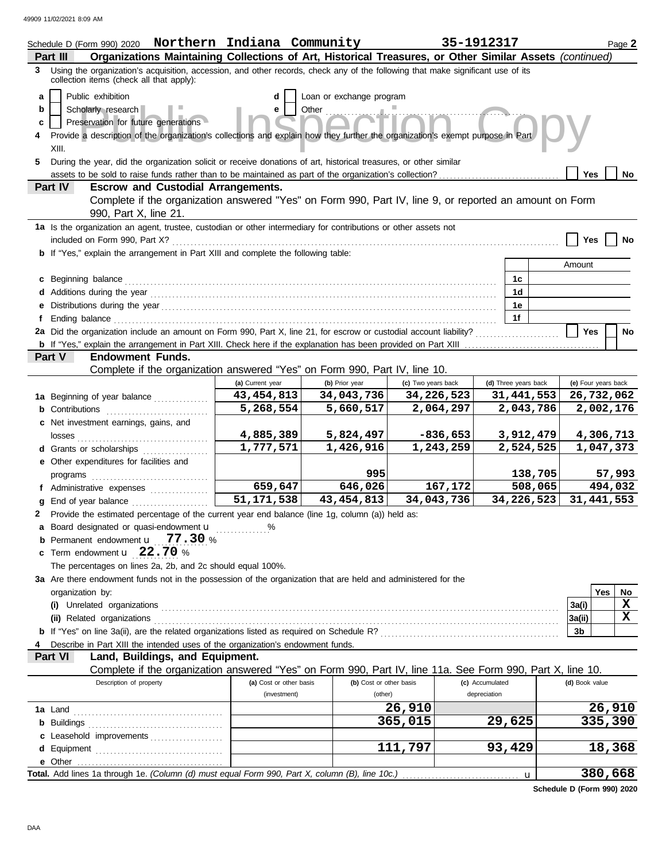| Schedule D (Form 990) 2020 Northern Indiana Community                                                                                                                         |                                         |                                    |                    | 35-1912317                      | Page 2              |
|-------------------------------------------------------------------------------------------------------------------------------------------------------------------------------|-----------------------------------------|------------------------------------|--------------------|---------------------------------|---------------------|
| Organizations Maintaining Collections of Art, Historical Treasures, or Other Similar Assets (continued)<br>Part III                                                           |                                         |                                    |                    |                                 |                     |
| 3 Using the organization's acquisition, accession, and other records, check any of the following that make significant use of its<br>collection items (check all that apply): |                                         |                                    |                    |                                 |                     |
| Public exhibition<br>a                                                                                                                                                        | d                                       | Loan or exchange program           |                    |                                 |                     |
| Scholarly research<br>b                                                                                                                                                       | е                                       | Other                              |                    |                                 |                     |
| Preservation for future generations<br>c                                                                                                                                      |                                         |                                    |                    |                                 |                     |
| Provide a description of the organization's collections and explain how they further the organization's exempt purpose in Part                                                |                                         |                                    |                    |                                 |                     |
| XIII.                                                                                                                                                                         |                                         |                                    |                    |                                 |                     |
| During the year, did the organization solicit or receive donations of art, historical treasures, or other similar<br>5                                                        |                                         |                                    |                    |                                 |                     |
| assets to be sold to raise funds rather than to be maintained as part of the organization's collection?                                                                       |                                         |                                    |                    |                                 | Yes<br>No           |
| <b>Escrow and Custodial Arrangements.</b><br>Part IV                                                                                                                          |                                         |                                    |                    |                                 |                     |
| Complete if the organization answered "Yes" on Form 990, Part IV, line 9, or reported an amount on Form<br>990, Part X, line 21.                                              |                                         |                                    |                    |                                 |                     |
| 1a Is the organization an agent, trustee, custodian or other intermediary for contributions or other assets not                                                               |                                         |                                    |                    |                                 |                     |
| included on Form 990, Part X?                                                                                                                                                 |                                         |                                    |                    |                                 | Yes<br>No           |
| <b>b</b> If "Yes," explain the arrangement in Part XIII and complete the following table:                                                                                     |                                         |                                    |                    |                                 |                     |
|                                                                                                                                                                               |                                         |                                    |                    |                                 | Amount              |
| Beginning balance                                                                                                                                                             |                                         |                                    |                    | 1c                              |                     |
|                                                                                                                                                                               |                                         |                                    |                    | 1 <sub>d</sub>                  |                     |
|                                                                                                                                                                               |                                         |                                    |                    | 1e                              |                     |
| Ending balance<br>2a Did the organization include an amount on Form 990, Part X, line 21, for escrow or custodial account liability?                                          |                                         |                                    |                    | 1f                              | <b>Yes</b>          |
|                                                                                                                                                                               |                                         |                                    |                    |                                 | No                  |
| Part V<br><b>Endowment Funds.</b>                                                                                                                                             |                                         |                                    |                    |                                 |                     |
| Complete if the organization answered "Yes" on Form 990, Part IV, line 10.                                                                                                    |                                         |                                    |                    |                                 |                     |
|                                                                                                                                                                               | (a) Current year                        | (b) Prior year                     | (c) Two years back | (d) Three years back            | (e) Four years back |
| 1a Beginning of year balance <i>minimum</i>                                                                                                                                   | 43, 454, 813                            | 34,043,736                         | 34,226,523         | 31,441,553                      | 26,732,062          |
| Contributions                                                                                                                                                                 | 5,268,554                               | 5,660,517                          | 2,064,297          | 2,043,786                       | 2,002,176           |
| c Net investment earnings, gains, and                                                                                                                                         |                                         |                                    |                    |                                 |                     |
| losses                                                                                                                                                                        | 4,885,389                               | 5,824,497                          | $-836,653$         | 3,912,479                       | 4,306,713           |
| <b>d</b> Grants or scholarships                                                                                                                                               | 1,777,571                               | 1,426,916                          | 1,243,259          | 2,524,525                       | 1,047,373           |
| e Other expenditures for facilities and                                                                                                                                       |                                         |                                    |                    |                                 |                     |
| programs                                                                                                                                                                      |                                         | 995                                |                    | 138,705                         | 57,993              |
| f Administrative expenses                                                                                                                                                     | 659,647                                 | 646,026                            | 167,172            | 508,065                         | 494,032             |
| End of year balance                                                                                                                                                           | 51, 171, 538                            | 43, 454, 813                       | 34,043,736         | 34,226,523                      | 31, 441, 553        |
| Provide the estimated percentage of the current year end balance (line 1g, column (a)) held as:<br>2                                                                          |                                         |                                    |                    |                                 |                     |
| Board designated or quasi-endowment u                                                                                                                                         | %                                       |                                    |                    |                                 |                     |
| Permanent endowment <b>u</b> 77.30 %                                                                                                                                          |                                         |                                    |                    |                                 |                     |
| Term endowment $\mathbf{u}$ 22.70 %                                                                                                                                           |                                         |                                    |                    |                                 |                     |
| The percentages on lines 2a, 2b, and 2c should equal 100%.                                                                                                                    |                                         |                                    |                    |                                 |                     |
| 3a Are there endowment funds not in the possession of the organization that are held and administered for the                                                                 |                                         |                                    |                    |                                 |                     |
| organization by:                                                                                                                                                              |                                         |                                    |                    |                                 | <b>Yes</b><br>No.   |
| (i) Unrelated organizations                                                                                                                                                   |                                         |                                    |                    |                                 | X<br>3a(i)          |
| (ii) Related organizations                                                                                                                                                    |                                         |                                    |                    |                                 | X<br>3a(ii)         |
|                                                                                                                                                                               |                                         |                                    |                    |                                 | 3b                  |
| Describe in Part XIII the intended uses of the organization's endowment funds.                                                                                                |                                         |                                    |                    |                                 |                     |
| Part VI<br>Land, Buildings, and Equipment.                                                                                                                                    |                                         |                                    |                    |                                 |                     |
| Complete if the organization answered "Yes" on Form 990, Part IV, line 11a. See Form 990, Part X, line 10.                                                                    |                                         |                                    |                    |                                 |                     |
| Description of property                                                                                                                                                       | (a) Cost or other basis<br>(investment) | (b) Cost or other basis<br>(other) |                    | (c) Accumulated<br>depreciation | (d) Book value      |
|                                                                                                                                                                               |                                         |                                    | 26,910             |                                 | 26,910              |
| <b>1a</b> Land<br><b>b</b> Buildings                                                                                                                                          |                                         |                                    | 365,015            | 29,625                          | 335,390             |
| Leasehold improvements                                                                                                                                                        |                                         |                                    |                    |                                 |                     |
|                                                                                                                                                                               |                                         |                                    | 111,797            | 93,429                          | 18,368              |
| e Other                                                                                                                                                                       |                                         |                                    |                    |                                 |                     |
| Total. Add lines 1a through 1e. (Column (d) must equal Form 990, Part X, column (B), line 10c.)                                                                               |                                         |                                    |                    | u                               | 380,668             |
|                                                                                                                                                                               |                                         |                                    |                    |                                 |                     |

**Schedule D (Form 990) 2020**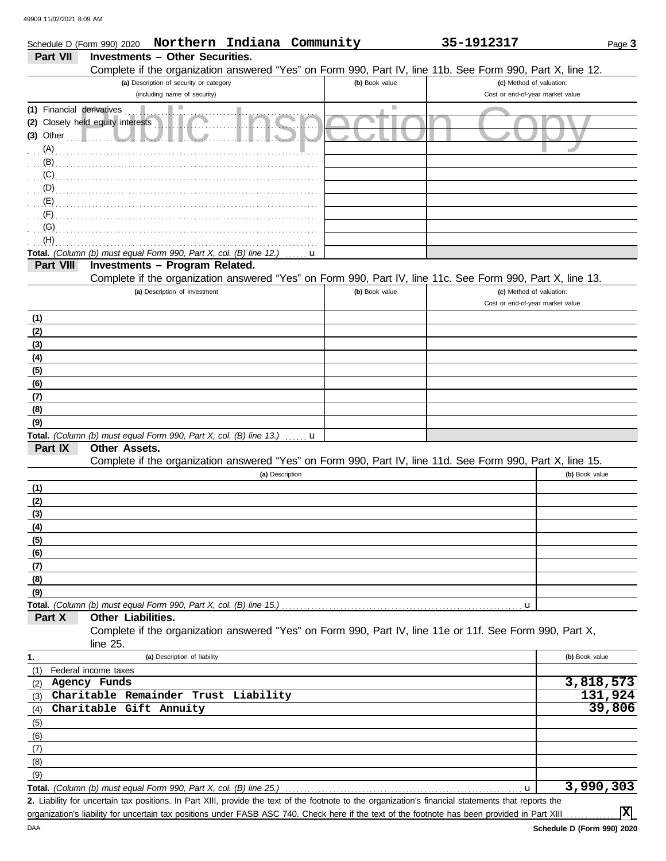|                           | Northern Indiana Community<br>Schedule D (Form 990) 2020                                                   |                | 35-1912317                                                   | Page 3         |
|---------------------------|------------------------------------------------------------------------------------------------------------|----------------|--------------------------------------------------------------|----------------|
| <b>Part VII</b>           | <b>Investments - Other Securities.</b>                                                                     |                |                                                              |                |
|                           | Complete if the organization answered "Yes" on Form 990, Part IV, line 11b. See Form 990, Part X, line 12. |                |                                                              |                |
|                           | (a) Description of security or category                                                                    | (b) Book value | (c) Method of valuation:<br>Cost or end-of-year market value |                |
|                           | (including name of security)                                                                               | ш              |                                                              |                |
| (1) Financial derivatives | (2) Closely held equity interests                                                                          |                |                                                              |                |
| $(3)$ Other               |                                                                                                            |                |                                                              |                |
| (A)                       |                                                                                                            |                |                                                              |                |
| (B)                       |                                                                                                            |                |                                                              |                |
| (C)                       |                                                                                                            |                |                                                              |                |
| (D)                       |                                                                                                            |                |                                                              |                |
| (E)                       |                                                                                                            |                |                                                              |                |
| (F)                       |                                                                                                            |                |                                                              |                |
| (G)                       |                                                                                                            |                |                                                              |                |
| (H)                       |                                                                                                            |                |                                                              |                |
| Part VIII                 | Total. (Column (b) must equal Form 990, Part X, col. (B) line 12.)<br>Investments - Program Related.       | u              |                                                              |                |
|                           | Complete if the organization answered "Yes" on Form 990, Part IV, line 11c. See Form 990, Part X, line 13. |                |                                                              |                |
|                           | (a) Description of investment                                                                              | (b) Book value | (c) Method of valuation:                                     |                |
|                           |                                                                                                            |                | Cost or end-of-year market value                             |                |
| (1)                       |                                                                                                            |                |                                                              |                |
| (2)                       |                                                                                                            |                |                                                              |                |
| (3)                       |                                                                                                            |                |                                                              |                |
| (4)                       |                                                                                                            |                |                                                              |                |
| (5)                       |                                                                                                            |                |                                                              |                |
| (6)                       |                                                                                                            |                |                                                              |                |
| (7)                       |                                                                                                            |                |                                                              |                |
| (8)<br>(9)                |                                                                                                            |                |                                                              |                |
|                           | Total. (Column (b) must equal Form 990, Part X, col. (B) line 13.)                                         | u              |                                                              |                |
| Part IX                   | Other Assets.                                                                                              |                |                                                              |                |
|                           | Complete if the organization answered "Yes" on Form 990, Part IV, line 11d. See Form 990, Part X, line 15. |                |                                                              |                |
|                           | (a) Description                                                                                            |                |                                                              | (b) Book value |
| (1)                       |                                                                                                            |                |                                                              |                |
| (2)                       |                                                                                                            |                |                                                              |                |
| (3)                       |                                                                                                            |                |                                                              |                |
| (4)                       |                                                                                                            |                |                                                              |                |
| (5)                       |                                                                                                            |                |                                                              |                |
| (6)<br>(7)                |                                                                                                            |                |                                                              |                |
| (8)                       |                                                                                                            |                |                                                              |                |
| (9)                       |                                                                                                            |                |                                                              |                |
|                           | Total. (Column (b) must equal Form 990, Part X, col. (B) line 15.)                                         |                | u                                                            |                |
| Part X                    | Other Liabilities.                                                                                         |                |                                                              |                |
|                           | Complete if the organization answered "Yes" on Form 990, Part IV, line 11e or 11f. See Form 990, Part X,   |                |                                                              |                |
|                           | line 25.                                                                                                   |                |                                                              |                |
| 1.                        | (a) Description of liability                                                                               |                |                                                              | (b) Book value |
| (1)                       | Federal income taxes<br>Agency Funds                                                                       |                |                                                              | 3,818,573      |
| (2)                       | Charitable Remainder Trust Liability                                                                       |                |                                                              | 131,924        |
| (3)<br>(4)                | Charitable Gift Annuity                                                                                    |                |                                                              | 39,806         |
| (5)                       |                                                                                                            |                |                                                              |                |
| (6)                       |                                                                                                            |                |                                                              |                |
| (7)                       |                                                                                                            |                |                                                              |                |
| (8)                       |                                                                                                            |                |                                                              |                |
| (9)                       |                                                                                                            |                |                                                              |                |
|                           | Total. (Column (b) must equal Form 990, Part X, col. (B) line 25.)                                         |                | u                                                            | 3,990,303      |

Liability for uncertain tax positions. In Part XIII, provide the text of the footnote to the organization's financial statements that reports the **2.** organization's liability for uncertain tax positions under FASB ASC 740. Check here if the text of the footnote has been provided in Part XIII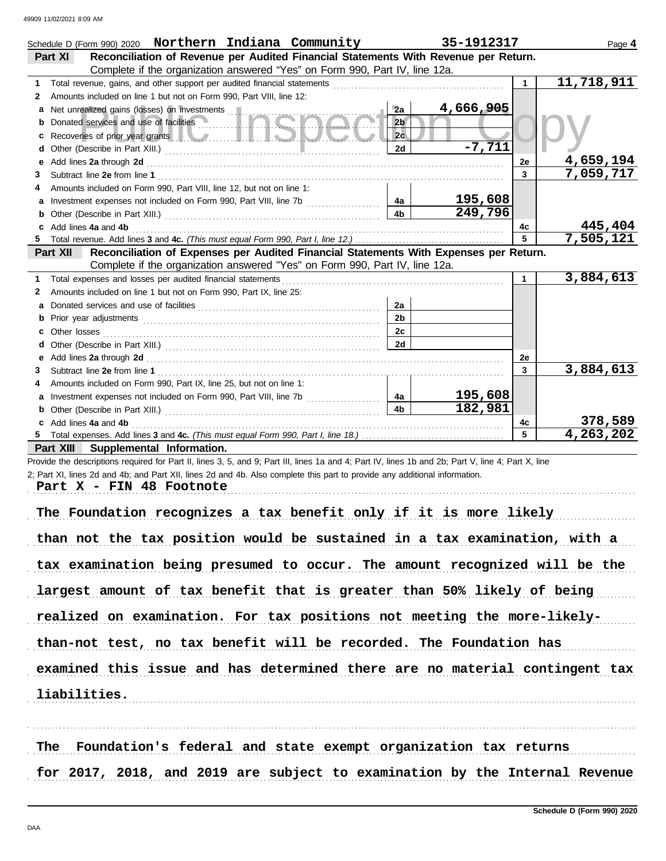|    | Schedule D (Form 990) 2020 Northern Indiana Community                                                                                                                                                                              |                | 35-1912317 |              | Page 4                  |
|----|------------------------------------------------------------------------------------------------------------------------------------------------------------------------------------------------------------------------------------|----------------|------------|--------------|-------------------------|
|    | Reconciliation of Revenue per Audited Financial Statements With Revenue per Return.<br>Part XI                                                                                                                                     |                |            |              |                         |
|    | Complete if the organization answered "Yes" on Form 990, Part IV, line 12a.                                                                                                                                                        |                |            |              |                         |
| 1  |                                                                                                                                                                                                                                    |                |            |              | $\overline{11,718,911}$ |
| 2  | Amounts included on line 1 but not on Form 990, Part VIII, line 12:                                                                                                                                                                |                |            |              |                         |
| a  | Net unrealized gains (losses) on investments                                                                                                                                                                                       | 2a             | 4,666,905  |              |                         |
| b  | Donated services and use of facilities                                                                                                                                                                                             | 2 <sub>b</sub> |            |              |                         |
| с  | Recoveries of prior year grants <b>All Manual Prior</b> Recoveries of prior year grants <b>All Manual Prior</b>                                                                                                                    | 2c             |            |              |                         |
| d  |                                                                                                                                                                                                                                    | 2d             | $-7,711$   |              |                         |
| е  | Add lines 2a through 2d [11] Add [12] Add [12] Add lines 2a through 2d [12] Add lines 2a through 2d [12] Add [12] Adding the University of the Adding District Press, and the University of the University of the University o     |                |            | 2e           | 4,659,194               |
| 3  |                                                                                                                                                                                                                                    |                |            | 3            | 7,059,717               |
|    | Amounts included on Form 990, Part VIII, line 12, but not on line 1:                                                                                                                                                               |                |            |              |                         |
| a  | Investment expenses not included on Form 990, Part VIII, line 7b [100] [100] [100] [4a]                                                                                                                                            |                | 195,608    |              |                         |
| b  |                                                                                                                                                                                                                                    | 4 <sub>b</sub> | 249,796    |              |                         |
| c  | Add lines 4a and 4b                                                                                                                                                                                                                |                |            | 4c           | 445,404                 |
|    |                                                                                                                                                                                                                                    |                |            | 5            | 7,505,121               |
|    | Reconciliation of Expenses per Audited Financial Statements With Expenses per Return.<br>Part XII                                                                                                                                  |                |            |              |                         |
|    | Complete if the organization answered "Yes" on Form 990, Part IV, line 12a.                                                                                                                                                        |                |            |              |                         |
| 1. |                                                                                                                                                                                                                                    |                |            | $\mathbf{1}$ | 3,884,613               |
| 2  | Amounts included on line 1 but not on Form 990, Part IX, line 25:                                                                                                                                                                  |                |            |              |                         |
| a  |                                                                                                                                                                                                                                    | 2a             |            |              |                         |
| b  |                                                                                                                                                                                                                                    | 2 <sub>b</sub> |            |              |                         |
| c  | Other losses <b>contracts on the contract of the contract of the contract of the contract of the contract of the contract of the contract of the contract of the contract of the contract of the contract of the contract of t</b> | 2c             |            |              |                         |
| d  |                                                                                                                                                                                                                                    | 2d             |            |              |                         |
| е  | Add lines 2a through 2d [11] Add [12] Add lines 2a through 2d [12] Add lines 2a through 2d [12] Addd lines 2.                                                                                                                      |                |            | 2e           |                         |
| 3. |                                                                                                                                                                                                                                    |                |            | 3            | 3,884,613               |
| 4  | Amounts included on Form 990, Part IX, line 25, but not on line 1:                                                                                                                                                                 |                |            |              |                         |
|    |                                                                                                                                                                                                                                    | 4a             | 195,608    |              |                         |
| b  |                                                                                                                                                                                                                                    | 4 <sub>h</sub> | 182,981    |              |                         |
|    | Add lines 4a and 4b                                                                                                                                                                                                                |                |            | 4c           | 378,589                 |
| 5. |                                                                                                                                                                                                                                    |                |            | 5            | 4,263,202               |
|    | Part XIII Supplemental Information.                                                                                                                                                                                                |                |            |              |                         |
|    | Provide the descriptions required for Part II, lines 3, 5, and 9; Part III, lines 1a and 4; Part IV, lines 1b and 2b; Part V, line 4; Part X, line                                                                                 |                |            |              |                         |
|    | 2; Part XI, lines 2d and 4b; and Part XII, lines 2d and 4b. Also complete this part to provide any additional information.                                                                                                         |                |            |              |                         |
|    | Part X - FIN 48 Footnote                                                                                                                                                                                                           |                |            |              |                         |
|    |                                                                                                                                                                                                                                    |                |            |              |                         |

| The Foundation recognizes a tax benefit only if it is more likely           |
|-----------------------------------------------------------------------------|
| than not the tax position would be sustained in a tax examination, with a   |
| tax examination being presumed to occur. The amount recognized will be the  |
| largest amount of tax benefit that is greater than 50% likely of being      |
| realized on examination. For tax positions not meeting the more-likely-     |
| than-not test, no tax benefit will be recorded. The Foundation has          |
| examined this issue and has determined there are no material contingent tax |
| liabilities.                                                                |
|                                                                             |

The Foundation's federal and state exempt organization tax returns for 2017, 2018, and 2019 are subject to examination by the Internal Revenue

. . . . . . . . . . . . . . . . . . . . . . . . . . . . . . . . . . . . . . . . . . . . . . . . . . . . . . . . . . . . . . . . . . . . . . . . . . . . . . . . . . . . . . . . . . . . . . . . . . . . . . . . . . . . . . . . . . . . . . . . . . . . . . . . . . . . . . . . . . . . . . . . . . . . . . . . . . . . . . . . . . . . . .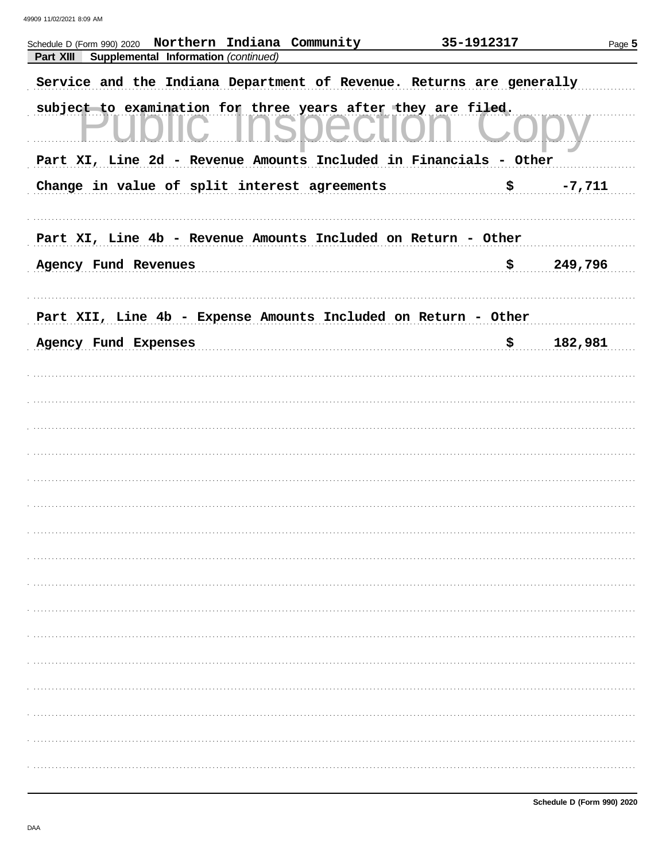| Northern Indiana Community<br>Schedule D (Form 990) 2020             | 35-1912317 | Page 5   |
|----------------------------------------------------------------------|------------|----------|
| Part XIII<br>Supplemental Information (continued)                    |            |          |
| Service and the Indiana Department of Revenue. Returns are generally |            |          |
| subject to examination for three years after they are filed.         |            |          |
| Part XI, Line 2d - Revenue Amounts Included in Financials - Other    |            |          |
| Change in value of split interest agreements                         | \$         | $-7,711$ |
|                                                                      |            |          |
| Part XI, Line 4b - Revenue Amounts Included on Return - Other        |            |          |
| Agency Fund Revenues                                                 | \$         | 249,796  |
|                                                                      |            |          |
| Part XII, Line 4b - Expense Amounts Included on Return - Other       |            |          |
| Agency Fund Expenses                                                 | \$.        | 182,981  |
|                                                                      |            |          |
|                                                                      |            |          |
|                                                                      |            |          |
|                                                                      |            |          |
|                                                                      |            |          |
|                                                                      |            |          |
|                                                                      |            |          |
|                                                                      |            |          |
|                                                                      |            |          |
|                                                                      |            |          |
|                                                                      |            |          |
|                                                                      |            |          |
|                                                                      |            |          |
|                                                                      |            |          |
|                                                                      |            |          |
|                                                                      |            |          |
|                                                                      |            |          |
|                                                                      |            |          |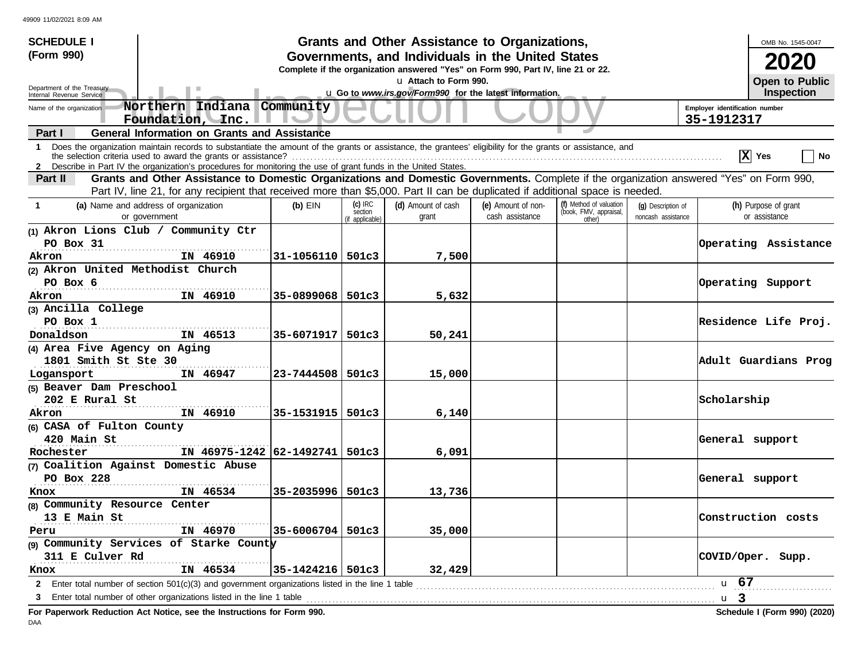| <b>SCHEDULE I</b>                                                                                                                                                                                                                                                                            |                      |                                         | Grants and Other Assistance to Organizations,                                                             |                                       |                                                             |                                          |                                | OMB No. 1545-0047                     |
|----------------------------------------------------------------------------------------------------------------------------------------------------------------------------------------------------------------------------------------------------------------------------------------------|----------------------|-----------------------------------------|-----------------------------------------------------------------------------------------------------------|---------------------------------------|-------------------------------------------------------------|------------------------------------------|--------------------------------|---------------------------------------|
| (Form 990)                                                                                                                                                                                                                                                                                   |                      |                                         | Governments, and Individuals in the United States                                                         |                                       |                                                             |                                          |                                |                                       |
|                                                                                                                                                                                                                                                                                              |                      |                                         | Complete if the organization answered "Yes" on Form 990, Part IV, line 21 or 22.<br>u Attach to Form 990. |                                       |                                                             |                                          |                                |                                       |
| Department of the Treasury<br>Internal Revenue Service                                                                                                                                                                                                                                       |                      |                                         | u Go to www.irs.gov/Form990 for the latest information.                                                   |                                       |                                                             |                                          |                                | <b>Open to Public</b><br>Inspection   |
| Northern Indiana Community<br>Name of the organization                                                                                                                                                                                                                                       |                      |                                         |                                                                                                           |                                       |                                                             |                                          | Employer identification number |                                       |
| Foundation, Inc.                                                                                                                                                                                                                                                                             |                      |                                         |                                                                                                           |                                       |                                                             |                                          | 35-1912317                     |                                       |
| <b>General Information on Grants and Assistance</b><br>Part I                                                                                                                                                                                                                                |                      |                                         |                                                                                                           |                                       |                                                             |                                          |                                |                                       |
| Does the organization maintain records to substantiate the amount of the grants or assistance, the grantees' eligibility for the grants or assistance, and<br>$\mathbf 1$<br>2 Describe in Part IV the organization's procedures for monitoring the use of grant funds in the United States. |                      |                                         |                                                                                                           |                                       |                                                             |                                          |                                | X Yes<br>  No                         |
| Grants and Other Assistance to Domestic Organizations and Domestic Governments. Complete if the organization answered "Yes" on Form 990,<br>Part II                                                                                                                                          |                      |                                         |                                                                                                           |                                       |                                                             |                                          |                                |                                       |
| Part IV, line 21, for any recipient that received more than \$5,000. Part II can be duplicated if additional space is needed.                                                                                                                                                                |                      |                                         |                                                                                                           |                                       |                                                             |                                          |                                |                                       |
| (a) Name and address of organization<br>$\mathbf{1}$<br>or government                                                                                                                                                                                                                        | $(b)$ EIN            | $(c)$ IRC<br>section<br>(if applicable) | (d) Amount of cash<br>grant                                                                               | (e) Amount of non-<br>cash assistance | (f) Method of valuation<br>(book, FMV, appraisal,<br>other) | (q) Description of<br>noncash assistance |                                | (h) Purpose of grant<br>or assistance |
| (1) Akron Lions Club / Community Ctr                                                                                                                                                                                                                                                         |                      |                                         |                                                                                                           |                                       |                                                             |                                          |                                |                                       |
| PO Box 31                                                                                                                                                                                                                                                                                    |                      |                                         |                                                                                                           |                                       |                                                             |                                          |                                | Operating Assistance                  |
| IN 46910<br>Akron                                                                                                                                                                                                                                                                            | $31 - 1056110$ 501c3 |                                         | 7,500                                                                                                     |                                       |                                                             |                                          |                                |                                       |
| (2) Akron United Methodist Church                                                                                                                                                                                                                                                            |                      |                                         |                                                                                                           |                                       |                                                             |                                          |                                |                                       |
| PO Box 6                                                                                                                                                                                                                                                                                     |                      |                                         |                                                                                                           |                                       |                                                             |                                          |                                | Operating Support                     |
| IN 46910<br>Akron                                                                                                                                                                                                                                                                            | $35 - 0899068$ 501c3 |                                         | 5,632                                                                                                     |                                       |                                                             |                                          |                                |                                       |
| (3) Ancilla College                                                                                                                                                                                                                                                                          |                      |                                         |                                                                                                           |                                       |                                                             |                                          |                                |                                       |
| PO Box 1                                                                                                                                                                                                                                                                                     |                      |                                         |                                                                                                           |                                       |                                                             |                                          |                                | Residence Life Proj.                  |
| Donaldson<br>IN 46513                                                                                                                                                                                                                                                                        | $35 - 6071917$ 501c3 |                                         | 50,241                                                                                                    |                                       |                                                             |                                          |                                |                                       |
| (4) Area Five Agency on Aging                                                                                                                                                                                                                                                                |                      |                                         |                                                                                                           |                                       |                                                             |                                          |                                |                                       |
| 1801 Smith St Ste 30                                                                                                                                                                                                                                                                         |                      |                                         |                                                                                                           |                                       |                                                             |                                          |                                | Adult Guardians Prog                  |
| IN 46947<br>Logansport                                                                                                                                                                                                                                                                       | $23 - 7444508$ 501c3 |                                         | 15,000                                                                                                    |                                       |                                                             |                                          |                                |                                       |
| (5) Beaver Dam Preschool                                                                                                                                                                                                                                                                     |                      |                                         |                                                                                                           |                                       |                                                             |                                          |                                |                                       |
| 202 E Rural St                                                                                                                                                                                                                                                                               |                      |                                         |                                                                                                           |                                       |                                                             |                                          | Scholarship                    |                                       |
| IN 46910<br>Akron                                                                                                                                                                                                                                                                            | 35-1531915   501c3   |                                         | 6,140                                                                                                     |                                       |                                                             |                                          |                                |                                       |
| (6) CASA of Fulton County                                                                                                                                                                                                                                                                    |                      |                                         |                                                                                                           |                                       |                                                             |                                          |                                |                                       |
| 420 Main St                                                                                                                                                                                                                                                                                  |                      |                                         |                                                                                                           |                                       |                                                             |                                          | General support                |                                       |
| IN 46975-1242 62-1492741 501c3<br>Rochester                                                                                                                                                                                                                                                  |                      |                                         | 6,091                                                                                                     |                                       |                                                             |                                          |                                |                                       |
| (7) Coalition Against Domestic Abuse<br>PO Box 228                                                                                                                                                                                                                                           |                      |                                         |                                                                                                           |                                       |                                                             |                                          |                                |                                       |
| IN 46534                                                                                                                                                                                                                                                                                     | 35-2035996   501c3   |                                         | 13,736                                                                                                    |                                       |                                                             |                                          | General support                |                                       |
| Knox<br>(8) Community Resource Center                                                                                                                                                                                                                                                        |                      |                                         |                                                                                                           |                                       |                                                             |                                          |                                |                                       |
| 13 E Main St                                                                                                                                                                                                                                                                                 |                      |                                         |                                                                                                           |                                       |                                                             |                                          |                                | Construction costs                    |
| IN 46970<br>Peru                                                                                                                                                                                                                                                                             | $35 - 6006704$ 501c3 |                                         | 35,000                                                                                                    |                                       |                                                             |                                          |                                |                                       |
| (9) Community Services of Starke County                                                                                                                                                                                                                                                      |                      |                                         |                                                                                                           |                                       |                                                             |                                          |                                |                                       |
| 311 E Culver Rd                                                                                                                                                                                                                                                                              |                      |                                         |                                                                                                           |                                       |                                                             |                                          |                                | COVID/Oper. Supp.                     |
| IN 46534<br>Knox                                                                                                                                                                                                                                                                             | $35 - 1424216$ 501c3 |                                         | 32,429                                                                                                    |                                       |                                                             |                                          |                                |                                       |
| Enter total number of section 501(c)(3) and government organizations listed in the line 1 table<br>$\mathbf{2}$                                                                                                                                                                              |                      |                                         |                                                                                                           |                                       |                                                             |                                          | u 67                           |                                       |
| Enter total number of other organizations listed in the line 1 table<br>3                                                                                                                                                                                                                    |                      |                                         |                                                                                                           |                                       |                                                             |                                          | u <sub>3</sub>                 |                                       |
| For Paperwork Reduction Act Notice, see the Instructions for Form 990.                                                                                                                                                                                                                       |                      |                                         |                                                                                                           |                                       |                                                             |                                          |                                | Schedule I (Form 990) (2020)          |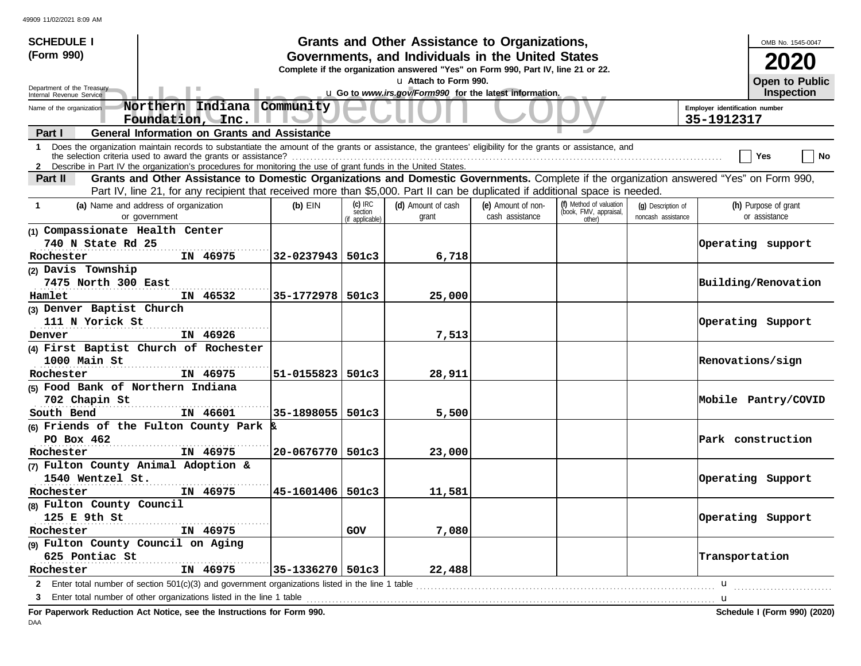| <b>SCHEDULE I</b>                                                                                                                                                                                                                                                                    |                      |                                         | Grants and Other Assistance to Organizations,                                                             |                                       |                                                             |                                          |                                              | OMB No. 1545-0047                     |  |  |
|--------------------------------------------------------------------------------------------------------------------------------------------------------------------------------------------------------------------------------------------------------------------------------------|----------------------|-----------------------------------------|-----------------------------------------------------------------------------------------------------------|---------------------------------------|-------------------------------------------------------------|------------------------------------------|----------------------------------------------|---------------------------------------|--|--|
| (Form 990)                                                                                                                                                                                                                                                                           |                      |                                         | Governments, and Individuals in the United States                                                         |                                       |                                                             |                                          |                                              | <b>2020</b>                           |  |  |
|                                                                                                                                                                                                                                                                                      |                      |                                         | Complete if the organization answered "Yes" on Form 990, Part IV, line 21 or 22.<br>u Attach to Form 990. |                                       |                                                             |                                          |                                              | Open to Public                        |  |  |
| Department of the Treasury<br>Internal Revenue Service                                                                                                                                                                                                                               |                      |                                         | u Go to www.irs.gov/Form990 for the latest information.                                                   |                                       |                                                             |                                          |                                              | Inspection                            |  |  |
| Northern Indiana Community<br>Name of the organization<br>Foundation, Inc.                                                                                                                                                                                                           |                      |                                         |                                                                                                           |                                       |                                                             |                                          | Employer identification number<br>35-1912317 |                                       |  |  |
| <b>General Information on Grants and Assistance</b><br>Part I                                                                                                                                                                                                                        |                      |                                         |                                                                                                           |                                       |                                                             |                                          |                                              |                                       |  |  |
| Does the organization maintain records to substantiate the amount of the grants or assistance, the grantees' eligibility for the grants or assistance, and<br>$\mathbf{1}$                                                                                                           |                      |                                         |                                                                                                           |                                       |                                                             |                                          |                                              | ∣ No<br>Yes                           |  |  |
| 2 Describe in Part IV the organization's procedures for monitoring the use of grant funds in the United States.                                                                                                                                                                      |                      |                                         |                                                                                                           |                                       |                                                             |                                          |                                              |                                       |  |  |
| Grants and Other Assistance to Domestic Organizations and Domestic Governments. Complete if the organization answered "Yes" on Form 990,<br>Part II<br>Part IV, line 21, for any recipient that received more than \$5,000. Part II can be duplicated if additional space is needed. |                      |                                         |                                                                                                           |                                       |                                                             |                                          |                                              |                                       |  |  |
| (a) Name and address of organization<br>$\mathbf{1}$<br>or government                                                                                                                                                                                                                | $(b)$ EIN            | $(c)$ IRC<br>section<br>(if applicable) | (d) Amount of cash<br>grant                                                                               | (e) Amount of non-<br>cash assistance | (f) Method of valuation<br>(book, FMV, appraisal,<br>other) | (q) Description of<br>noncash assistance |                                              | (h) Purpose of grant<br>or assistance |  |  |
| (1) Compassionate Health Center                                                                                                                                                                                                                                                      |                      |                                         |                                                                                                           |                                       |                                                             |                                          |                                              |                                       |  |  |
| 740 N State Rd 25                                                                                                                                                                                                                                                                    |                      |                                         |                                                                                                           |                                       |                                                             |                                          |                                              | Operating support                     |  |  |
| Rochester<br>IN 46975                                                                                                                                                                                                                                                                | $32 - 0237943$ 501c3 |                                         | 6,718                                                                                                     |                                       |                                                             |                                          |                                              |                                       |  |  |
| (2) Davis Township                                                                                                                                                                                                                                                                   |                      |                                         |                                                                                                           |                                       |                                                             |                                          |                                              |                                       |  |  |
| 7475 North 300 East                                                                                                                                                                                                                                                                  |                      |                                         |                                                                                                           |                                       |                                                             |                                          | Building/Renovation                          |                                       |  |  |
| IN 46532<br>Hamlet                                                                                                                                                                                                                                                                   | 35-1772978 501c3     |                                         | 25,000                                                                                                    |                                       |                                                             |                                          |                                              |                                       |  |  |
| (3) Denver Baptist Church                                                                                                                                                                                                                                                            |                      |                                         |                                                                                                           |                                       |                                                             |                                          |                                              |                                       |  |  |
| 111 N Yorick St                                                                                                                                                                                                                                                                      |                      |                                         |                                                                                                           |                                       |                                                             |                                          |                                              | Operating Support                     |  |  |
| IN 46926<br>Denver                                                                                                                                                                                                                                                                   |                      |                                         | 7,513                                                                                                     |                                       |                                                             |                                          |                                              |                                       |  |  |
| (4) First Baptist Church of Rochester                                                                                                                                                                                                                                                |                      |                                         |                                                                                                           |                                       |                                                             |                                          |                                              |                                       |  |  |
| 1000 Main St                                                                                                                                                                                                                                                                         |                      |                                         |                                                                                                           |                                       |                                                             |                                          | Renovations/sign                             |                                       |  |  |
| Rochester<br>IN 46975                                                                                                                                                                                                                                                                | $51 - 0155823$ 501c3 |                                         | 28,911                                                                                                    |                                       |                                                             |                                          |                                              |                                       |  |  |
| (5) Food Bank of Northern Indiana                                                                                                                                                                                                                                                    |                      |                                         |                                                                                                           |                                       |                                                             |                                          |                                              |                                       |  |  |
| 702 Chapin St                                                                                                                                                                                                                                                                        |                      |                                         |                                                                                                           |                                       |                                                             |                                          |                                              | Mobile Pantry/COVID                   |  |  |
| IN 46601<br>South Bend                                                                                                                                                                                                                                                               | 35-1898055   501c3   |                                         | 5,500                                                                                                     |                                       |                                                             |                                          |                                              |                                       |  |  |
| (6) Friends of the Fulton County Park                                                                                                                                                                                                                                                |                      |                                         |                                                                                                           |                                       |                                                             |                                          |                                              |                                       |  |  |
| PO Box 462                                                                                                                                                                                                                                                                           |                      |                                         |                                                                                                           |                                       |                                                             |                                          |                                              | Park construction                     |  |  |
| Rochester<br>IN 46975                                                                                                                                                                                                                                                                | $20 - 0676770$ 501c3 |                                         | 23,000                                                                                                    |                                       |                                                             |                                          |                                              |                                       |  |  |
| (7) Fulton County Animal Adoption &                                                                                                                                                                                                                                                  |                      |                                         |                                                                                                           |                                       |                                                             |                                          |                                              |                                       |  |  |
| 1540 Wentzel St.                                                                                                                                                                                                                                                                     |                      |                                         |                                                                                                           |                                       |                                                             |                                          |                                              | Operating Support                     |  |  |
| IN 46975<br>Rochester                                                                                                                                                                                                                                                                | 45-1601406 501c3     |                                         | 11,581                                                                                                    |                                       |                                                             |                                          |                                              |                                       |  |  |
| (8) Fulton County Council                                                                                                                                                                                                                                                            |                      |                                         |                                                                                                           |                                       |                                                             |                                          |                                              |                                       |  |  |
| 125 E 9th St                                                                                                                                                                                                                                                                         |                      |                                         |                                                                                                           |                                       |                                                             |                                          |                                              | Operating Support                     |  |  |
| Rochester<br>IN 46975                                                                                                                                                                                                                                                                |                      | GOV                                     | 7,080                                                                                                     |                                       |                                                             |                                          |                                              |                                       |  |  |
| (9) Fulton County Council on Aging                                                                                                                                                                                                                                                   |                      |                                         |                                                                                                           |                                       |                                                             |                                          |                                              |                                       |  |  |
| 625 Pontiac St                                                                                                                                                                                                                                                                       |                      |                                         |                                                                                                           |                                       |                                                             |                                          | Transportation                               |                                       |  |  |
| Rochester<br>IN 46975                                                                                                                                                                                                                                                                | $35 - 1336270$ 501c3 |                                         | 22,488                                                                                                    |                                       |                                                             |                                          |                                              |                                       |  |  |
| Enter total number of section 501(c)(3) and government organizations listed in the line 1 table<br>$\mathbf{2}$                                                                                                                                                                      |                      |                                         |                                                                                                           |                                       |                                                             |                                          | <b>u</b>                                     |                                       |  |  |
| 3                                                                                                                                                                                                                                                                                    |                      |                                         |                                                                                                           |                                       |                                                             |                                          | . <b>. u</b>                                 |                                       |  |  |
| For Paperwork Reduction Act Notice, see the Instructions for Form 990.                                                                                                                                                                                                               |                      |                                         |                                                                                                           |                                       |                                                             |                                          |                                              | Schedule I (Form 990) (2020)          |  |  |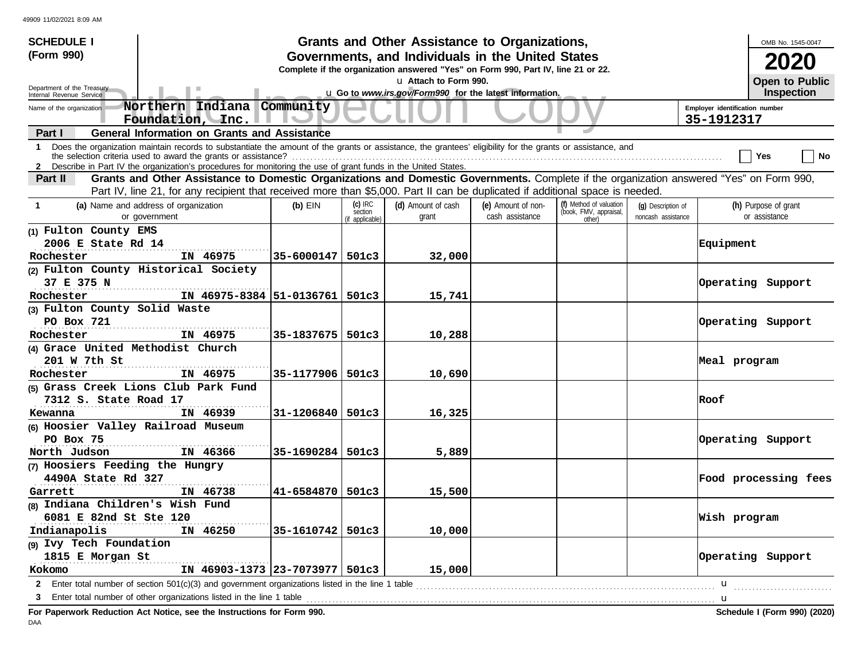| Grants and Other Assistance to Organizations,<br><b>SCHEDULE I</b><br>(Form 990)<br>Governments, and Individuals in the United States                                                                                                                                                         |                      |                                         |                                                                                  |                                       |                                                             |                                          |                                              |  |  |  |
|-----------------------------------------------------------------------------------------------------------------------------------------------------------------------------------------------------------------------------------------------------------------------------------------------|----------------------|-----------------------------------------|----------------------------------------------------------------------------------|---------------------------------------|-------------------------------------------------------------|------------------------------------------|----------------------------------------------|--|--|--|
|                                                                                                                                                                                                                                                                                               |                      |                                         | Complete if the organization answered "Yes" on Form 990, Part IV, line 21 or 22. |                                       |                                                             |                                          |                                              |  |  |  |
| Department of the Treasury                                                                                                                                                                                                                                                                    |                      |                                         | u Attach to Form 990.                                                            |                                       |                                                             |                                          | <b>Open to Public</b>                        |  |  |  |
| Internal Revenue Service                                                                                                                                                                                                                                                                      |                      |                                         | u Go to www.irs.gov/Form990 for the latest information.                          |                                       |                                                             |                                          | <b>Inspection</b>                            |  |  |  |
| Northern Indiana Community<br>Name of the organization<br>Foundation, Inc.                                                                                                                                                                                                                    |                      |                                         |                                                                                  |                                       |                                                             |                                          | Employer identification number<br>35-1912317 |  |  |  |
| <b>General Information on Grants and Assistance</b><br>Part I                                                                                                                                                                                                                                 |                      |                                         |                                                                                  |                                       |                                                             |                                          |                                              |  |  |  |
| Does the organization maintain records to substantiate the amount of the grants or assistance, the grantees' eligibility for the grants or assistance, and<br>$\mathbf{1}$<br>2 Describe in Part IV the organization's procedures for monitoring the use of grant funds in the United States. |                      |                                         |                                                                                  |                                       |                                                             |                                          | Yes<br>No                                    |  |  |  |
| Grants and Other Assistance to Domestic Organizations and Domestic Governments. Complete if the organization answered "Yes" on Form 990,<br>Part II                                                                                                                                           |                      |                                         |                                                                                  |                                       |                                                             |                                          |                                              |  |  |  |
| Part IV, line 21, for any recipient that received more than \$5,000. Part II can be duplicated if additional space is needed.                                                                                                                                                                 |                      |                                         |                                                                                  |                                       |                                                             |                                          |                                              |  |  |  |
| (a) Name and address of organization<br>$\mathbf{1}$<br>or government                                                                                                                                                                                                                         | $(b)$ EIN            | $(c)$ IRC<br>section<br>(if applicable) | (d) Amount of cash<br>grant                                                      | (e) Amount of non-<br>cash assistance | (f) Method of valuation<br>(book, FMV, appraisal,<br>other) | (q) Description of<br>noncash assistance | (h) Purpose of grant<br>or assistance        |  |  |  |
| (1) Fulton County EMS                                                                                                                                                                                                                                                                         |                      |                                         |                                                                                  |                                       |                                                             |                                          |                                              |  |  |  |
| 2006 E State Rd 14                                                                                                                                                                                                                                                                            |                      |                                         |                                                                                  |                                       |                                                             |                                          | <b>Equipment</b>                             |  |  |  |
| IN 46975<br>Rochester                                                                                                                                                                                                                                                                         | 35-6000147   501c3   |                                         | 32,000                                                                           |                                       |                                                             |                                          |                                              |  |  |  |
| (2) Fulton County Historical Society                                                                                                                                                                                                                                                          |                      |                                         |                                                                                  |                                       |                                                             |                                          |                                              |  |  |  |
| 37 E 375 N                                                                                                                                                                                                                                                                                    |                      |                                         |                                                                                  |                                       |                                                             |                                          | Operating Support                            |  |  |  |
| IN 46975-8384 51-0136761 501c3<br>Rochester                                                                                                                                                                                                                                                   |                      |                                         | 15,741                                                                           |                                       |                                                             |                                          |                                              |  |  |  |
| (3) Fulton County Solid Waste                                                                                                                                                                                                                                                                 |                      |                                         |                                                                                  |                                       |                                                             |                                          |                                              |  |  |  |
| PO Box 721                                                                                                                                                                                                                                                                                    |                      |                                         |                                                                                  |                                       |                                                             |                                          | Operating Support                            |  |  |  |
| IN 46975<br>Rochester                                                                                                                                                                                                                                                                         | 35-1837675   501c3   |                                         | 10,288                                                                           |                                       |                                                             |                                          |                                              |  |  |  |
| (4) Grace United Methodist Church                                                                                                                                                                                                                                                             |                      |                                         |                                                                                  |                                       |                                                             |                                          |                                              |  |  |  |
| 201 W 7th St                                                                                                                                                                                                                                                                                  |                      |                                         |                                                                                  |                                       |                                                             |                                          | Meal program                                 |  |  |  |
| IN 46975<br>Rochester                                                                                                                                                                                                                                                                         | 35-1177906   501c3   |                                         | 10,690                                                                           |                                       |                                                             |                                          |                                              |  |  |  |
| (5) Grass Creek Lions Club Park Fund                                                                                                                                                                                                                                                          |                      |                                         |                                                                                  |                                       |                                                             |                                          |                                              |  |  |  |
| 7312 S. State Road 17                                                                                                                                                                                                                                                                         |                      |                                         |                                                                                  |                                       |                                                             |                                          | Roof                                         |  |  |  |
| IN 46939<br>Kewanna                                                                                                                                                                                                                                                                           | 31-1206840   501c3   |                                         | 16,325                                                                           |                                       |                                                             |                                          |                                              |  |  |  |
| (6) Hoosier Valley Railroad Museum                                                                                                                                                                                                                                                            |                      |                                         |                                                                                  |                                       |                                                             |                                          |                                              |  |  |  |
| PO Box 75                                                                                                                                                                                                                                                                                     |                      |                                         |                                                                                  |                                       |                                                             |                                          | Operating Support                            |  |  |  |
| North Judson<br>IN 46366                                                                                                                                                                                                                                                                      | $35 - 1690284$ 501c3 |                                         | 5,889                                                                            |                                       |                                                             |                                          |                                              |  |  |  |
| (7) Hoosiers Feeding the Hungry                                                                                                                                                                                                                                                               |                      |                                         |                                                                                  |                                       |                                                             |                                          |                                              |  |  |  |
| 4490A State Rd 327                                                                                                                                                                                                                                                                            |                      |                                         |                                                                                  |                                       |                                                             |                                          | Food processing fees                         |  |  |  |
| IN 46738<br>Garrett                                                                                                                                                                                                                                                                           | 41-6584870   501c3   |                                         | 15,500                                                                           |                                       |                                                             |                                          |                                              |  |  |  |
| (8) Indiana Children's Wish Fund                                                                                                                                                                                                                                                              |                      |                                         |                                                                                  |                                       |                                                             |                                          |                                              |  |  |  |
| 6081 E 82nd St Ste 120                                                                                                                                                                                                                                                                        |                      |                                         |                                                                                  |                                       |                                                             |                                          | Wish program                                 |  |  |  |
| Indianapolis<br>IN 46250                                                                                                                                                                                                                                                                      | 35-1610742   501c3   |                                         | 10,000                                                                           |                                       |                                                             |                                          |                                              |  |  |  |
| (9) Ivy Tech Foundation                                                                                                                                                                                                                                                                       |                      |                                         |                                                                                  |                                       |                                                             |                                          |                                              |  |  |  |
| 1815 E Morgan St                                                                                                                                                                                                                                                                              |                      |                                         |                                                                                  |                                       |                                                             |                                          | Operating Support                            |  |  |  |
| IN 46903-1373 23-7073977 501c3<br>Kokomo                                                                                                                                                                                                                                                      |                      |                                         | 15,000                                                                           |                                       |                                                             |                                          |                                              |  |  |  |
|                                                                                                                                                                                                                                                                                               |                      |                                         |                                                                                  |                                       |                                                             |                                          | $\mathbf{u}$                                 |  |  |  |
| Enter total number of other organizations listed in the line 1 table <i>manufacture in the content of the line</i> 1 table manufacture in the line 1 table manufacture in the line of the line 1 table<br>3                                                                                   |                      |                                         |                                                                                  |                                       |                                                             |                                          |                                              |  |  |  |
| Fer Denomicule Dedication, Act Notice, and the Inctrustions for Form                                                                                                                                                                                                                          |                      |                                         |                                                                                  |                                       |                                                             |                                          | Cahadule I (Farm 000) (2020)                 |  |  |  |

**For Paperwork Reduction Act Notice, see the Instructions for Form 990. Schedule I (Form 990) (2020)** DAA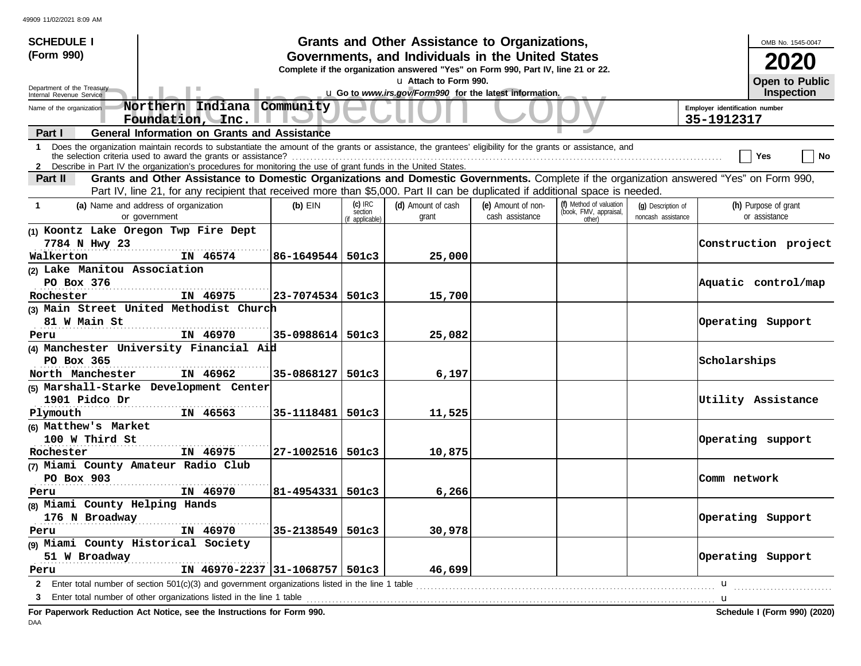| <b>SCHEDULE I</b>                                                                                                                                                                                                                                                                            |                       |                                         | Grants and Other Assistance to Organizations,                                                                                         |                                       |                                                             |                                          |                                              | OMB No. 1545-0047                     |  |  |
|----------------------------------------------------------------------------------------------------------------------------------------------------------------------------------------------------------------------------------------------------------------------------------------------|-----------------------|-----------------------------------------|---------------------------------------------------------------------------------------------------------------------------------------|---------------------------------------|-------------------------------------------------------------|------------------------------------------|----------------------------------------------|---------------------------------------|--|--|
| (Form 990)                                                                                                                                                                                                                                                                                   |                       |                                         | Governments, and Individuals in the United States<br>Complete if the organization answered "Yes" on Form 990, Part IV, line 21 or 22. |                                       |                                                             |                                          |                                              | 2020                                  |  |  |
|                                                                                                                                                                                                                                                                                              |                       |                                         | u Attach to Form 990.                                                                                                                 |                                       |                                                             |                                          |                                              | Open to Public                        |  |  |
| Department of the Treasury<br>Internal Revenue Service                                                                                                                                                                                                                                       |                       |                                         | u Go to www.irs.gov/Form990 for the latest information.                                                                               |                                       |                                                             |                                          |                                              | <b>Inspection</b>                     |  |  |
| Northern Indiana Community<br>Name of the organization<br>Foundation, Inc.                                                                                                                                                                                                                   |                       |                                         |                                                                                                                                       |                                       |                                                             |                                          | Employer identification number<br>35-1912317 |                                       |  |  |
| <b>General Information on Grants and Assistance</b><br>Part I                                                                                                                                                                                                                                |                       |                                         |                                                                                                                                       |                                       |                                                             |                                          |                                              |                                       |  |  |
| Does the organization maintain records to substantiate the amount of the grants or assistance, the grantees' eligibility for the grants or assistance, and<br>$\mathbf 1$<br>2 Describe in Part IV the organization's procedures for monitoring the use of grant funds in the United States. |                       |                                         |                                                                                                                                       |                                       |                                                             |                                          |                                              | No<br>Yes                             |  |  |
| <b>Part II</b>                                                                                                                                                                                                                                                                               |                       |                                         |                                                                                                                                       |                                       |                                                             |                                          |                                              |                                       |  |  |
| Grants and Other Assistance to Domestic Organizations and Domestic Governments. Complete if the organization answered "Yes" on Form 990,<br>Part IV, line 21, for any recipient that received more than \$5,000. Part II can be duplicated if additional space is needed.                    |                       |                                         |                                                                                                                                       |                                       |                                                             |                                          |                                              |                                       |  |  |
| (a) Name and address of organization<br>$\mathbf{1}$<br>or government                                                                                                                                                                                                                        | $(b)$ EIN             | $(c)$ IRC<br>section<br>(if applicable) | (d) Amount of cash<br>grant                                                                                                           | (e) Amount of non-<br>cash assistance | (f) Method of valuation<br>(book, FMV, appraisal,<br>other) | (q) Description of<br>noncash assistance |                                              | (h) Purpose of grant<br>or assistance |  |  |
| (1) Koontz Lake Oregon Twp Fire Dept                                                                                                                                                                                                                                                         |                       |                                         |                                                                                                                                       |                                       |                                                             |                                          |                                              |                                       |  |  |
| 7784 N Hwy 23                                                                                                                                                                                                                                                                                |                       |                                         |                                                                                                                                       |                                       |                                                             |                                          |                                              | Construction project                  |  |  |
| Walkerton<br>IN 46574                                                                                                                                                                                                                                                                        | 86-1649544   501c3    |                                         | 25,000                                                                                                                                |                                       |                                                             |                                          |                                              |                                       |  |  |
| (2) Lake Manitou Association                                                                                                                                                                                                                                                                 |                       |                                         |                                                                                                                                       |                                       |                                                             |                                          |                                              |                                       |  |  |
| PO Box 376                                                                                                                                                                                                                                                                                   |                       |                                         |                                                                                                                                       |                                       |                                                             |                                          |                                              | Aquatic control/map                   |  |  |
| IN 46975<br>Rochester                                                                                                                                                                                                                                                                        | $ 23 - 7074534 501c3$ |                                         | 15,700                                                                                                                                |                                       |                                                             |                                          |                                              |                                       |  |  |
| (3) Main Street United Methodist Church                                                                                                                                                                                                                                                      |                       |                                         |                                                                                                                                       |                                       |                                                             |                                          |                                              |                                       |  |  |
| 81 W Main St                                                                                                                                                                                                                                                                                 |                       |                                         |                                                                                                                                       |                                       |                                                             |                                          |                                              | Operating Support                     |  |  |
| IN 46970<br>Peru                                                                                                                                                                                                                                                                             | 35-0988614 501c3      |                                         | 25,082                                                                                                                                |                                       |                                                             |                                          |                                              |                                       |  |  |
| (4) Manchester University Financial Aid                                                                                                                                                                                                                                                      |                       |                                         |                                                                                                                                       |                                       |                                                             |                                          |                                              |                                       |  |  |
| PO Box 365                                                                                                                                                                                                                                                                                   |                       |                                         |                                                                                                                                       |                                       |                                                             |                                          | Scholarships                                 |                                       |  |  |
| North Manchester<br><b>IN 46962</b>                                                                                                                                                                                                                                                          | 35-0868127   501c3    |                                         | 6,197                                                                                                                                 |                                       |                                                             |                                          |                                              |                                       |  |  |
| (5) Marshall-Starke Development Center                                                                                                                                                                                                                                                       |                       |                                         |                                                                                                                                       |                                       |                                                             |                                          |                                              |                                       |  |  |
| 1901 Pidco Dr                                                                                                                                                                                                                                                                                |                       |                                         |                                                                                                                                       |                                       |                                                             |                                          |                                              | Utility Assistance                    |  |  |
| Plymouth                                                                                                                                                                                                                                                                                     | 35-1118481   501c3    |                                         | 11,525                                                                                                                                |                                       |                                                             |                                          |                                              |                                       |  |  |
| (6) Matthew's Market                                                                                                                                                                                                                                                                         |                       |                                         |                                                                                                                                       |                                       |                                                             |                                          |                                              |                                       |  |  |
| 100 W Third St                                                                                                                                                                                                                                                                               |                       |                                         |                                                                                                                                       |                                       |                                                             |                                          |                                              | Operating support                     |  |  |
| IN 46975<br>Rochester                                                                                                                                                                                                                                                                        | 27-1002516   501c3    |                                         | 10,875                                                                                                                                |                                       |                                                             |                                          |                                              |                                       |  |  |
| (7) Miami County Amateur Radio Club                                                                                                                                                                                                                                                          |                       |                                         |                                                                                                                                       |                                       |                                                             |                                          |                                              |                                       |  |  |
| PO Box 903                                                                                                                                                                                                                                                                                   |                       |                                         |                                                                                                                                       |                                       |                                                             |                                          | Comm network                                 |                                       |  |  |
| IN 46970<br>Peru                                                                                                                                                                                                                                                                             | 81-4954331   501c3    |                                         | 6,266                                                                                                                                 |                                       |                                                             |                                          |                                              |                                       |  |  |
| (8) Miami County Helping Hands                                                                                                                                                                                                                                                               |                       |                                         |                                                                                                                                       |                                       |                                                             |                                          |                                              |                                       |  |  |
| 176 N Broadway                                                                                                                                                                                                                                                                               |                       |                                         |                                                                                                                                       |                                       |                                                             |                                          |                                              | Operating Support                     |  |  |
| IN 46970<br>Peru                                                                                                                                                                                                                                                                             | 35-2138549   501c3    |                                         | 30,978                                                                                                                                |                                       |                                                             |                                          |                                              |                                       |  |  |
| (9) Miami County Historical Society                                                                                                                                                                                                                                                          |                       |                                         |                                                                                                                                       |                                       |                                                             |                                          |                                              |                                       |  |  |
| 51 W Broadway                                                                                                                                                                                                                                                                                |                       |                                         |                                                                                                                                       |                                       |                                                             |                                          |                                              | Operating Support                     |  |  |
| IN 46970-2237 31-1068757 501c3<br>Peru                                                                                                                                                                                                                                                       |                       |                                         | 46,699                                                                                                                                |                                       |                                                             |                                          |                                              |                                       |  |  |
| 2 Enter total number of section 501(c)(3) and government organizations listed in the line 1 table                                                                                                                                                                                            |                       |                                         |                                                                                                                                       |                                       |                                                             |                                          | $\mathbf{u}$                                 |                                       |  |  |
| 3                                                                                                                                                                                                                                                                                            |                       |                                         |                                                                                                                                       |                                       |                                                             |                                          | $\mathbf u$                                  |                                       |  |  |
| For Paperwork Reduction Act Notice, see the Instructions for Form 990.                                                                                                                                                                                                                       |                       |                                         |                                                                                                                                       |                                       |                                                             |                                          |                                              | Schedule I (Form 990) (2020)          |  |  |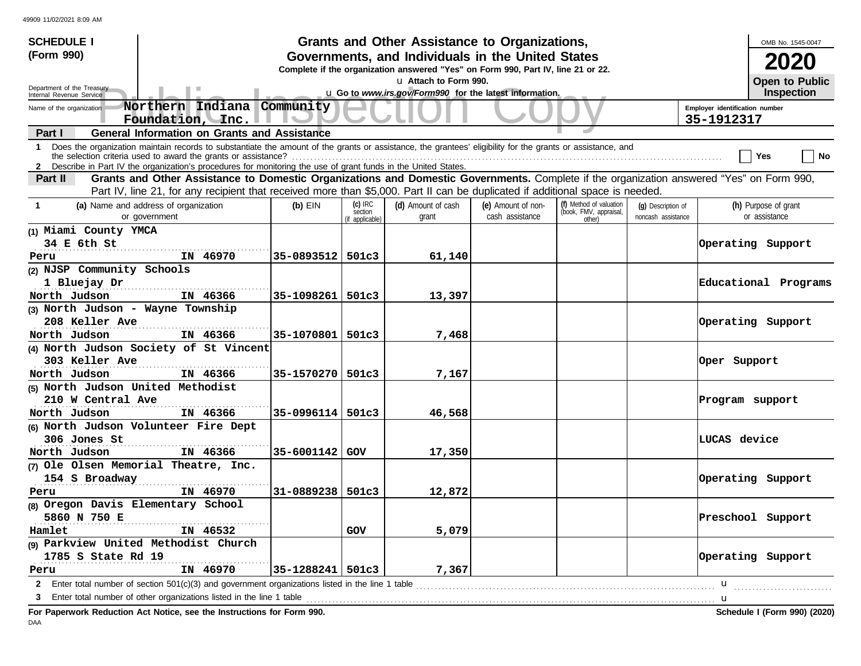| <b>SCHEDULE I</b>                                                                                                                                                                                                                                           |                      |                      | Grants and Other Assistance to Organizations,                                                                                         |                                       |                                                   |                                          |                                              | OMB No. 1545-0047                     |  |  |  |
|-------------------------------------------------------------------------------------------------------------------------------------------------------------------------------------------------------------------------------------------------------------|----------------------|----------------------|---------------------------------------------------------------------------------------------------------------------------------------|---------------------------------------|---------------------------------------------------|------------------------------------------|----------------------------------------------|---------------------------------------|--|--|--|
| (Form 990)                                                                                                                                                                                                                                                  |                      |                      | Governments, and Individuals in the United States<br>Complete if the organization answered "Yes" on Form 990, Part IV, line 21 or 22. |                                       |                                                   |                                          |                                              | 2020                                  |  |  |  |
|                                                                                                                                                                                                                                                             |                      |                      | u Attach to Form 990.                                                                                                                 |                                       |                                                   |                                          |                                              | Open to Public                        |  |  |  |
| Department of the Treasury<br>Internal Revenue Service                                                                                                                                                                                                      |                      |                      | u Go to www.irs.gov/Form990 for the latest information.                                                                               |                                       |                                                   |                                          |                                              | Inspection                            |  |  |  |
| Northern Indiana Community<br>Name of the organization<br>Foundation, Inc.                                                                                                                                                                                  |                      |                      |                                                                                                                                       |                                       |                                                   |                                          | Employer identification number<br>35-1912317 |                                       |  |  |  |
| <b>General Information on Grants and Assistance</b><br>Part I                                                                                                                                                                                               |                      |                      |                                                                                                                                       |                                       |                                                   |                                          |                                              |                                       |  |  |  |
| Does the organization maintain records to substantiate the amount of the grants or assistance, the grantees' eligibility for the grants or assistance, and<br>$\mathbf 1$<br>the selection criteria used to award the grants or assistance?                 |                      |                      |                                                                                                                                       |                                       |                                                   |                                          |                                              | ∣ No<br>Yes                           |  |  |  |
| 2 Describe in Part IV the organization's procedures for monitoring the use of grant funds in the United States.<br>Grants and Other Assistance to Domestic Organizations and Domestic Governments. Complete if the organization answered "Yes" on Form 990, |                      |                      |                                                                                                                                       |                                       |                                                   |                                          |                                              |                                       |  |  |  |
| Part II<br>Part IV, line 21, for any recipient that received more than \$5,000. Part II can be duplicated if additional space is needed.                                                                                                                    |                      |                      |                                                                                                                                       |                                       |                                                   |                                          |                                              |                                       |  |  |  |
| (a) Name and address of organization<br>$\mathbf{1}$<br>or government                                                                                                                                                                                       | $(b)$ EIN            | $(c)$ IRC<br>section | (d) Amount of cash<br>grant                                                                                                           | (e) Amount of non-<br>cash assistance | (f) Method of valuation<br>(book, FMV, appraisal, | (q) Description of<br>noncash assistance |                                              | (h) Purpose of grant<br>or assistance |  |  |  |
| (1) Miami County YMCA                                                                                                                                                                                                                                       |                      | (if applicable)      |                                                                                                                                       |                                       | other)                                            |                                          |                                              |                                       |  |  |  |
| 34 E 6th St                                                                                                                                                                                                                                                 |                      |                      |                                                                                                                                       |                                       |                                                   |                                          |                                              | Operating Support                     |  |  |  |
| IN 46970<br>Peru                                                                                                                                                                                                                                            | $35 - 0893512$ 501c3 |                      | 61,140                                                                                                                                |                                       |                                                   |                                          |                                              |                                       |  |  |  |
| (2) NJSP Community Schools                                                                                                                                                                                                                                  |                      |                      |                                                                                                                                       |                                       |                                                   |                                          |                                              |                                       |  |  |  |
| 1 Bluejay Dr                                                                                                                                                                                                                                                |                      |                      |                                                                                                                                       |                                       |                                                   |                                          |                                              | Educational Programs                  |  |  |  |
| North Judson<br>IN 46366                                                                                                                                                                                                                                    | 35-1098261   501c3   |                      | 13,397                                                                                                                                |                                       |                                                   |                                          |                                              |                                       |  |  |  |
| (3) North Judson - Wayne Township                                                                                                                                                                                                                           |                      |                      |                                                                                                                                       |                                       |                                                   |                                          |                                              |                                       |  |  |  |
| 208 Keller Ave                                                                                                                                                                                                                                              |                      |                      |                                                                                                                                       |                                       |                                                   |                                          |                                              | Operating Support                     |  |  |  |
| North Judson<br>IN 46366                                                                                                                                                                                                                                    | 35-1070801   501c3   |                      | 7,468                                                                                                                                 |                                       |                                                   |                                          |                                              |                                       |  |  |  |
| (4) North Judson Society of St Vincent                                                                                                                                                                                                                      |                      |                      |                                                                                                                                       |                                       |                                                   |                                          |                                              |                                       |  |  |  |
| 303 Keller Ave                                                                                                                                                                                                                                              |                      |                      |                                                                                                                                       |                                       |                                                   |                                          | Oper Support                                 |                                       |  |  |  |
| North Judson<br>IN 46366                                                                                                                                                                                                                                    | 35-1570270   501c3   |                      | 7,167                                                                                                                                 |                                       |                                                   |                                          |                                              |                                       |  |  |  |
| (5) North Judson United Methodist                                                                                                                                                                                                                           |                      |                      |                                                                                                                                       |                                       |                                                   |                                          |                                              |                                       |  |  |  |
| 210 W Central Ave                                                                                                                                                                                                                                           |                      |                      |                                                                                                                                       |                                       |                                                   |                                          | Program support                              |                                       |  |  |  |
| North Judson<br>IN 46366                                                                                                                                                                                                                                    | 35-0996114   501c3   |                      | 46,568                                                                                                                                |                                       |                                                   |                                          |                                              |                                       |  |  |  |
| (6) North Judson Volunteer Fire Dept                                                                                                                                                                                                                        |                      |                      |                                                                                                                                       |                                       |                                                   |                                          |                                              |                                       |  |  |  |
| 306 Jones St                                                                                                                                                                                                                                                |                      |                      |                                                                                                                                       |                                       |                                                   |                                          | <b>LUCAS device</b>                          |                                       |  |  |  |
| North Judson<br>IN 46366                                                                                                                                                                                                                                    | 35-6001142 GOV       |                      | 17,350                                                                                                                                |                                       |                                                   |                                          |                                              |                                       |  |  |  |
| (7) Ole Olsen Memorial Theatre, Inc.                                                                                                                                                                                                                        |                      |                      |                                                                                                                                       |                                       |                                                   |                                          |                                              |                                       |  |  |  |
| 154 S Broadway                                                                                                                                                                                                                                              |                      |                      |                                                                                                                                       |                                       |                                                   |                                          |                                              | Operating Support                     |  |  |  |
| IN 46970<br>Peru                                                                                                                                                                                                                                            | 31-0889238   501c3   |                      | 12,872                                                                                                                                |                                       |                                                   |                                          |                                              |                                       |  |  |  |
| (8) Oregon Davis Elementary School                                                                                                                                                                                                                          |                      |                      |                                                                                                                                       |                                       |                                                   |                                          |                                              |                                       |  |  |  |
| 5860 N 750 E                                                                                                                                                                                                                                                |                      |                      |                                                                                                                                       |                                       |                                                   |                                          |                                              | Preschool Support                     |  |  |  |
| Hamlet<br>IN 46532                                                                                                                                                                                                                                          |                      | GOV                  | 5,079                                                                                                                                 |                                       |                                                   |                                          |                                              |                                       |  |  |  |
| (9) Parkview United Methodist Church                                                                                                                                                                                                                        |                      |                      |                                                                                                                                       |                                       |                                                   |                                          | Operating Support                            |                                       |  |  |  |
| 1785 S State Rd 19<br>IN 46970                                                                                                                                                                                                                              |                      |                      |                                                                                                                                       |                                       |                                                   |                                          |                                              |                                       |  |  |  |
| Peru                                                                                                                                                                                                                                                        | $35 - 1288241$ 501c3 |                      | 7,367                                                                                                                                 |                                       |                                                   |                                          |                                              |                                       |  |  |  |
| 2 Enter total number of section 501(c)(3) and government organizations listed in the line 1 table [1] content to the section 501(c)(3) and government organizations listed in the line 1 table [1] content to response the sec                              |                      |                      |                                                                                                                                       |                                       |                                                   |                                          | $\mathbf{u}$                                 |                                       |  |  |  |
| 3                                                                                                                                                                                                                                                           |                      |                      |                                                                                                                                       |                                       |                                                   |                                          | . <b>. u</b>                                 |                                       |  |  |  |
| For Paperwork Reduction Act Notice, see the Instructions for Form 990.                                                                                                                                                                                      |                      |                      |                                                                                                                                       |                                       |                                                   |                                          |                                              | Schedule I (Form 990) (2020)          |  |  |  |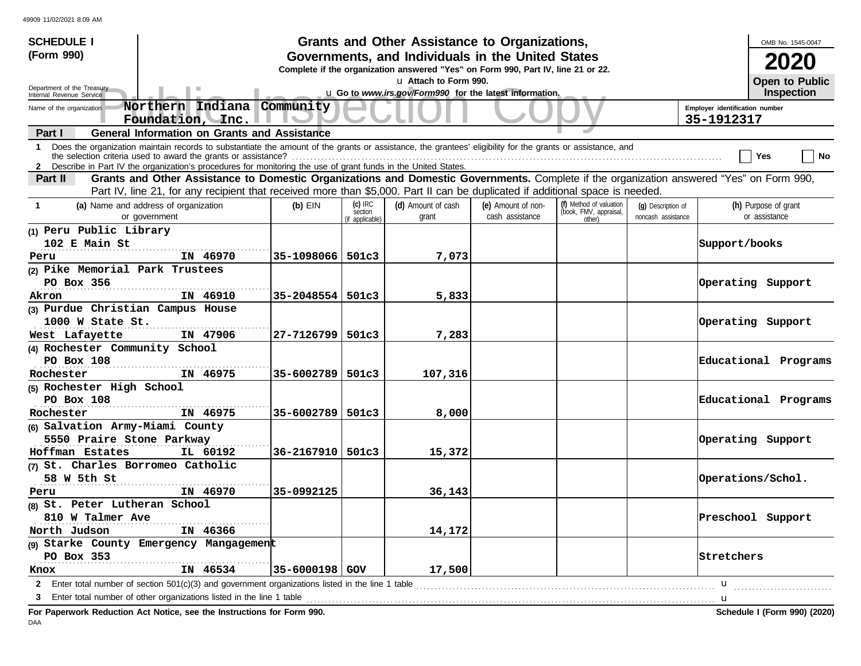| <b>SCHEDULE I</b>                                                                                                                                                                                                                                                         |                      |                                         | Grants and Other Assistance to Organizations,                                                                                         |                                       |                                                             |                                          |                                              | OMB No. 1545-0047                     |  |  |
|---------------------------------------------------------------------------------------------------------------------------------------------------------------------------------------------------------------------------------------------------------------------------|----------------------|-----------------------------------------|---------------------------------------------------------------------------------------------------------------------------------------|---------------------------------------|-------------------------------------------------------------|------------------------------------------|----------------------------------------------|---------------------------------------|--|--|
| (Form 990)                                                                                                                                                                                                                                                                |                      |                                         | Governments, and Individuals in the United States<br>Complete if the organization answered "Yes" on Form 990, Part IV, line 21 or 22. |                                       |                                                             |                                          |                                              | <b>2020</b>                           |  |  |
|                                                                                                                                                                                                                                                                           |                      |                                         | La Attach to Form 990.                                                                                                                |                                       |                                                             |                                          |                                              | Open to Public                        |  |  |
| Department of the Treasury<br>Internal Revenue Service                                                                                                                                                                                                                    |                      |                                         | u Go to www.irs.gov/Form990 for the latest information.                                                                               |                                       |                                                             |                                          |                                              | <b>Inspection</b>                     |  |  |
| Northern Indiana Community<br>Name of the organization<br>Foundation, Inc.                                                                                                                                                                                                |                      |                                         |                                                                                                                                       |                                       |                                                             |                                          | Employer identification number<br>35-1912317 |                                       |  |  |
| <b>General Information on Grants and Assistance</b><br>Part I                                                                                                                                                                                                             |                      |                                         |                                                                                                                                       |                                       |                                                             |                                          |                                              |                                       |  |  |
| Does the organization maintain records to substantiate the amount of the grants or assistance, the grantees' eligibility for the grants or assistance, and<br>$\mathbf{1}$                                                                                                |                      |                                         |                                                                                                                                       |                                       |                                                             |                                          |                                              | ∣ No<br>Yes                           |  |  |
| 2 Describe in Part IV the organization's procedures for monitoring the use of grant funds in the United States.<br>Part II                                                                                                                                                |                      |                                         |                                                                                                                                       |                                       |                                                             |                                          |                                              |                                       |  |  |
| Grants and Other Assistance to Domestic Organizations and Domestic Governments. Complete if the organization answered "Yes" on Form 990,<br>Part IV, line 21, for any recipient that received more than \$5,000. Part II can be duplicated if additional space is needed. |                      |                                         |                                                                                                                                       |                                       |                                                             |                                          |                                              |                                       |  |  |
| (a) Name and address of organization<br>$\mathbf{1}$<br>or government                                                                                                                                                                                                     | $(b)$ EIN            | $(c)$ IRC<br>section<br>(if applicable) | (d) Amount of cash<br>grant                                                                                                           | (e) Amount of non-<br>cash assistance | (f) Method of valuation<br>(book, FMV, appraisal,<br>other) | (q) Description of<br>noncash assistance |                                              | (h) Purpose of grant<br>or assistance |  |  |
| (1) Peru Public Library                                                                                                                                                                                                                                                   |                      |                                         |                                                                                                                                       |                                       |                                                             |                                          |                                              |                                       |  |  |
| 102 E Main St                                                                                                                                                                                                                                                             |                      |                                         |                                                                                                                                       |                                       |                                                             |                                          | Support/books                                |                                       |  |  |
| IN 46970<br>Peru                                                                                                                                                                                                                                                          | 35-1098066   501c3   |                                         | 7,073                                                                                                                                 |                                       |                                                             |                                          |                                              |                                       |  |  |
| (2) Pike Memorial Park Trustees                                                                                                                                                                                                                                           |                      |                                         |                                                                                                                                       |                                       |                                                             |                                          |                                              |                                       |  |  |
| PO Box 356                                                                                                                                                                                                                                                                |                      |                                         |                                                                                                                                       |                                       |                                                             |                                          | Operating Support                            |                                       |  |  |
| IN 46910<br>Akron                                                                                                                                                                                                                                                         | 35-2048554   501c3   |                                         | 5,833                                                                                                                                 |                                       |                                                             |                                          |                                              |                                       |  |  |
| (3) Purdue Christian Campus House                                                                                                                                                                                                                                         |                      |                                         |                                                                                                                                       |                                       |                                                             |                                          |                                              |                                       |  |  |
| 1000 W State St.                                                                                                                                                                                                                                                          |                      |                                         |                                                                                                                                       |                                       |                                                             |                                          |                                              | Operating Support                     |  |  |
| IN 47906<br>West Lafayette                                                                                                                                                                                                                                                | $27 - 7126799$ 501c3 |                                         | 7,283                                                                                                                                 |                                       |                                                             |                                          |                                              |                                       |  |  |
| (4) Rochester Community School                                                                                                                                                                                                                                            |                      |                                         |                                                                                                                                       |                                       |                                                             |                                          |                                              |                                       |  |  |
| PO Box 108                                                                                                                                                                                                                                                                |                      |                                         |                                                                                                                                       |                                       |                                                             |                                          |                                              | Educational Programs                  |  |  |
| Rochester<br>IN 46975                                                                                                                                                                                                                                                     | 35-6002789   501c3   |                                         | 107,316                                                                                                                               |                                       |                                                             |                                          |                                              |                                       |  |  |
| (5) Rochester High School                                                                                                                                                                                                                                                 |                      |                                         |                                                                                                                                       |                                       |                                                             |                                          |                                              |                                       |  |  |
| PO Box 108                                                                                                                                                                                                                                                                |                      |                                         |                                                                                                                                       |                                       |                                                             |                                          |                                              | Educational Programs                  |  |  |
| IN 46975<br>Rochester                                                                                                                                                                                                                                                     | 35-6002789   501c3   |                                         | 8,000                                                                                                                                 |                                       |                                                             |                                          |                                              |                                       |  |  |
| (6) Salvation Army-Miami County                                                                                                                                                                                                                                           |                      |                                         |                                                                                                                                       |                                       |                                                             |                                          |                                              |                                       |  |  |
| 5550 Praire Stone Parkway                                                                                                                                                                                                                                                 |                      |                                         |                                                                                                                                       |                                       |                                                             |                                          |                                              | Operating Support                     |  |  |
| Hoffman Estates<br>IL 60192                                                                                                                                                                                                                                               | $36 - 2167910$ 501c3 |                                         | 15,372                                                                                                                                |                                       |                                                             |                                          |                                              |                                       |  |  |
| (7) St. Charles Borromeo Catholic                                                                                                                                                                                                                                         |                      |                                         |                                                                                                                                       |                                       |                                                             |                                          |                                              |                                       |  |  |
| 58 W 5th St                                                                                                                                                                                                                                                               |                      |                                         |                                                                                                                                       |                                       |                                                             |                                          |                                              | Operations/Schol.                     |  |  |
| IN 46970<br>Peru                                                                                                                                                                                                                                                          | 35-0992125           |                                         | 36,143                                                                                                                                |                                       |                                                             |                                          |                                              |                                       |  |  |
| (8) St. Peter Lutheran School                                                                                                                                                                                                                                             |                      |                                         |                                                                                                                                       |                                       |                                                             |                                          |                                              |                                       |  |  |
| 810 W Talmer Ave                                                                                                                                                                                                                                                          |                      |                                         |                                                                                                                                       |                                       |                                                             |                                          |                                              | Preschool Support                     |  |  |
| North Judson<br>IN 46366                                                                                                                                                                                                                                                  |                      |                                         | 14,172                                                                                                                                |                                       |                                                             |                                          |                                              |                                       |  |  |
| (9) Starke County Emergency Mangagement<br>PO Box 353                                                                                                                                                                                                                     |                      |                                         |                                                                                                                                       |                                       |                                                             |                                          | Stretchers                                   |                                       |  |  |
| IN 46534                                                                                                                                                                                                                                                                  |                      |                                         |                                                                                                                                       |                                       |                                                             |                                          |                                              |                                       |  |  |
| Knox                                                                                                                                                                                                                                                                      | $35 - 6000198$ GOV   |                                         | 17,500                                                                                                                                |                                       |                                                             |                                          |                                              |                                       |  |  |
| Enter total number of section $501(c)(3)$ and government organizations listed in the line 1 table<br>$\mathbf{2}$                                                                                                                                                         |                      |                                         |                                                                                                                                       |                                       |                                                             |                                          | u                                            |                                       |  |  |
| 3                                                                                                                                                                                                                                                                         |                      |                                         |                                                                                                                                       |                                       |                                                             |                                          | . <b>. u</b>                                 |                                       |  |  |
| For Paperwork Reduction Act Notice, see the Instructions for Form 990.                                                                                                                                                                                                    |                      |                                         |                                                                                                                                       |                                       |                                                             |                                          |                                              | Schedule I (Form 990) (2020)          |  |  |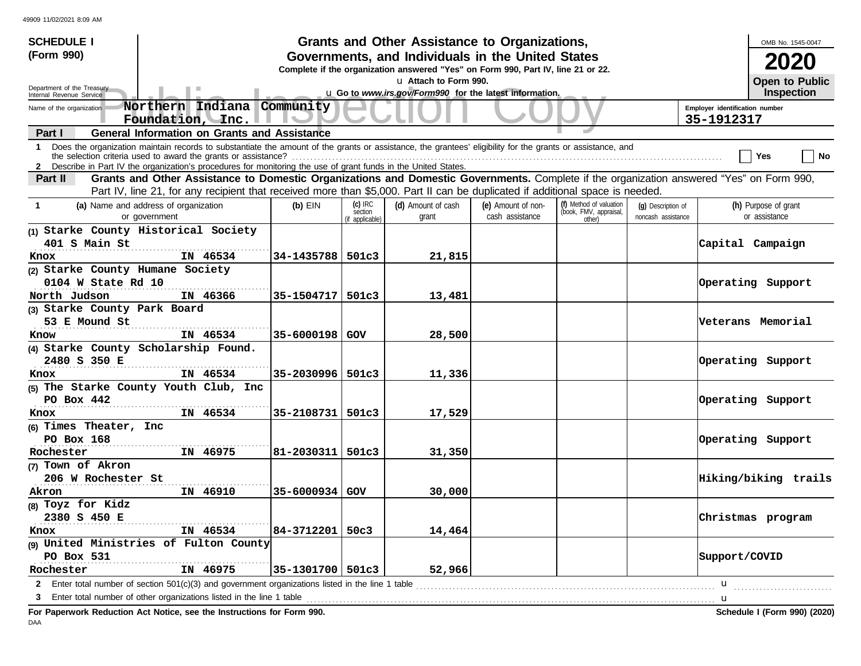| <b>SCHEDULE I</b>                                                                                                                                                                                                                                                                                                                                               |                      |                                         | Grants and Other Assistance to Organizations,                                                                                         |                                       |                                                             |                                          |               | OMB No. 1545-0047                     |
|-----------------------------------------------------------------------------------------------------------------------------------------------------------------------------------------------------------------------------------------------------------------------------------------------------------------------------------------------------------------|----------------------|-----------------------------------------|---------------------------------------------------------------------------------------------------------------------------------------|---------------------------------------|-------------------------------------------------------------|------------------------------------------|---------------|---------------------------------------|
| (Form 990)                                                                                                                                                                                                                                                                                                                                                      |                      |                                         | Governments, and Individuals in the United States<br>Complete if the organization answered "Yes" on Form 990, Part IV, line 21 or 22. |                                       |                                                             |                                          |               | 2020                                  |
|                                                                                                                                                                                                                                                                                                                                                                 |                      |                                         | La Attach to Form 990.                                                                                                                |                                       |                                                             |                                          |               | Open to Public                        |
| Department of the Treasury<br>Internal Revenue Service                                                                                                                                                                                                                                                                                                          |                      |                                         | u Go to www.irs.gov/Form990 for the latest information.                                                                               |                                       |                                                             |                                          |               | Inspection                            |
| Northern Indiana Community<br>Name of the organization<br>Foundation, Inc.                                                                                                                                                                                                                                                                                      |                      | 35-1912317                              | Employer identification number                                                                                                        |                                       |                                                             |                                          |               |                                       |
| <b>General Information on Grants and Assistance</b><br>Part I                                                                                                                                                                                                                                                                                                   |                      |                                         |                                                                                                                                       |                                       |                                                             |                                          |               |                                       |
| Does the organization maintain records to substantiate the amount of the grants or assistance, the grantees' eligibility for the grants or assistance, and<br>$\mathbf{1}$<br>the selection criteria used to award the grants or assistance?<br>2 Describe in Part IV the organization's procedures for monitoring the use of grant funds in the United States. |                      |                                         |                                                                                                                                       |                                       |                                                             |                                          |               | ∣ No<br>Yes                           |
| Grants and Other Assistance to Domestic Organizations and Domestic Governments. Complete if the organization answered "Yes" on Form 990,<br>Part II                                                                                                                                                                                                             |                      |                                         |                                                                                                                                       |                                       |                                                             |                                          |               |                                       |
| Part IV, line 21, for any recipient that received more than \$5,000. Part II can be duplicated if additional space is needed.                                                                                                                                                                                                                                   |                      |                                         |                                                                                                                                       |                                       |                                                             |                                          |               |                                       |
| (a) Name and address of organization<br>$\mathbf{1}$<br>or government                                                                                                                                                                                                                                                                                           | $(b)$ EIN            | $(c)$ IRC<br>section<br>(if applicable) | (d) Amount of cash<br>grant                                                                                                           | (e) Amount of non-<br>cash assistance | (f) Method of valuation<br>(book, FMV, appraisal,<br>other) | (q) Description of<br>noncash assistance |               | (h) Purpose of grant<br>or assistance |
| (1) Starke County Historical Society                                                                                                                                                                                                                                                                                                                            |                      |                                         |                                                                                                                                       |                                       |                                                             |                                          |               |                                       |
| 401 S Main St                                                                                                                                                                                                                                                                                                                                                   |                      |                                         |                                                                                                                                       |                                       |                                                             |                                          |               | Capital Campaign                      |
| IN 46534<br>Knox                                                                                                                                                                                                                                                                                                                                                | 34-1435788   501c3   |                                         | 21,815                                                                                                                                |                                       |                                                             |                                          |               |                                       |
| (2) Starke County Humane Society                                                                                                                                                                                                                                                                                                                                |                      |                                         |                                                                                                                                       |                                       |                                                             |                                          |               |                                       |
| 0104 W State Rd 10                                                                                                                                                                                                                                                                                                                                              |                      |                                         |                                                                                                                                       |                                       |                                                             |                                          |               | Operating Support                     |
| North Judson<br>IN 46366                                                                                                                                                                                                                                                                                                                                        | $35 - 1504717$ 501c3 |                                         | 13,481                                                                                                                                |                                       |                                                             |                                          |               |                                       |
| (3) Starke County Park Board                                                                                                                                                                                                                                                                                                                                    |                      |                                         |                                                                                                                                       |                                       |                                                             |                                          |               |                                       |
| 53 E Mound St                                                                                                                                                                                                                                                                                                                                                   |                      |                                         |                                                                                                                                       |                                       |                                                             |                                          |               | Veterans Memorial                     |
| IN 46534<br>Know                                                                                                                                                                                                                                                                                                                                                | $35 - 6000198$ GOV   |                                         | 28,500                                                                                                                                |                                       |                                                             |                                          |               |                                       |
| (4) Starke County Scholarship Found.                                                                                                                                                                                                                                                                                                                            |                      |                                         |                                                                                                                                       |                                       |                                                             |                                          |               |                                       |
| 2480 S 350 E                                                                                                                                                                                                                                                                                                                                                    |                      |                                         |                                                                                                                                       |                                       |                                                             |                                          |               | Operating Support                     |
| IN 46534<br>Knox                                                                                                                                                                                                                                                                                                                                                | 35-2030996   501c3   |                                         | 11,336                                                                                                                                |                                       |                                                             |                                          |               |                                       |
| (5) The Starke County Youth Club, Inc                                                                                                                                                                                                                                                                                                                           |                      |                                         |                                                                                                                                       |                                       |                                                             |                                          |               |                                       |
| PO Box $442$                                                                                                                                                                                                                                                                                                                                                    |                      |                                         |                                                                                                                                       |                                       |                                                             |                                          |               | Operating Support                     |
| IN 46534<br>Knox                                                                                                                                                                                                                                                                                                                                                | 35-2108731   501c3   |                                         | 17,529                                                                                                                                |                                       |                                                             |                                          |               |                                       |
| (6) Times Theater, Inc                                                                                                                                                                                                                                                                                                                                          |                      |                                         |                                                                                                                                       |                                       |                                                             |                                          |               |                                       |
| PO Box 168                                                                                                                                                                                                                                                                                                                                                      |                      |                                         |                                                                                                                                       |                                       |                                                             |                                          |               | Operating Support                     |
| IN 46975<br>Rochester                                                                                                                                                                                                                                                                                                                                           | $81 - 2030311$ 501c3 |                                         | 31,350                                                                                                                                |                                       |                                                             |                                          |               |                                       |
| (7) Town of Akron                                                                                                                                                                                                                                                                                                                                               |                      |                                         |                                                                                                                                       |                                       |                                                             |                                          |               |                                       |
| 206 W Rochester St                                                                                                                                                                                                                                                                                                                                              |                      |                                         |                                                                                                                                       |                                       |                                                             |                                          |               | Hiking/biking trails                  |
| IN 46910<br>Akron                                                                                                                                                                                                                                                                                                                                               | 35-6000934 GOV       |                                         | 30,000                                                                                                                                |                                       |                                                             |                                          |               |                                       |
| (8) Toyz for Kidz                                                                                                                                                                                                                                                                                                                                               |                      |                                         |                                                                                                                                       |                                       |                                                             |                                          |               |                                       |
| 2380 S 450 E                                                                                                                                                                                                                                                                                                                                                    |                      |                                         |                                                                                                                                       |                                       |                                                             |                                          |               | Christmas program                     |
| IN 46534<br>Knox                                                                                                                                                                                                                                                                                                                                                | 84-3712201   50c3    |                                         | 14,464                                                                                                                                |                                       |                                                             |                                          |               |                                       |
| (9) United Ministries of Fulton County                                                                                                                                                                                                                                                                                                                          |                      |                                         |                                                                                                                                       |                                       |                                                             |                                          |               |                                       |
| PO Box 531                                                                                                                                                                                                                                                                                                                                                      |                      |                                         |                                                                                                                                       |                                       |                                                             |                                          | Support/COVID |                                       |
| Rochester<br>IN 46975                                                                                                                                                                                                                                                                                                                                           | 35-1301700   501c3   |                                         | 52,966                                                                                                                                |                                       |                                                             |                                          |               |                                       |
| Enter total number of section 501(c)(3) and government organizations listed in the line 1 table<br>$\mathbf{2}$                                                                                                                                                                                                                                                 |                      |                                         |                                                                                                                                       |                                       |                                                             |                                          | u             |                                       |
| 3                                                                                                                                                                                                                                                                                                                                                               |                      |                                         |                                                                                                                                       |                                       |                                                             |                                          | . <b>. u</b>  |                                       |
| For Paperwork Reduction Act Notice, see the Instructions for Form 990.                                                                                                                                                                                                                                                                                          |                      |                                         |                                                                                                                                       |                                       |                                                             |                                          |               | Schedule I (Form 990) (2020)          |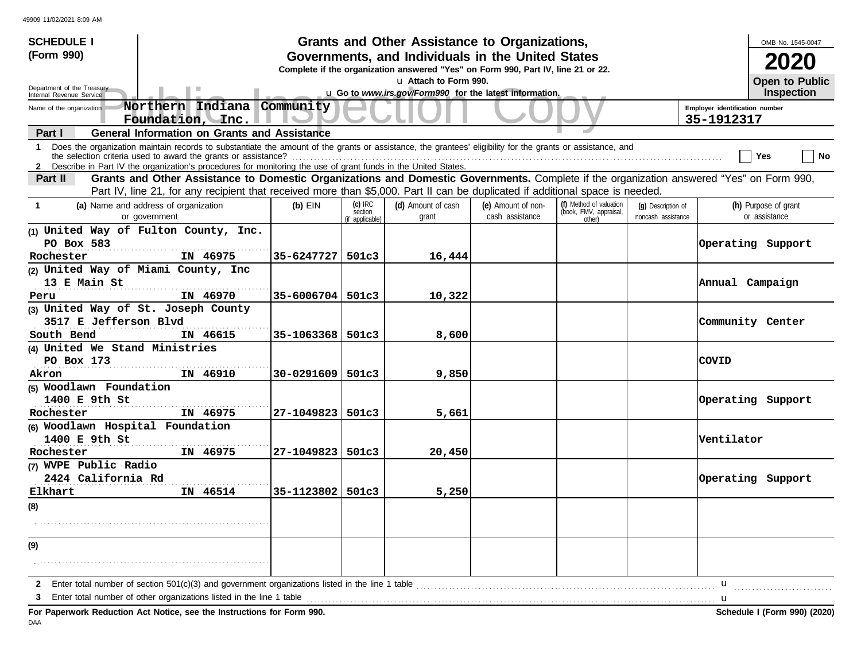| <b>SCHEDULE I</b>                                                                                                                                                                                                                                                                                                                                              |                      |                                         | Grants and Other Assistance to Organizations,                                                                                         |                                       |                                                             |                                          |                 | OMB No. 1545-0047                     |
|----------------------------------------------------------------------------------------------------------------------------------------------------------------------------------------------------------------------------------------------------------------------------------------------------------------------------------------------------------------|----------------------|-----------------------------------------|---------------------------------------------------------------------------------------------------------------------------------------|---------------------------------------|-------------------------------------------------------------|------------------------------------------|-----------------|---------------------------------------|
| (Form 990)                                                                                                                                                                                                                                                                                                                                                     |                      |                                         | Governments, and Individuals in the United States<br>Complete if the organization answered "Yes" on Form 990, Part IV, line 21 or 22. |                                       |                                                             |                                          |                 |                                       |
|                                                                                                                                                                                                                                                                                                                                                                |                      |                                         | u Attach to Form 990.                                                                                                                 |                                       |                                                             |                                          |                 | <b>Open to Public</b>                 |
| Department of the Treasury<br>Internal Revenue Service                                                                                                                                                                                                                                                                                                         |                      |                                         | u Go to www.irs.gov/Form990 for the latest information.                                                                               |                                       |                                                             |                                          |                 | Inspection                            |
| Northern Indiana Community<br>Name of the organization<br>Foundation, Inc.                                                                                                                                                                                                                                                                                     |                      |                                         | Employer identification number<br>35-1912317                                                                                          |                                       |                                                             |                                          |                 |                                       |
| <b>General Information on Grants and Assistance</b><br>Part I                                                                                                                                                                                                                                                                                                  |                      |                                         |                                                                                                                                       |                                       |                                                             |                                          |                 |                                       |
| Does the organization maintain records to substantiate the amount of the grants or assistance, the grantees' eligibility for the grants or assistance, and<br>$\mathbf 1$<br>the selection criteria used to award the grants or assistance?<br>2 Describe in Part IV the organization's procedures for monitoring the use of grant funds in the United States. |                      |                                         |                                                                                                                                       |                                       |                                                             |                                          |                 | ∣ No<br>Yes                           |
| Grants and Other Assistance to Domestic Organizations and Domestic Governments. Complete if the organization answered "Yes" on Form 990,<br>Part II                                                                                                                                                                                                            |                      |                                         |                                                                                                                                       |                                       |                                                             |                                          |                 |                                       |
| Part IV, line 21, for any recipient that received more than \$5,000. Part II can be duplicated if additional space is needed.                                                                                                                                                                                                                                  |                      |                                         |                                                                                                                                       |                                       |                                                             |                                          |                 |                                       |
| (a) Name and address of organization<br>$\mathbf{1}$<br>or government                                                                                                                                                                                                                                                                                          | $(b)$ EIN            | $(c)$ IRC<br>section<br>(if applicable) | (d) Amount of cash<br>grant                                                                                                           | (e) Amount of non-<br>cash assistance | (f) Method of valuation<br>(book, FMV, appraisal,<br>other) | (q) Description of<br>noncash assistance |                 | (h) Purpose of grant<br>or assistance |
| (1) United Way of Fulton County, Inc.<br>PO Box 583                                                                                                                                                                                                                                                                                                            |                      |                                         |                                                                                                                                       |                                       |                                                             |                                          |                 | Operating Support                     |
| Rochester<br>IN 46975                                                                                                                                                                                                                                                                                                                                          | $35 - 6247727$ 501c3 |                                         | 16,444                                                                                                                                |                                       |                                                             |                                          |                 |                                       |
| (2) United Way of Miami County, Inc                                                                                                                                                                                                                                                                                                                            |                      |                                         |                                                                                                                                       |                                       |                                                             |                                          |                 |                                       |
| 13 E Main St                                                                                                                                                                                                                                                                                                                                                   |                      |                                         |                                                                                                                                       |                                       |                                                             |                                          | Annual Campaign |                                       |
| IN 46970<br>Peru                                                                                                                                                                                                                                                                                                                                               | $35 - 6006704$ 501c3 |                                         | 10,322                                                                                                                                |                                       |                                                             |                                          |                 |                                       |
| (3) United Way of St. Joseph County                                                                                                                                                                                                                                                                                                                            |                      |                                         |                                                                                                                                       |                                       |                                                             |                                          |                 |                                       |
| 3517 E Jefferson Blvd                                                                                                                                                                                                                                                                                                                                          |                      |                                         |                                                                                                                                       |                                       |                                                             |                                          |                 | Community Center                      |
| South Bend<br>IN 46615                                                                                                                                                                                                                                                                                                                                         | 35-1063368   501c3   |                                         | 8,600                                                                                                                                 |                                       |                                                             |                                          |                 |                                       |
| (4) United We Stand Ministries                                                                                                                                                                                                                                                                                                                                 |                      |                                         |                                                                                                                                       |                                       |                                                             |                                          |                 |                                       |
| PO Box 173                                                                                                                                                                                                                                                                                                                                                     |                      |                                         |                                                                                                                                       |                                       |                                                             |                                          | <b>COVID</b>    |                                       |
| IN 46910<br>Akron                                                                                                                                                                                                                                                                                                                                              | $30 - 0291609$ 501c3 |                                         | 9,850                                                                                                                                 |                                       |                                                             |                                          |                 |                                       |
| (5) Woodlawn Foundation                                                                                                                                                                                                                                                                                                                                        |                      |                                         |                                                                                                                                       |                                       |                                                             |                                          |                 |                                       |
| 1400 E 9th St<br>IN 46975                                                                                                                                                                                                                                                                                                                                      | 27-1049823   501c3   |                                         |                                                                                                                                       |                                       |                                                             |                                          |                 | Operating Support                     |
| Rochester<br>(6) Woodlawn Hospital Foundation                                                                                                                                                                                                                                                                                                                  |                      |                                         | 5,661                                                                                                                                 |                                       |                                                             |                                          |                 |                                       |
| 1400 E 9th St                                                                                                                                                                                                                                                                                                                                                  |                      |                                         |                                                                                                                                       |                                       |                                                             |                                          | Ventilator      |                                       |
| IN 46975<br>Rochester                                                                                                                                                                                                                                                                                                                                          | 27-1049823   501c3   |                                         | 20,450                                                                                                                                |                                       |                                                             |                                          |                 |                                       |
| (7) WVPE Public Radio                                                                                                                                                                                                                                                                                                                                          |                      |                                         |                                                                                                                                       |                                       |                                                             |                                          |                 |                                       |
| 2424 California Rd                                                                                                                                                                                                                                                                                                                                             |                      |                                         |                                                                                                                                       |                                       |                                                             |                                          |                 | Operating Support                     |
| IN 46514<br>Elkhart                                                                                                                                                                                                                                                                                                                                            | 35-1123802   501c3   |                                         | 5,250                                                                                                                                 |                                       |                                                             |                                          |                 |                                       |
| (8)                                                                                                                                                                                                                                                                                                                                                            |                      |                                         |                                                                                                                                       |                                       |                                                             |                                          |                 |                                       |
|                                                                                                                                                                                                                                                                                                                                                                |                      |                                         |                                                                                                                                       |                                       |                                                             |                                          |                 |                                       |
| (9)                                                                                                                                                                                                                                                                                                                                                            |                      |                                         |                                                                                                                                       |                                       |                                                             |                                          |                 |                                       |
|                                                                                                                                                                                                                                                                                                                                                                |                      |                                         |                                                                                                                                       |                                       |                                                             |                                          |                 |                                       |
| Enter total number of section 501(c)(3) and government organizations listed in the line 1 table entertional content content or the line 1 table enterties and the line of table and the line of table and the line of the line<br>$\mathbf{2}$                                                                                                                 |                      |                                         |                                                                                                                                       |                                       |                                                             |                                          | u               |                                       |
| 3                                                                                                                                                                                                                                                                                                                                                              |                      |                                         |                                                                                                                                       |                                       |                                                             |                                          | <u></u> u       |                                       |
| For Paperwork Reduction Act Notice, see the Instructions for Form 990.                                                                                                                                                                                                                                                                                         |                      |                                         |                                                                                                                                       |                                       |                                                             |                                          |                 | Schedule I (Form 990) (2020)          |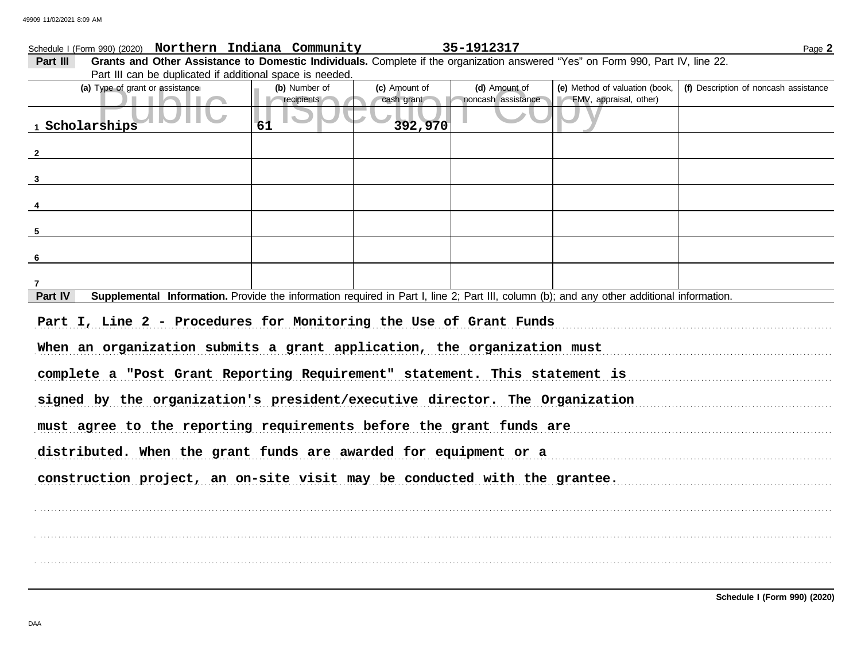|                |                                 | Schedule I (Form 990) (2020) Northern Indiana Community                     |               | 35-1912317         |                                                                                                                                           | Page 2                                                                     |
|----------------|---------------------------------|-----------------------------------------------------------------------------|---------------|--------------------|-------------------------------------------------------------------------------------------------------------------------------------------|----------------------------------------------------------------------------|
| Part III       |                                 |                                                                             |               |                    | Grants and Other Assistance to Domestic Individuals. Complete if the organization answered "Yes" on Form 990, Part IV, line 22.           |                                                                            |
|                |                                 | Part III can be duplicated if additional space is needed.                   |               |                    |                                                                                                                                           |                                                                            |
|                | (a) Type of grant or assistance | (b) Number of                                                               | (c) Amount of | (d) Amount of      | (e) Method of valuation (book,                                                                                                            | (f) Description of noncash assistance                                      |
|                |                                 | recipients                                                                  | cash grant    | noncash assistance | FMV, appraisal, other)                                                                                                                    |                                                                            |
|                | 1 Scholarships                  | 61                                                                          | 392,970       |                    |                                                                                                                                           |                                                                            |
|                |                                 |                                                                             |               |                    |                                                                                                                                           |                                                                            |
| $\overline{2}$ |                                 |                                                                             |               |                    |                                                                                                                                           |                                                                            |
|                |                                 |                                                                             |               |                    |                                                                                                                                           |                                                                            |
| $\mathbf{3}$   |                                 |                                                                             |               |                    |                                                                                                                                           |                                                                            |
|                |                                 |                                                                             |               |                    |                                                                                                                                           |                                                                            |
|                |                                 |                                                                             |               |                    |                                                                                                                                           |                                                                            |
|                |                                 |                                                                             |               |                    |                                                                                                                                           |                                                                            |
| 5              |                                 |                                                                             |               |                    |                                                                                                                                           |                                                                            |
| 6              |                                 |                                                                             |               |                    |                                                                                                                                           |                                                                            |
|                |                                 |                                                                             |               |                    |                                                                                                                                           |                                                                            |
| 7              |                                 |                                                                             |               |                    |                                                                                                                                           |                                                                            |
| Part IV        |                                 |                                                                             |               |                    | Supplemental Information. Provide the information required in Part I, line 2; Part III, column (b); and any other additional information. |                                                                            |
|                |                                 | Part I, Line 2 - Procedures for Monitoring the Use of Grant Funds           |               |                    |                                                                                                                                           |                                                                            |
|                |                                 |                                                                             |               |                    |                                                                                                                                           | When an organization submits a grant application, the organization must    |
|                |                                 |                                                                             |               |                    |                                                                                                                                           | complete a "Post Grant Reporting Requirement" statement. This statement is |
|                |                                 | signed by the organization's president/executive director. The Organization |               |                    |                                                                                                                                           |                                                                            |
|                |                                 |                                                                             |               |                    |                                                                                                                                           | must agree to the reporting requirements before the grant funds are        |
|                |                                 |                                                                             |               |                    |                                                                                                                                           | distributed. When the grant funds are awarded for equipment or a           |
|                |                                 |                                                                             |               |                    |                                                                                                                                           | construction project, an on-site visit may be conducted with the grantee.  |
|                |                                 |                                                                             |               |                    |                                                                                                                                           |                                                                            |
|                |                                 |                                                                             |               |                    |                                                                                                                                           |                                                                            |
|                |                                 |                                                                             |               |                    |                                                                                                                                           |                                                                            |
|                |                                 |                                                                             |               |                    |                                                                                                                                           |                                                                            |
|                |                                 |                                                                             |               |                    |                                                                                                                                           |                                                                            |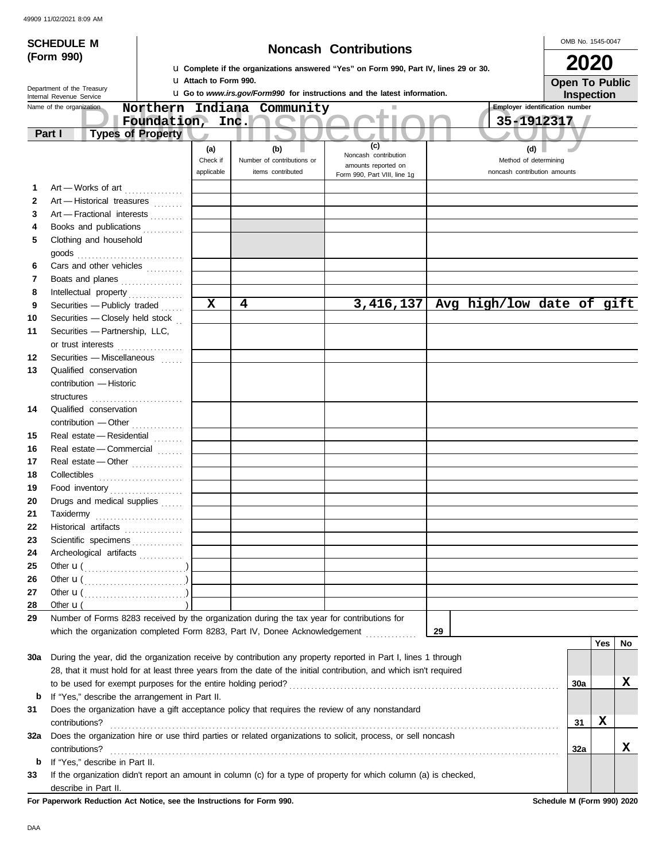|              | <b>SCHEDULE M</b>                                                                                                  |                          |             |                                                                                       |      |                                   |  |                              |     |           |    |                                       |                       | OMB No. 1545-0047 |     |     |
|--------------|--------------------------------------------------------------------------------------------------------------------|--------------------------|-------------|---------------------------------------------------------------------------------------|------|-----------------------------------|--|------------------------------|-----|-----------|----|---------------------------------------|-----------------------|-------------------|-----|-----|
|              | (Form 990)                                                                                                         |                          |             |                                                                                       |      |                                   |  | <b>Noncash Contributions</b> |     |           |    |                                       |                       |                   |     |     |
|              |                                                                                                                    |                          |             | La Complete if the organizations answered "Yes" on Form 990, Part IV, lines 29 or 30. |      |                                   |  |                              |     |           |    |                                       |                       | 2020              |     |     |
|              | Department of the Treasury                                                                                         |                          |             | <b>u</b> Attach to Form 990.                                                          |      |                                   |  |                              |     |           |    |                                       | <b>Open To Public</b> |                   |     |     |
|              | Internal Revenue Service                                                                                           |                          |             | <b>u</b> Go to www.irs.gov/Form990 for instructions and the latest information.       |      |                                   |  |                              |     |           |    |                                       |                       | Inspection        |     |     |
|              | Name of the organization                                                                                           |                          | Northern    | Indiana Community                                                                     |      |                                   |  |                              |     | H.        |    | <b>Employer identification number</b> |                       |                   |     |     |
|              |                                                                                                                    |                          | Foundation, |                                                                                       | Inc. |                                   |  |                              |     |           |    |                                       | 35-1912317            |                   |     |     |
|              | Part I                                                                                                             | <b>Types of Property</b> |             | D                                                                                     |      | $\blacksquare$                    |  |                              | (c) |           |    |                                       |                       |                   |     |     |
|              |                                                                                                                    |                          |             | (a)<br>Check if                                                                       |      | (b)<br>Number of contributions or |  | Noncash contribution         |     |           |    | (d)<br>Method of determining          |                       |                   |     |     |
|              |                                                                                                                    |                          |             | applicable                                                                            |      | items contributed                 |  | amounts reported on          |     |           |    | noncash contribution amounts          |                       |                   |     |     |
| 1            |                                                                                                                    |                          |             |                                                                                       |      |                                   |  | Form 990, Part VIII, line 1g |     |           |    |                                       |                       |                   |     |     |
| $\mathbf{2}$ | Art - Works of art<br>Art - Historical treasures                                                                   |                          |             |                                                                                       |      |                                   |  |                              |     |           |    |                                       |                       |                   |     |     |
| 3            | Art - Fractional interests                                                                                         |                          |             |                                                                                       |      |                                   |  |                              |     |           |    |                                       |                       |                   |     |     |
| 4            | Books and publications                                                                                             |                          |             |                                                                                       |      |                                   |  |                              |     |           |    |                                       |                       |                   |     |     |
| 5            | Clothing and household                                                                                             |                          |             |                                                                                       |      |                                   |  |                              |     |           |    |                                       |                       |                   |     |     |
|              |                                                                                                                    |                          |             |                                                                                       |      |                                   |  |                              |     |           |    |                                       |                       |                   |     |     |
| 6            | Cars and other vehicles                                                                                            |                          |             |                                                                                       |      |                                   |  |                              |     |           |    |                                       |                       |                   |     |     |
| 7            | Boats and planes                                                                                                   |                          |             |                                                                                       |      |                                   |  |                              |     |           |    |                                       |                       |                   |     |     |
| 8            |                                                                                                                    |                          |             |                                                                                       |      |                                   |  |                              |     |           |    |                                       |                       |                   |     |     |
| 9            | Securities - Publicly traded                                                                                       |                          |             | X                                                                                     | 4    |                                   |  |                              |     | 3,416,137 |    | Avg high/low date of gift             |                       |                   |     |     |
| 10           | Securities - Closely held stock                                                                                    |                          |             |                                                                                       |      |                                   |  |                              |     |           |    |                                       |                       |                   |     |     |
| 11           | Securities - Partnership, LLC,                                                                                     |                          |             |                                                                                       |      |                                   |  |                              |     |           |    |                                       |                       |                   |     |     |
|              | or trust interests                                                                                                 |                          |             |                                                                                       |      |                                   |  |                              |     |           |    |                                       |                       |                   |     |     |
| 12           | Securities - Miscellaneous                                                                                         |                          |             |                                                                                       |      |                                   |  |                              |     |           |    |                                       |                       |                   |     |     |
| 13           | Qualified conservation                                                                                             |                          |             |                                                                                       |      |                                   |  |                              |     |           |    |                                       |                       |                   |     |     |
|              | contribution - Historic                                                                                            |                          |             |                                                                                       |      |                                   |  |                              |     |           |    |                                       |                       |                   |     |     |
|              |                                                                                                                    |                          |             |                                                                                       |      |                                   |  |                              |     |           |    |                                       |                       |                   |     |     |
| 14           | Qualified conservation                                                                                             |                          |             |                                                                                       |      |                                   |  |                              |     |           |    |                                       |                       |                   |     |     |
|              |                                                                                                                    |                          |             |                                                                                       |      |                                   |  |                              |     |           |    |                                       |                       |                   |     |     |
| 15           | Real estate - Residential                                                                                          |                          |             |                                                                                       |      |                                   |  |                              |     |           |    |                                       |                       |                   |     |     |
| 16           | Real estate - Commercial                                                                                           |                          |             |                                                                                       |      |                                   |  |                              |     |           |    |                                       |                       |                   |     |     |
| 17           | Real estate - Other                                                                                                |                          |             |                                                                                       |      |                                   |  |                              |     |           |    |                                       |                       |                   |     |     |
| 18           |                                                                                                                    |                          |             |                                                                                       |      |                                   |  |                              |     |           |    |                                       |                       |                   |     |     |
| 19           | Food inventory                                                                                                     |                          |             |                                                                                       |      |                                   |  |                              |     |           |    |                                       |                       |                   |     |     |
| 20           | Drugs and medical supplies                                                                                         |                          |             |                                                                                       |      |                                   |  |                              |     |           |    |                                       |                       |                   |     |     |
| 21           |                                                                                                                    |                          |             |                                                                                       |      |                                   |  |                              |     |           |    |                                       |                       |                   |     |     |
| 22           | Historical artifacts                                                                                               |                          |             |                                                                                       |      |                                   |  |                              |     |           |    |                                       |                       |                   |     |     |
| 23           | Scientific specimens                                                                                               |                          |             |                                                                                       |      |                                   |  |                              |     |           |    |                                       |                       |                   |     |     |
| 24           | Archeological artifacts                                                                                            |                          |             |                                                                                       |      |                                   |  |                              |     |           |    |                                       |                       |                   |     |     |
| 25<br>26     | Other $\mathbf{u}(\dots, \dots, \dots, \dots, \dots)$                                                              |                          |             |                                                                                       |      |                                   |  |                              |     |           |    |                                       |                       |                   |     |     |
| 27           | Other $\mathbf{u}(\dots, \dots, \dots, \dots, \dots)$                                                              |                          |             |                                                                                       |      |                                   |  |                              |     |           |    |                                       |                       |                   |     |     |
| 28           | Other $\mathbf{u}(\dots, \dots, \dots, \dots, \dots)$<br>Other $\mathbf{u}$ (                                      |                          |             |                                                                                       |      |                                   |  |                              |     |           |    |                                       |                       |                   |     |     |
| 29           | Number of Forms 8283 received by the organization during the tax year for contributions for                        |                          |             |                                                                                       |      |                                   |  |                              |     |           |    |                                       |                       |                   |     |     |
|              | which the organization completed Form 8283, Part IV, Donee Acknowledgement [ [ [ [ [ ] ] ]                         |                          |             |                                                                                       |      |                                   |  |                              |     |           | 29 |                                       |                       |                   |     |     |
|              |                                                                                                                    |                          |             |                                                                                       |      |                                   |  |                              |     |           |    |                                       |                       |                   | Yes | No. |
| 30a          | During the year, did the organization receive by contribution any property reported in Part I, lines 1 through     |                          |             |                                                                                       |      |                                   |  |                              |     |           |    |                                       |                       |                   |     |     |
|              | 28, that it must hold for at least three years from the date of the initial contribution, and which isn't required |                          |             |                                                                                       |      |                                   |  |                              |     |           |    |                                       |                       |                   |     |     |
|              |                                                                                                                    |                          |             |                                                                                       |      |                                   |  |                              |     |           |    |                                       |                       | 30a               |     | x   |
| b            | If "Yes," describe the arrangement in Part II.                                                                     |                          |             |                                                                                       |      |                                   |  |                              |     |           |    |                                       |                       |                   |     |     |
| 31           | Does the organization have a gift acceptance policy that requires the review of any nonstandard                    |                          |             |                                                                                       |      |                                   |  |                              |     |           |    |                                       |                       |                   |     |     |
|              | contributions?                                                                                                     |                          |             |                                                                                       |      |                                   |  |                              |     |           |    |                                       |                       | 31                | х   |     |
| 32a          | Does the organization hire or use third parties or related organizations to solicit, process, or sell noncash      |                          |             |                                                                                       |      |                                   |  |                              |     |           |    |                                       |                       |                   |     |     |
|              | contributions?                                                                                                     |                          |             |                                                                                       |      |                                   |  |                              |     |           |    |                                       |                       | 32a               |     | x   |
| b            | If "Yes," describe in Part II.                                                                                     |                          |             |                                                                                       |      |                                   |  |                              |     |           |    |                                       |                       |                   |     |     |
| 33           | If the organization didn't report an amount in column (c) for a type of property for which column (a) is checked,  |                          |             |                                                                                       |      |                                   |  |                              |     |           |    |                                       |                       |                   |     |     |
|              | describe in Part II.                                                                                               |                          |             |                                                                                       |      |                                   |  |                              |     |           |    |                                       |                       |                   |     |     |

**For Paperwork Reduction Act Notice, see the Instructions for Form 990. Schedule M (Form 990) 2020**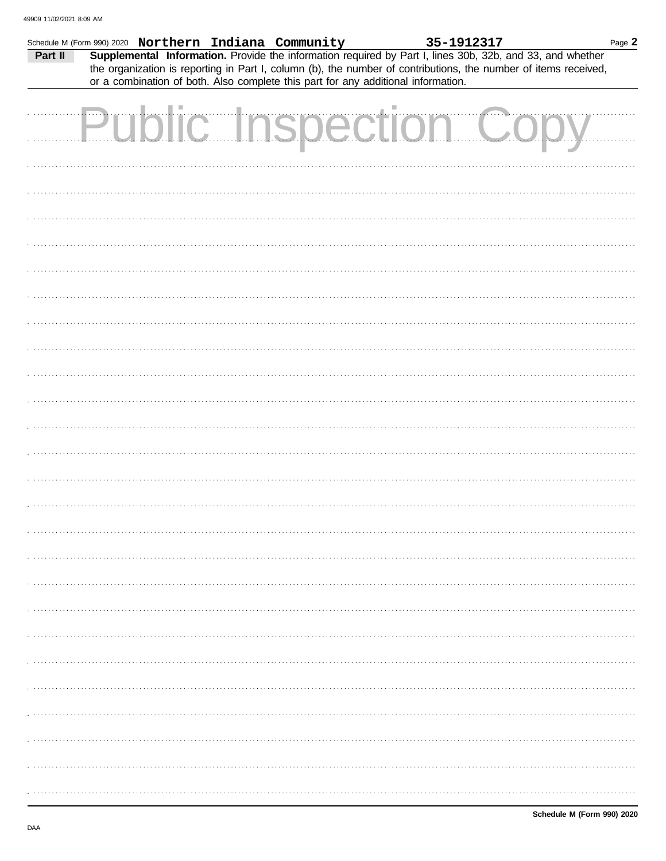| Schedule M (Form 990) 2020 Northern Indiana Community                                                                                                                                                                                   | 35-1912317 | Page 2 |
|-----------------------------------------------------------------------------------------------------------------------------------------------------------------------------------------------------------------------------------------|------------|--------|
| Supplemental Information. Provide the information required by Part I, lines 30b, 32b, and 33, and whether<br>Part II<br>the organization is reporting in Part I, column (b), the number of contributions, the number of items received, |            |        |
| or a combination of both. Also complete this part for any additional information.                                                                                                                                                       |            |        |
| <b>Public Inspection Copy</b>                                                                                                                                                                                                           |            |        |
|                                                                                                                                                                                                                                         |            |        |
|                                                                                                                                                                                                                                         |            |        |
|                                                                                                                                                                                                                                         |            |        |
|                                                                                                                                                                                                                                         |            |        |
|                                                                                                                                                                                                                                         |            |        |
|                                                                                                                                                                                                                                         |            |        |
|                                                                                                                                                                                                                                         |            |        |
|                                                                                                                                                                                                                                         |            |        |
|                                                                                                                                                                                                                                         |            |        |
|                                                                                                                                                                                                                                         |            |        |
|                                                                                                                                                                                                                                         |            |        |
|                                                                                                                                                                                                                                         |            |        |
|                                                                                                                                                                                                                                         |            |        |
|                                                                                                                                                                                                                                         |            |        |
|                                                                                                                                                                                                                                         |            |        |
|                                                                                                                                                                                                                                         |            |        |
|                                                                                                                                                                                                                                         |            |        |
|                                                                                                                                                                                                                                         |            |        |
|                                                                                                                                                                                                                                         |            |        |
|                                                                                                                                                                                                                                         |            |        |
|                                                                                                                                                                                                                                         |            |        |
|                                                                                                                                                                                                                                         |            |        |
|                                                                                                                                                                                                                                         |            |        |
|                                                                                                                                                                                                                                         |            |        |
|                                                                                                                                                                                                                                         |            |        |
|                                                                                                                                                                                                                                         |            |        |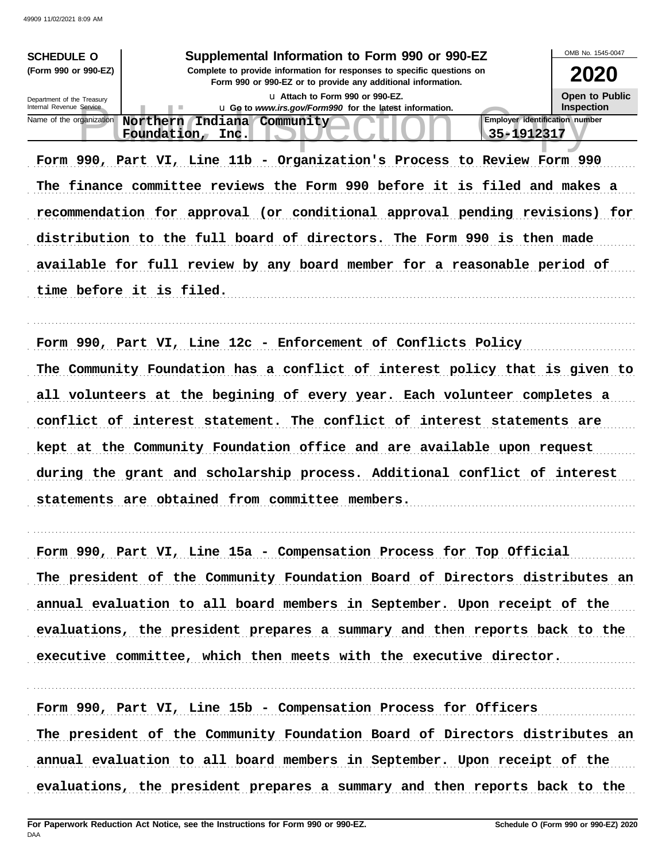| 49909 11/02/2021 8:09 AM                               |                                                                                                                                        |                                       |
|--------------------------------------------------------|----------------------------------------------------------------------------------------------------------------------------------------|---------------------------------------|
| <b>SCHEDULE O</b>                                      | Supplemental Information to Form 990 or 990-EZ                                                                                         | OMB No. 1545-0047                     |
| (Form 990 or 990-EZ)                                   | Complete to provide information for responses to specific questions on<br>Form 990 or 990-EZ or to provide any additional information. | 2020                                  |
| Department of the Treasury<br>Internal Revenue Service | La Attach to Form 990 or 990-EZ.<br>u Go to www.irs.gov/Form990 for the latest information.                                            | Open to Public<br><b>Inspection</b>   |
| Name of the organization                               | Northern Indiana Community                                                                                                             | <b>Employer identification number</b> |
|                                                        | Foundation, Inc.                                                                                                                       | 35-1912317                            |
|                                                        | Form 990, Part VI, Line 11b - Organization's Process to Review Form 990                                                                |                                       |
|                                                        | The finance committee reviews the Form 990 before it is filed and makes a                                                              |                                       |
|                                                        | recommendation for approval (or conditional approval pending revisions) for                                                            |                                       |
|                                                        | distribution to the full board of directors. The Form 990 is then made                                                                 |                                       |
|                                                        | available for full review by any board member for a reasonable period of                                                               |                                       |
|                                                        | time before it is filed.                                                                                                               |                                       |
|                                                        |                                                                                                                                        |                                       |
|                                                        | Form 990, Part VI, Line 12c - Enforcement of Conflicts Policy                                                                          |                                       |
|                                                        | The Community Foundation has a conflict of interest policy that is given to                                                            |                                       |
|                                                        | all volunteers at the begining of every year. Each volunteer completes a                                                               |                                       |
|                                                        | conflict of interest statement. The conflict of interest statements are                                                                |                                       |
|                                                        | kept at the Community Foundation office and are available upon request                                                                 |                                       |
|                                                        | during the grant and scholarship process. Additional conflict of interest                                                              |                                       |
|                                                        | statements are obtained from committee members.                                                                                        |                                       |
|                                                        |                                                                                                                                        |                                       |
|                                                        | Form 990, Part VI, Line 15a - Compensation Process for Top Official                                                                    |                                       |
|                                                        | The president of the Community Foundation Board of Directors distributes an                                                            |                                       |
|                                                        | annual evaluation to all board members in September. Upon receipt of the                                                               |                                       |
|                                                        | evaluations, the president prepares a summary and then reports back to the                                                             |                                       |
|                                                        | executive committee, which then meets with the executive director.                                                                     |                                       |
|                                                        |                                                                                                                                        |                                       |
|                                                        | Form 990, Part VI, Line 15b - Compensation Process for Officers                                                                        |                                       |

The president of the Community Foundation Board of Directors distributes an annual evaluation to all board members in September. Upon receipt of the evaluations, the president prepares a summary and then reports back to the